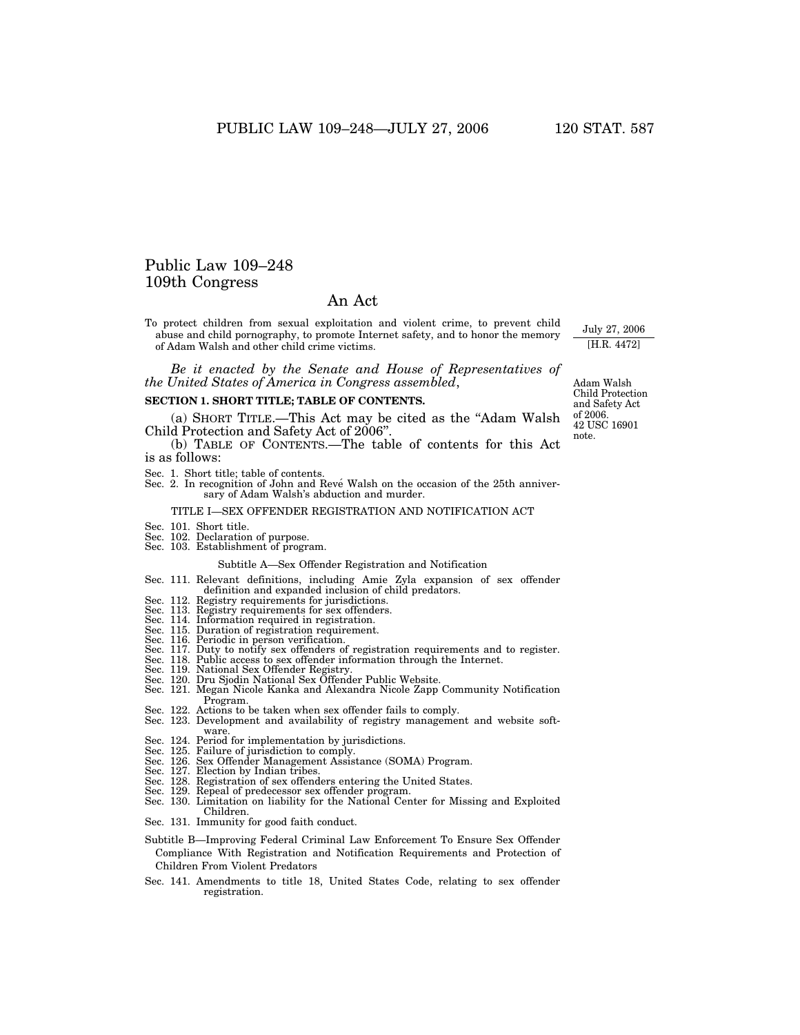## Public Law 109–248 109th Congress

## An Act

To protect children from sexual exploitation and violent crime, to prevent child abuse and child pornography, to promote Internet safety, and to honor the memory of Adam Walsh and other child crime victims.

*Be it enacted by the Senate and House of Representatives of the United States of America in Congress assembled*,

#### **SECTION 1. SHORT TITLE; TABLE OF CONTENTS.**

(a) SHORT TITLE.—This Act may be cited as the ''Adam Walsh Child Protection and Safety Act of 2006".

(b) TABLE OF CONTENTS.—The table of contents for this Act is as follows:

Sec. 1. Short title; table of contents. Sec. 2. In recognition of John and Reve´ Walsh on the occasion of the 25th anniversary of Adam Walsh's abduction and murder.

### TITLE I—SEX OFFENDER REGISTRATION AND NOTIFICATION ACT

- 
- Sec. 101. Short title. Sec. 102. Declaration of purpose.
- Sec. 103. Establishment of program.

#### Subtitle A—Sex Offender Registration and Notification

- Sec. 111. Relevant definitions, including Amie Zyla expansion of sex offender definition and expanded inclusion of child predators.
- Sec. 112. Registry requirements for jurisdictions.
- Sec. 113. Registry requirements for sex offenders. Sec. 114. Information required in registration.
- 
- Sec. 115. Duration of registration requirement.
- 
- Sec. 116. Periodic in person verification.<br>Sec. 117. Duty to notify sex offenders of registration requirements and to register.<br>Sec. 118. Public access to sex offender information through the Internet.<br>Sec. 119. National S
- 
- 
- Sec. 121. Megan Nicole Kanka and Alexandra Nicole Zapp Community Notification Program.
- Sec. 122. Actions to be taken when sex offender fails to comply.
- Sec. 123. Development and availability of registry management and website soft-
- Sec. 124. Period for implementation by jurisdictions.
- Sec. 125. Failure of jurisdiction to comply.
- Sec. 126. Sex Offender Management Assistance (SOMA) Program. Sec. 127. Election by Indian tribes.
- 
- Sec. 128. Registration of sex offenders entering the United States.
- Sec. 129. Repeal of predecessor sex offender program. Sec. 130. Limitation on liability for the National Center for Missing and Exploited Children.
- Sec. 131. Immunity for good faith conduct.
- Subtitle B—Improving Federal Criminal Law Enforcement To Ensure Sex Offender Compliance With Registration and Notification Requirements and Protection of Children From Violent Predators
- Sec. 141. Amendments to title 18, United States Code, relating to sex offender registration.

Adam Walsh Child Protection and Safety Act of 2006. 42 USC 16901 note.

July 27, 2006 [H.R. 4472]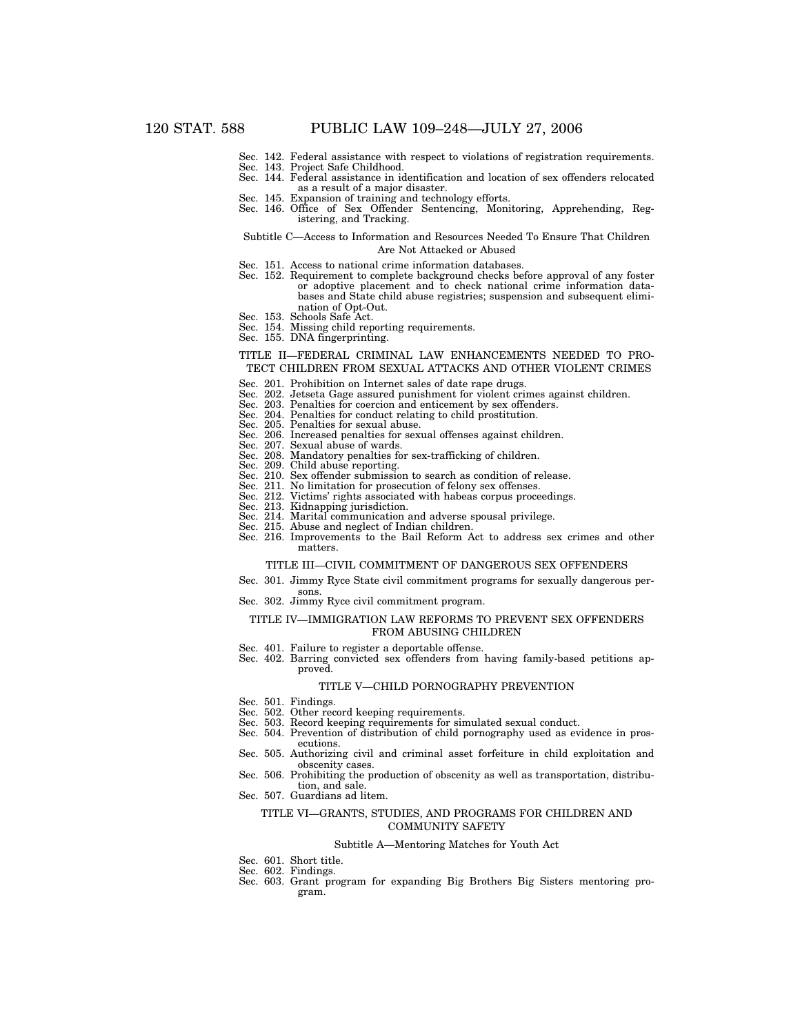- Sec. 142. Federal assistance with respect to violations of registration requirements. Sec. 143. Project Safe Childhood.
- 
- Sec. 144. Federal assistance in identification and location of sex offenders relocated as a result of a major disaster.
- Sec. 145. Expansion of training and technology efforts.
- Sec. 146. Office of Sex Offender Sentencing, Monitoring, Apprehending, Registering, and Tracking.

#### Subtitle C—Access to Information and Resources Needed To Ensure That Children Are Not Attacked or Abused

- Sec. 151. Access to national crime information databases.
- Sec. 152. Requirement to complete background checks before approval of any foster or adoptive placement and to check national crime information databases and State child abuse registries; suspension and subsequent elimination of Opt-Out.
- Sec. 153. Schools Safe Act.
- Sec. 154. Missing child reporting requirements.
- Sec. 155. DNA fingerprinting.

#### TITLE II—FEDERAL CRIMINAL LAW ENHANCEMENTS NEEDED TO PRO-TECT CHILDREN FROM SEXUAL ATTACKS AND OTHER VIOLENT CRIMES

- Sec. 201. Prohibition on Internet sales of date rape drugs.
- Sec. 202. Jetseta Gage assured punishment for violent crimes against children. Sec. 203. Penalties for coercion and enticement by sex offenders.
- 
- 
- 
- Sec. 204. Penalties for conduct relating to child prostitution. Sec. 205. Penalties for sexual abuse. Sec. 206. Increased penalties for sexual offenses against children.
- Sec. 207. Sexual abuse of wards.
- Sec. 208. Mandatory penalties for sex-trafficking of children.
- 
- Sec. 209. Child abuse reporting. Sec. 210. Sex offender submission to search as condition of release.
- Sec. 211. No limitation for prosecution of felony sex offenses.<br>Sec. 212. Victims' rights associated with habeas corpus proce
- Victims' rights associated with habeas corpus proceedings.
- Sec. 213. Kidnapping jurisdiction.
- Sec. 214. Marital communication and adverse spousal privilege.
- Sec. 215. Abuse and neglect of Indian children.
- Sec. 216. Improvements to the Bail Reform Act to address sex crimes and other matters.

## TITLE III—CIVIL COMMITMENT OF DANGEROUS SEX OFFENDERS

- Sec. 301. Jimmy Ryce State civil commitment programs for sexually dangerous per-
- sons. Sec. 302. Jimmy Ryce civil commitment program.

#### TITLE IV—IMMIGRATION LAW REFORMS TO PREVENT SEX OFFENDERS FROM ABUSING CHILDREN

- Sec. 401. Failure to register a deportable offense.
- Sec. 402. Barring convicted sex offenders from having family-based petitions approved.

#### TITLE V—CHILD PORNOGRAPHY PREVENTION

- Sec. 501. Findings.
- Sec. 502. Other record keeping requirements.
- Sec. 503. Record keeping requirements for simulated sexual conduct.
- Sec. 504. Prevention of distribution of child pornography used as evidence in prosecutions.
- Sec. 505. Authorizing civil and criminal asset forfeiture in child exploitation and obscenity cases.
- Sec. 506. Prohibiting the production of obscenity as well as transportation, distribution, and sale.
- Sec. 507. Guardians ad litem.

#### TITLE VI—GRANTS, STUDIES, AND PROGRAMS FOR CHILDREN AND COMMUNITY SAFETY

#### Subtitle A—Mentoring Matches for Youth Act

- Sec. 601. Short title.
- Sec. 602. Findings.
- Sec. 603. Grant program for expanding Big Brothers Big Sisters mentoring program.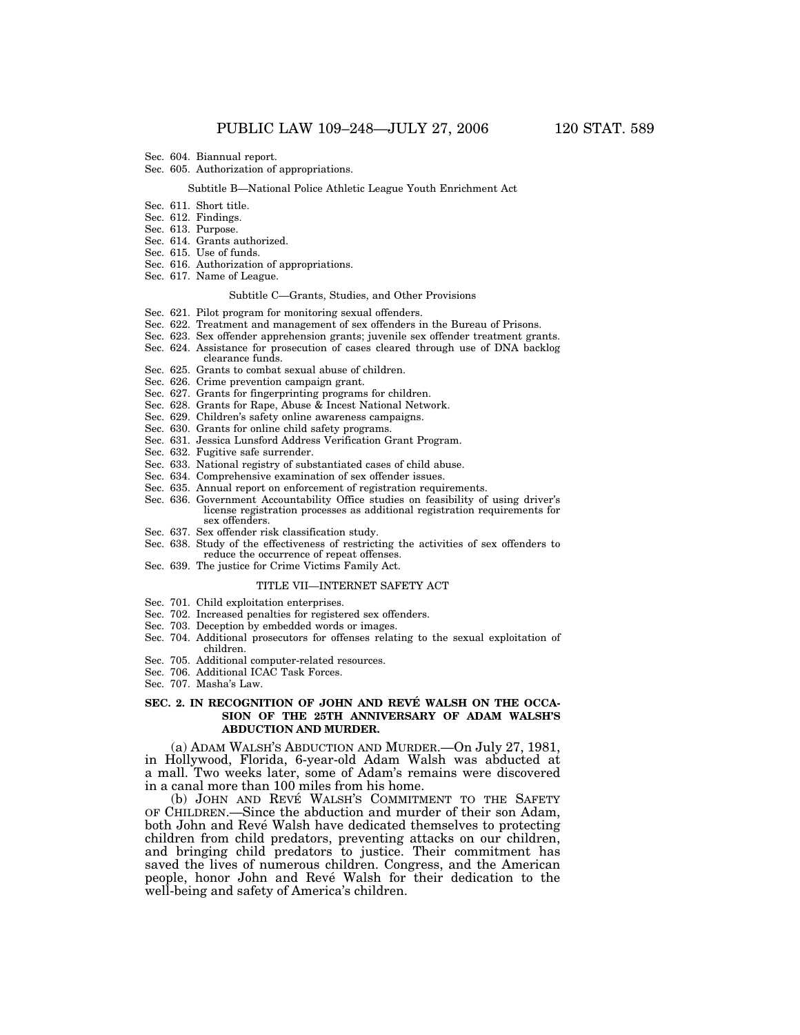Sec. 604. Biannual report.

#### Sec. 605. Authorization of appropriations.

#### Subtitle B—National Police Athletic League Youth Enrichment Act

- Sec. 611. Short title.
- Sec. 612. Findings.
- Sec. 613. Purpose.
- Sec. 614. Grants authorized.
- Sec. 615. Use of funds.
- Sec. 616. Authorization of appropriations.
- Sec. 617. Name of League.

#### Subtitle C—Grants, Studies, and Other Provisions

- Sec. 621. Pilot program for monitoring sexual offenders.
- Sec. 622. Treatment and management of sex offenders in the Bureau of Prisons.
- Sec. 623. Sex offender apprehension grants; juvenile sex offender treatment grants.
- Sec. 624. Assistance for prosecution of cases cleared through use of DNA backlog clearance funds.
- Sec. 625. Grants to combat sexual abuse of children.
- Sec. 626. Crime prevention campaign grant.
- Sec. 627. Grants for fingerprinting programs for children.
- Sec. 628. Grants for Rape, Abuse & Incest National Network.
- Sec. 629. Children's safety online awareness campaigns.
- Sec. 630. Grants for online child safety programs.
- Sec. 631. Jessica Lunsford Address Verification Grant Program.
- Sec. 632. Fugitive safe surrender.
- Sec. 633. National registry of substantiated cases of child abuse.
- Sec. 634. Comprehensive examination of sex offender issues.
- Sec. 635. Annual report on enforcement of registration requirements.
- Sec. 636. Government Accountability Office studies on feasibility of using driver's license registration processes as additional registration requirements for sex offenders.
- Sec. 637. Sex offender risk classification study.
- Sec. 638. Study of the effectiveness of restricting the activities of sex offenders to reduce the occurrence of repeat offenses.
- Sec. 639. The justice for Crime Victims Family Act.

#### TITLE VII—INTERNET SAFETY ACT

- Sec. 701. Child exploitation enterprises.
- Sec. 702. Increased penalties for registered sex offenders.
- Sec. 703. Deception by embedded words or images.
- Sec. 704. Additional prosecutors for offenses relating to the sexual exploitation of children.
- Sec. 705. Additional computer-related resources.
- Sec. 706. Additional ICAC Task Forces.
- Sec. 707. Masha's Law.

#### SEC. 2. IN RECOGNITION OF JOHN AND REVE WALSH ON THE OCCA-**SION OF THE 25TH ANNIVERSARY OF ADAM WALSH'S ABDUCTION AND MURDER.**

(a) ADAM WALSH'S ABDUCTION AND MURDER.—On July 27, 1981, in Hollywood, Florida, 6-year-old Adam Walsh was abducted at a mall. Two weeks later, some of Adam's remains were discovered in a canal more than 100 miles from his home.

(b) JOHN AND REVÉ WALSH'S COMMITMENT TO THE SAFETY OF CHILDREN.—Since the abduction and murder of their son Adam, both John and Revé Walsh have dedicated themselves to protecting children from child predators, preventing attacks on our children, and bringing child predators to justice. Their commitment has saved the lives of numerous children. Congress, and the American people, honor John and Revé Walsh for their dedication to the well-being and safety of America's children.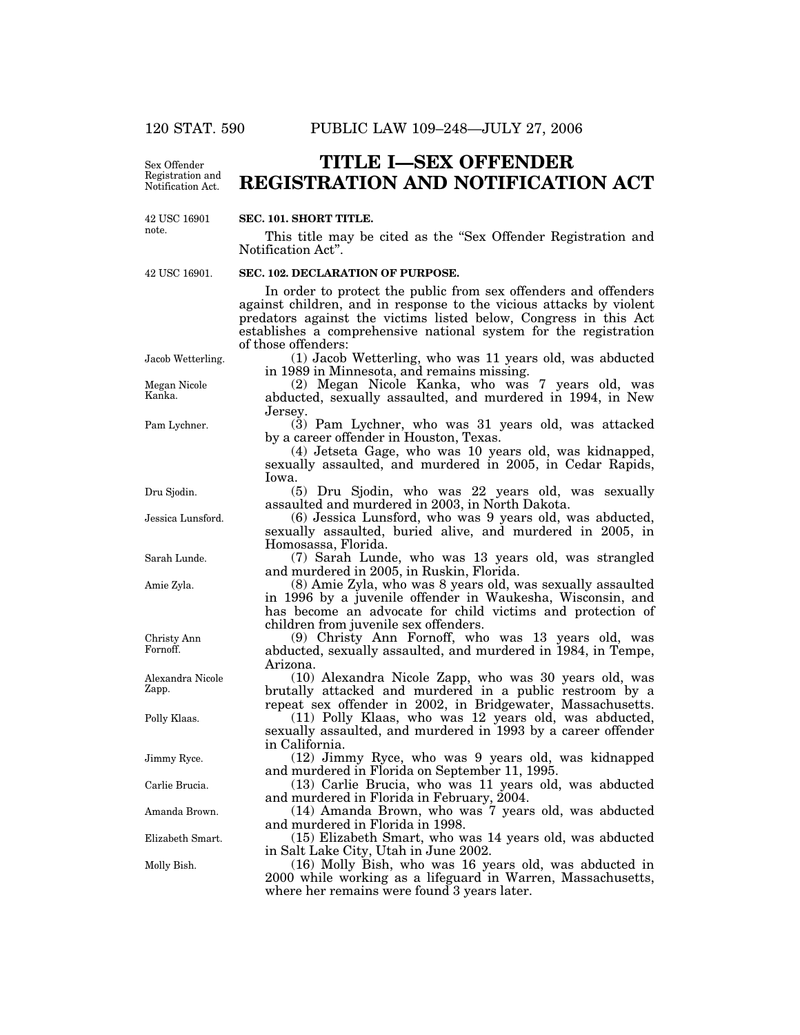Sex Offender Registration and Notification Act.

## **TITLE I—SEX OFFENDER REGISTRATION AND NOTIFICATION ACT**

42 USC 16901 note.

## **SEC. 101. SHORT TITLE.**

This title may be cited as the ''Sex Offender Registration and Notification Act''.

42 USC 16901.

## **SEC. 102. DECLARATION OF PURPOSE.**

In order to protect the public from sex offenders and offenders against children, and in response to the vicious attacks by violent predators against the victims listed below, Congress in this Act establishes a comprehensive national system for the registration of those offenders:

(1) Jacob Wetterling, who was 11 years old, was abducted in 1989 in Minnesota, and remains missing.

(2) Megan Nicole Kanka, who was 7 years old, was abducted, sexually assaulted, and murdered in 1994, in New Jersey.

(3) Pam Lychner, who was 31 years old, was attacked by a career offender in Houston, Texas.

(4) Jetseta Gage, who was 10 years old, was kidnapped, sexually assaulted, and murdered in 2005, in Cedar Rapids, Iowa.

(5) Dru Sjodin, who was 22 years old, was sexually assaulted and murdered in 2003, in North Dakota.

(6) Jessica Lunsford, who was 9 years old, was abducted, sexually assaulted, buried alive, and murdered in 2005, in Homosassa, Florida.

(7) Sarah Lunde, who was 13 years old, was strangled and murdered in 2005, in Ruskin, Florida.

(8) Amie Zyla, who was 8 years old, was sexually assaulted in 1996 by a juvenile offender in Waukesha, Wisconsin, and has become an advocate for child victims and protection of children from juvenile sex offenders.

(9) Christy Ann Fornoff, who was 13 years old, was abducted, sexually assaulted, and murdered in 1984, in Tempe, Arizona.

(10) Alexandra Nicole Zapp, who was 30 years old, was brutally attacked and murdered in a public restroom by a repeat sex offender in 2002, in Bridgewater, Massachusetts.

(11) Polly Klaas, who was 12 years old, was abducted, sexually assaulted, and murdered in 1993 by a career offender in California.

(12) Jimmy Ryce, who was 9 years old, was kidnapped and murdered in Florida on September 11, 1995.

(13) Carlie Brucia, who was 11 years old, was abducted and murdered in Florida in February, 2004.

(14) Amanda Brown, who was 7 years old, was abducted and murdered in Florida in 1998.

(15) Elizabeth Smart, who was 14 years old, was abducted in Salt Lake City, Utah in June 2002.

(16) Molly Bish, who was 16 years old, was abducted in 2000 while working as a lifeguard in Warren, Massachusetts, where her remains were found 3 years later.

Jacob Wetterling.

Megan Nicole Kanka.

Pam Lychner.

Dru Sjodin.

Jessica Lunsford.

Sarah Lunde.

Amie Zyla.

Christy Ann Fornoff.

Alexandra Nicole Zapp.

Polly Klaas.

Jimmy Ryce.

Carlie Brucia.

Amanda Brown.

Elizabeth Smart.

Molly Bish.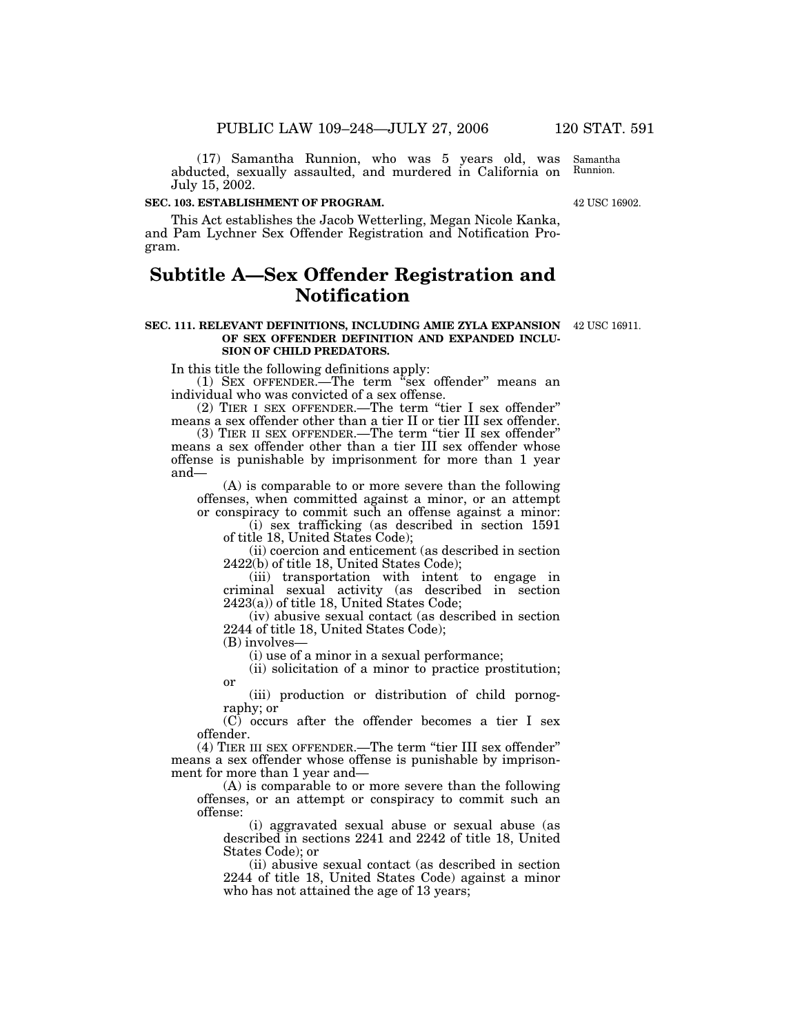(17) Samantha Runnion, who was 5 years old, was abducted, sexually assaulted, and murdered in California on July 15, 2002. Samantha Runnion.

#### **SEC. 103. ESTABLISHMENT OF PROGRAM.**

This Act establishes the Jacob Wetterling, Megan Nicole Kanka, and Pam Lychner Sex Offender Registration and Notification Program.

## **Subtitle A—Sex Offender Registration and Notification**

#### **SEC. 111. RELEVANT DEFINITIONS, INCLUDING AMIE ZYLA EXPANSION** 42 USC 16911. **OF SEX OFFENDER DEFINITION AND EXPANDED INCLU-SION OF CHILD PREDATORS.**

In this title the following definitions apply:

(1) SEX OFFENDER.—The term ''sex offender'' means an individual who was convicted of a sex offense.

(2) TIER I SEX OFFENDER.—The term ''tier I sex offender'' means a sex offender other than a tier II or tier III sex offender.

(3) TIER II SEX OFFENDER.—The term ''tier II sex offender'' means a sex offender other than a tier III sex offender whose offense is punishable by imprisonment for more than 1 year and—

(A) is comparable to or more severe than the following offenses, when committed against a minor, or an attempt or conspiracy to commit such an offense against a minor:

(i) sex trafficking (as described in section 1591 of title 18, United States Code);

(ii) coercion and enticement (as described in section 2422(b) of title 18, United States Code);

(iii) transportation with intent to engage in criminal sexual activity (as described in section 2423(a)) of title 18, United States Code;

(iv) abusive sexual contact (as described in section 2244 of title 18, United States Code);

(B) involves—

(i) use of a minor in a sexual performance;

(ii) solicitation of a minor to practice prostitution; or

(iii) production or distribution of child pornography; or

(C) occurs after the offender becomes a tier I sex offender.

(4) TIER III SEX OFFENDER.—The term ''tier III sex offender'' means a sex offender whose offense is punishable by imprisonment for more than 1 year and—

(A) is comparable to or more severe than the following offenses, or an attempt or conspiracy to commit such an offense:

(i) aggravated sexual abuse or sexual abuse (as described in sections 2241 and 2242 of title 18, United States Code); or

(ii) abusive sexual contact (as described in section 2244 of title 18, United States Code) against a minor who has not attained the age of 13 years;

42 USC 16902.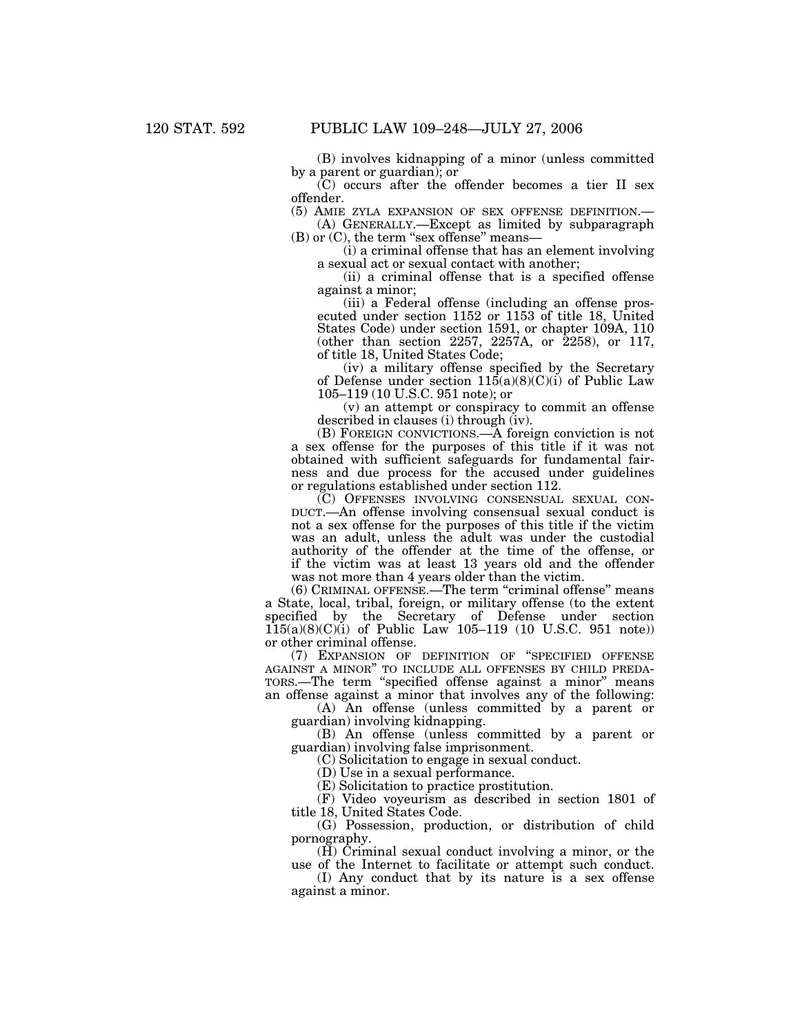(B) involves kidnapping of a minor (unless committed by a parent or guardian); or

(C) occurs after the offender becomes a tier II sex offender.

(5) AMIE ZYLA EXPANSION OF SEX OFFENSE DEFINITION.— (A) GENERALLY.—Except as limited by subparagraph

(B) or (C), the term "sex offense" means—

(i) a criminal offense that has an element involving a sexual act or sexual contact with another;

(ii) a criminal offense that is a specified offense against a minor;

(iii) a Federal offense (including an offense prosecuted under section 1152 or 1153 of title 18, United States Code) under section 1591, or chapter 109A, 110 (other than section 2257, 2257A, or 2258), or 117, of title 18, United States Code;

(iv) a military offense specified by the Secretary of Defense under section  $11\overline{5}(a)(8)(C)(i)$  of Public Law 105–119 (10 U.S.C. 951 note); or

(v) an attempt or conspiracy to commit an offense described in clauses (i) through (iv).

(B) FOREIGN CONVICTIONS.—A foreign conviction is not a sex offense for the purposes of this title if it was not obtained with sufficient safeguards for fundamental fairness and due process for the accused under guidelines or regulations established under section 112.

(C) OFFENSES INVOLVING CONSENSUAL SEXUAL CON-DUCT.—An offense involving consensual sexual conduct is not a sex offense for the purposes of this title if the victim was an adult, unless the adult was under the custodial authority of the offender at the time of the offense, or if the victim was at least 13 years old and the offender was not more than 4 years older than the victim.

(6) CRIMINAL OFFENSE.—The term ''criminal offense'' means a State, local, tribal, foreign, or military offense (to the extent specified by the Secretary of Defense under section  $115(a)(8)(C)(i)$  of Public Law 105-119 (10 U.S.C. 951 note)) or other criminal offense.

(7) EXPANSION OF DEFINITION OF ''SPECIFIED OFFENSE AGAINST A MINOR'' TO INCLUDE ALL OFFENSES BY CHILD PREDA-TORS.—The term ''specified offense against a minor'' means an offense against a minor that involves any of the following:

(A) An offense (unless committed by a parent or guardian) involving kidnapping.

(B) An offense (unless committed by a parent or guardian) involving false imprisonment.

(C) Solicitation to engage in sexual conduct.

(D) Use in a sexual performance.

(E) Solicitation to practice prostitution.

(F) Video voyeurism as described in section 1801 of title 18, United States Code.

(G) Possession, production, or distribution of child pornography.

(H) Criminal sexual conduct involving a minor, or the use of the Internet to facilitate or attempt such conduct.

(I) Any conduct that by its nature is a sex offense against a minor.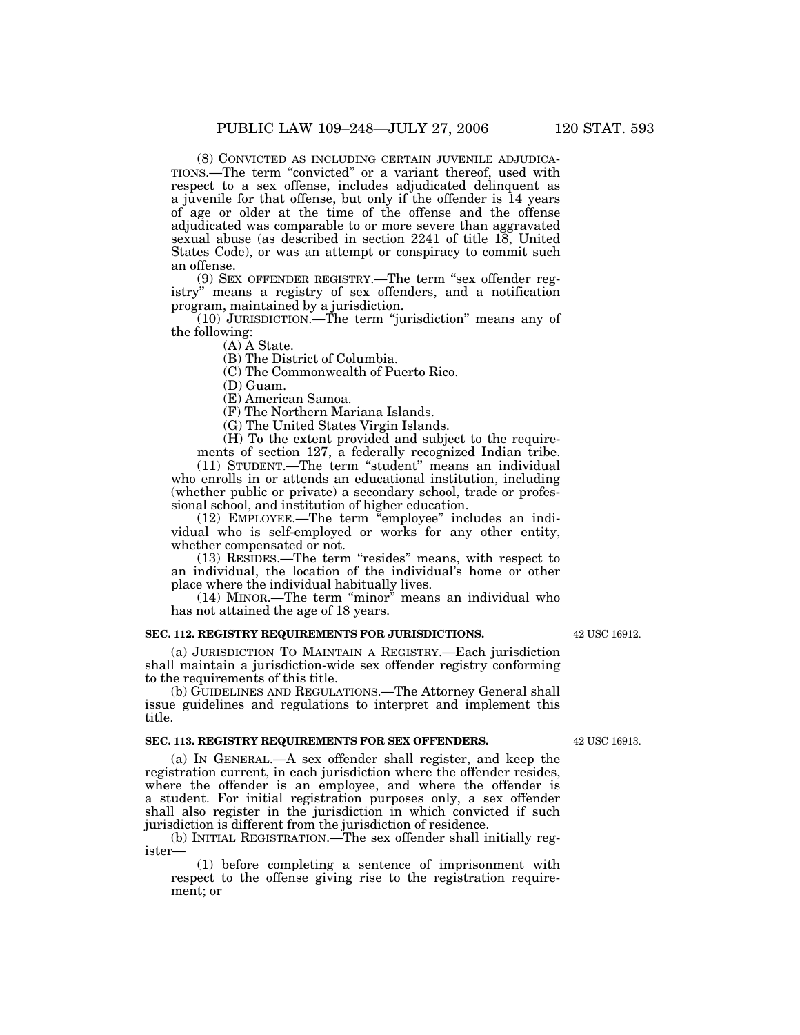(8) CONVICTED AS INCLUDING CERTAIN JUVENILE ADJUDICA-TIONS.—The term ''convicted'' or a variant thereof, used with respect to a sex offense, includes adjudicated delinquent as a juvenile for that offense, but only if the offender is 14 years of age or older at the time of the offense and the offense adjudicated was comparable to or more severe than aggravated sexual abuse (as described in section 2241 of title 18, United States Code), or was an attempt or conspiracy to commit such an offense.

(9) SEX OFFENDER REGISTRY.—The term ''sex offender registry'' means a registry of sex offenders, and a notification program, maintained by a jurisdiction.

(10) JURISDICTION.—The term ''jurisdiction'' means any of the following:

(A) A State.

(B) The District of Columbia.

(C) The Commonwealth of Puerto Rico.

(D) Guam.

(E) American Samoa.

(F) The Northern Mariana Islands.

(G) The United States Virgin Islands.

(H) To the extent provided and subject to the require-

ments of section 127, a federally recognized Indian tribe. (11) STUDENT.—The term ''student'' means an individual who enrolls in or attends an educational institution, including (whether public or private) a secondary school, trade or professional school, and institution of higher education.

(12) EMPLOYEE.—The term ''employee'' includes an individual who is self-employed or works for any other entity, whether compensated or not.

(13) RESIDES.—The term ''resides'' means, with respect to an individual, the location of the individual's home or other place where the individual habitually lives.

 $(14)$  MINOR.—The term "minor" means an individual who has not attained the age of 18 years.

#### **SEC. 112. REGISTRY REQUIREMENTS FOR JURISDICTIONS.**

(a) JURISDICTION TO MAINTAIN A REGISTRY.—Each jurisdiction shall maintain a jurisdiction-wide sex offender registry conforming to the requirements of this title.

(b) GUIDELINES AND REGULATIONS.—The Attorney General shall issue guidelines and regulations to interpret and implement this title.

## **SEC. 113. REGISTRY REQUIREMENTS FOR SEX OFFENDERS.**

(a) IN GENERAL.—A sex offender shall register, and keep the registration current, in each jurisdiction where the offender resides, where the offender is an employee, and where the offender is a student. For initial registration purposes only, a sex offender shall also register in the jurisdiction in which convicted if such jurisdiction is different from the jurisdiction of residence.

(b) INITIAL REGISTRATION.—The sex offender shall initially register—

(1) before completing a sentence of imprisonment with respect to the offense giving rise to the registration requirement; or

42 USC 16913.

42 USC 16912.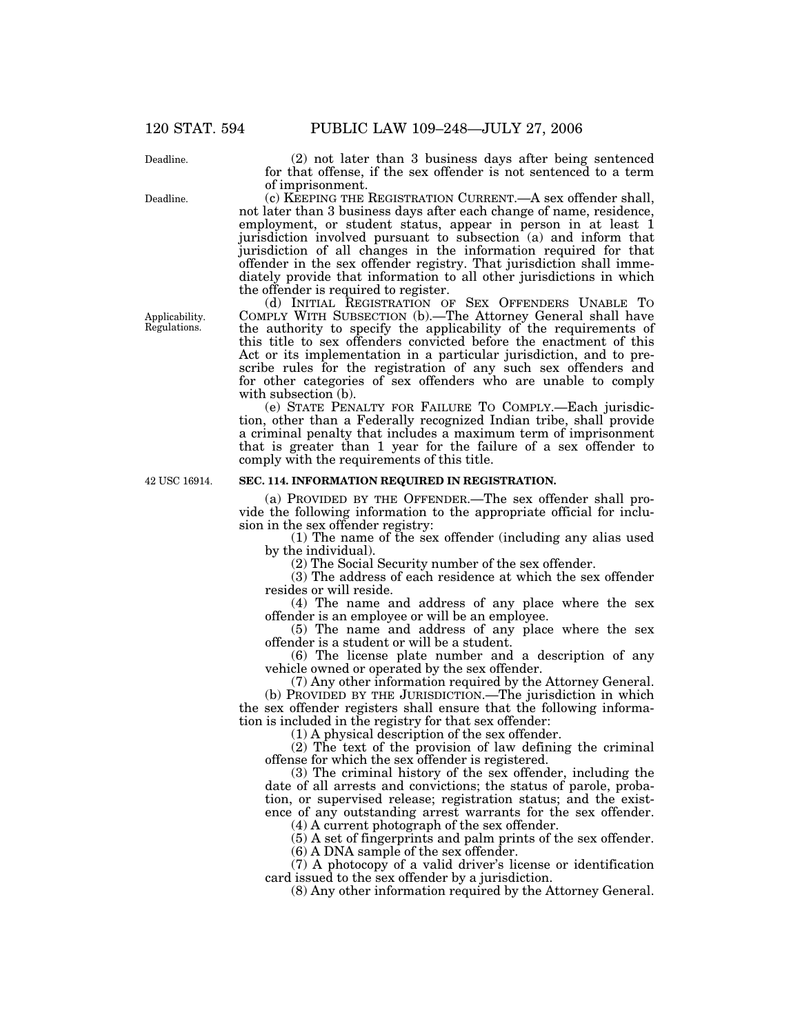(2) not later than 3 business days after being sentenced

Deadline.

for that offense, if the sex offender is not sentenced to a term of imprisonment.

(c) KEEPING THE REGISTRATION CURRENT.—A sex offender shall, not later than 3 business days after each change of name, residence, employment, or student status, appear in person in at least 1 jurisdiction involved pursuant to subsection (a) and inform that jurisdiction of all changes in the information required for that offender in the sex offender registry. That jurisdiction shall immediately provide that information to all other jurisdictions in which the offender is required to register.

(d) INITIAL REGISTRATION OF SEX OFFENDERS UNABLE TO COMPLY WITH SUBSECTION (b).—The Attorney General shall have the authority to specify the applicability of the requirements of this title to sex offenders convicted before the enactment of this Act or its implementation in a particular jurisdiction, and to prescribe rules for the registration of any such sex offenders and for other categories of sex offenders who are unable to comply with subsection (b).

(e) STATE PENALTY FOR FAILURE TO COMPLY.—Each jurisdiction, other than a Federally recognized Indian tribe, shall provide a criminal penalty that includes a maximum term of imprisonment that is greater than 1 year for the failure of a sex offender to comply with the requirements of this title.

42 USC 16914.

#### **SEC. 114. INFORMATION REQUIRED IN REGISTRATION.**

(a) PROVIDED BY THE OFFENDER.—The sex offender shall provide the following information to the appropriate official for inclusion in the sex offender registry:

(1) The name of the sex offender (including any alias used by the individual).

(2) The Social Security number of the sex offender.

(3) The address of each residence at which the sex offender resides or will reside.

(4) The name and address of any place where the sex offender is an employee or will be an employee.

(5) The name and address of any place where the sex offender is a student or will be a student.

(6) The license plate number and a description of any vehicle owned or operated by the sex offender.

(7) Any other information required by the Attorney General.

(b) PROVIDED BY THE JURISDICTION.—The jurisdiction in which the sex offender registers shall ensure that the following information is included in the registry for that sex offender:

(1) A physical description of the sex offender.

(2) The text of the provision of law defining the criminal offense for which the sex offender is registered.

(3) The criminal history of the sex offender, including the date of all arrests and convictions; the status of parole, probation, or supervised release; registration status; and the existence of any outstanding arrest warrants for the sex offender.

(4) A current photograph of the sex offender.

(5) A set of fingerprints and palm prints of the sex offender.

(6) A DNA sample of the sex offender.

(7) A photocopy of a valid driver's license or identification card issued to the sex offender by a jurisdiction.

(8) Any other information required by the Attorney General.

Deadline.

Applicability. Regulations.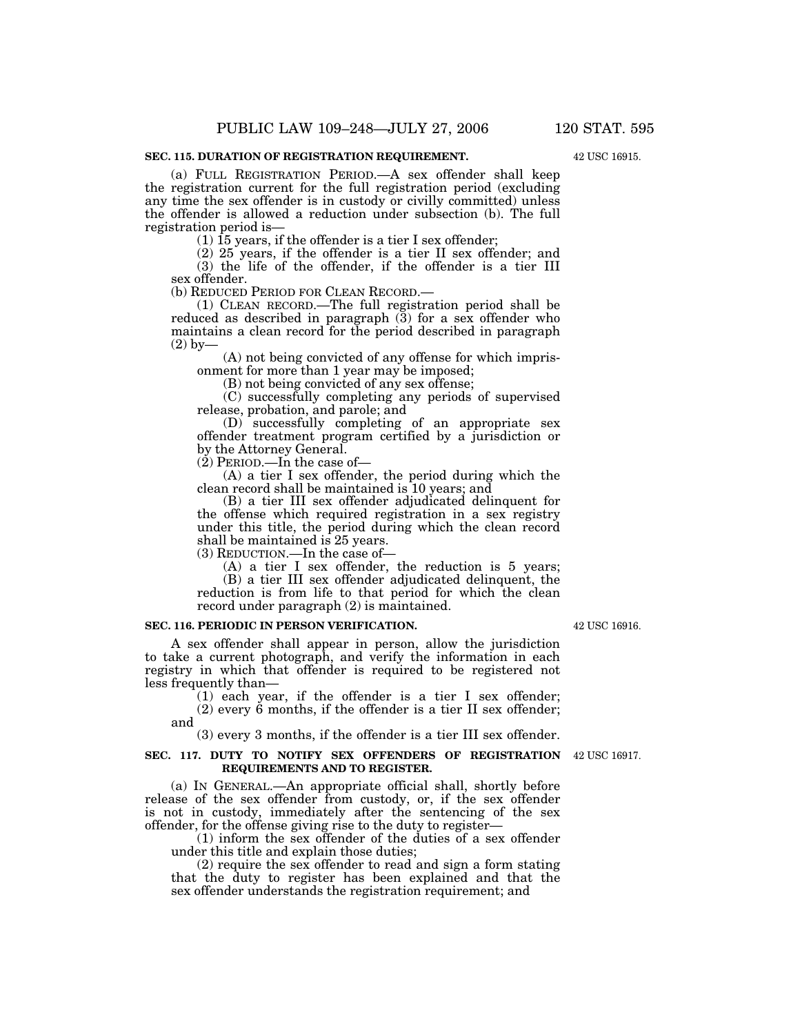#### **SEC. 115. DURATION OF REGISTRATION REQUIREMENT.**

(a) FULL REGISTRATION PERIOD.—A sex offender shall keep the registration current for the full registration period (excluding any time the sex offender is in custody or civilly committed) unless the offender is allowed a reduction under subsection (b). The full registration period is—

 $(1)$  15 years, if the offender is a tier I sex offender;

(2) 25 years, if the offender is a tier II sex offender; and (3) the life of the offender, if the offender is a tier III sex offender.

(b) REDUCED PERIOD FOR CLEAN RECORD.—

(1) CLEAN RECORD.—The full registration period shall be reduced as described in paragraph  $(3)$  for a sex offender who maintains a clean record for the period described in paragraph  $(2)$  by-

(A) not being convicted of any offense for which imprisonment for more than 1 year may be imposed;

(B) not being convicted of any sex offense;

(C) successfully completing any periods of supervised release, probation, and parole; and

(D) successfully completing of an appropriate sex offender treatment program certified by a jurisdiction or by the Attorney General.

(2) PERIOD.—In the case of—

(A) a tier I sex offender, the period during which the clean record shall be maintained is 10 years; and

(B) a tier III sex offender adjudicated delinquent for the offense which required registration in a sex registry under this title, the period during which the clean record shall be maintained is 25 years.

(3) REDUCTION.—In the case of—

(A) a tier I sex offender, the reduction is 5 years; (B) a tier III sex offender adjudicated delinquent, the

reduction is from life to that period for which the clean record under paragraph (2) is maintained.

## **SEC. 116. PERIODIC IN PERSON VERIFICATION.**

A sex offender shall appear in person, allow the jurisdiction to take a current photograph, and verify the information in each registry in which that offender is required to be registered not less frequently than—

 $(1)$  each year, if the offender is a tier I sex offender; (2) every 6 months, if the offender is a tier II sex offender; and

(3) every 3 months, if the offender is a tier III sex offender.

#### **SEC. 117. DUTY TO NOTIFY SEX OFFENDERS OF REGISTRATION** 42 USC 16917. **REQUIREMENTS AND TO REGISTER.**

(a) IN GENERAL.—An appropriate official shall, shortly before release of the sex offender from custody, or, if the sex offender is not in custody, immediately after the sentencing of the sex offender, for the offense giving rise to the duty to register—

(1) inform the sex offender of the duties of a sex offender under this title and explain those duties;

(2) require the sex offender to read and sign a form stating that the duty to register has been explained and that the sex offender understands the registration requirement; and

42 USC 16916.

42 USC 16915.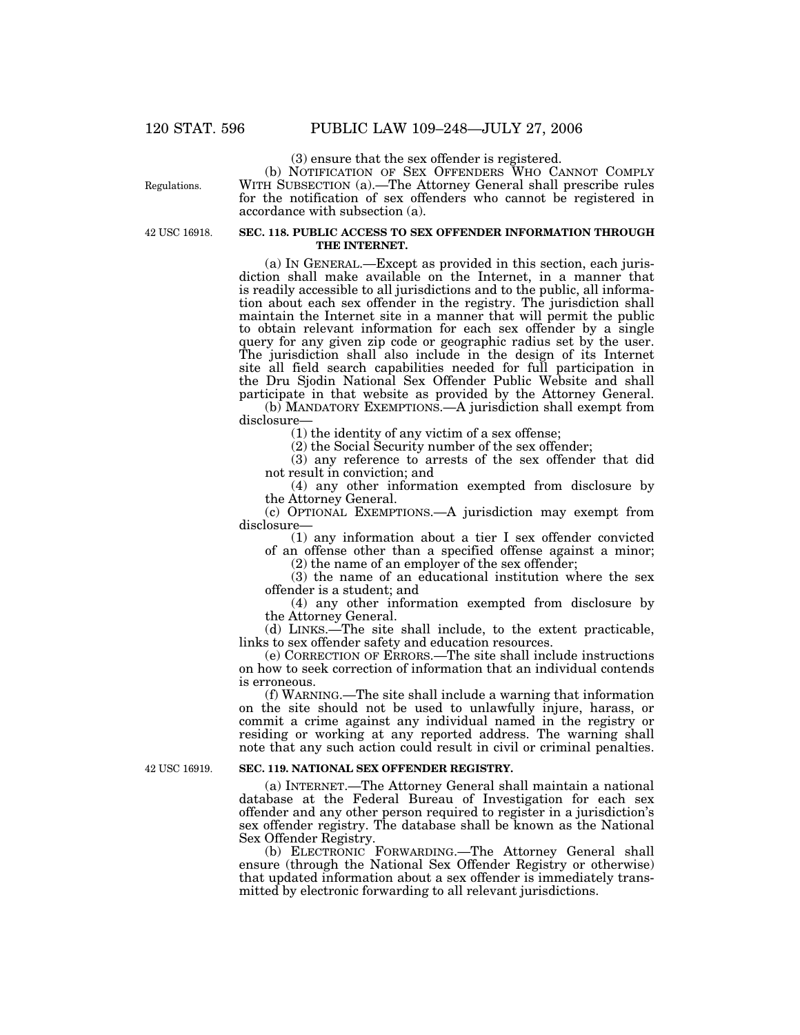(3) ensure that the sex offender is registered.

(b) NOTIFICATION OF SEX OFFENDERS WHO CANNOT COMPLY WITH SUBSECTION (a).—The Attorney General shall prescribe rules for the notification of sex offenders who cannot be registered in accordance with subsection (a).

42 USC 16918.

## **SEC. 118. PUBLIC ACCESS TO SEX OFFENDER INFORMATION THROUGH THE INTERNET.**

(a) IN GENERAL.—Except as provided in this section, each jurisdiction shall make available on the Internet, in a manner that is readily accessible to all jurisdictions and to the public, all information about each sex offender in the registry. The jurisdiction shall maintain the Internet site in a manner that will permit the public to obtain relevant information for each sex offender by a single query for any given zip code or geographic radius set by the user. The jurisdiction shall also include in the design of its Internet site all field search capabilities needed for full participation in the Dru Sjodin National Sex Offender Public Website and shall participate in that website as provided by the Attorney General.

(b) MANDATORY EXEMPTIONS.—A jurisdiction shall exempt from disclosure—

(1) the identity of any victim of a sex offense;

(2) the Social Security number of the sex offender;

(3) any reference to arrests of the sex offender that did not result in conviction; and

(4) any other information exempted from disclosure by the Attorney General.

(c) OPTIONAL EXEMPTIONS.—A jurisdiction may exempt from disclosure—

(1) any information about a tier I sex offender convicted of an offense other than a specified offense against a minor;

(2) the name of an employer of the sex offender;

(3) the name of an educational institution where the sex offender is a student; and

(4) any other information exempted from disclosure by the Attorney General.

(d) LINKS.—The site shall include, to the extent practicable, links to sex offender safety and education resources.

(e) CORRECTION OF ERRORS.—The site shall include instructions on how to seek correction of information that an individual contends is erroneous.

(f) WARNING.—The site shall include a warning that information on the site should not be used to unlawfully injure, harass, or commit a crime against any individual named in the registry or residing or working at any reported address. The warning shall note that any such action could result in civil or criminal penalties.

42 USC 16919.

## **SEC. 119. NATIONAL SEX OFFENDER REGISTRY.**

(a) INTERNET.—The Attorney General shall maintain a national database at the Federal Bureau of Investigation for each sex offender and any other person required to register in a jurisdiction's sex offender registry. The database shall be known as the National Sex Offender Registry.

(b) ELECTRONIC FORWARDING.—The Attorney General shall ensure (through the National Sex Offender Registry or otherwise) that updated information about a sex offender is immediately transmitted by electronic forwarding to all relevant jurisdictions.

Regulations.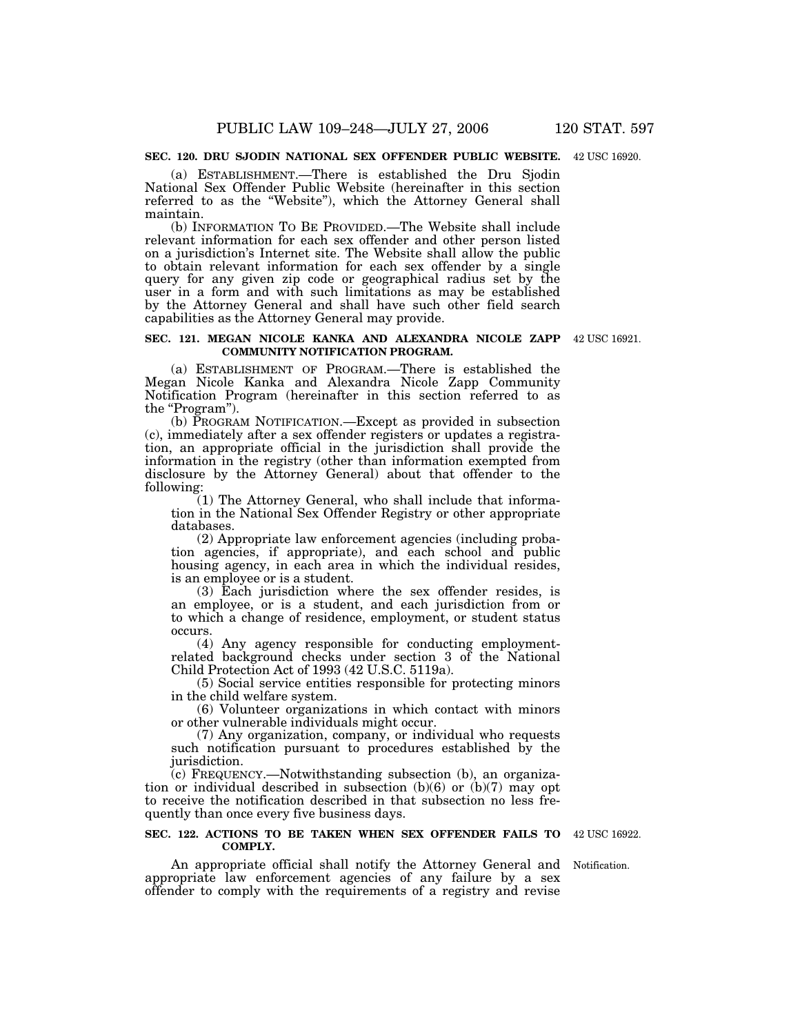(a) ESTABLISHMENT.—There is established the Dru Sjodin National Sex Offender Public Website (hereinafter in this section referred to as the ''Website''), which the Attorney General shall maintain.

(b) INFORMATION TO BE PROVIDED.—The Website shall include relevant information for each sex offender and other person listed on a jurisdiction's Internet site. The Website shall allow the public to obtain relevant information for each sex offender by a single query for any given zip code or geographical radius set by the user in a form and with such limitations as may be established by the Attorney General and shall have such other field search capabilities as the Attorney General may provide.

#### **SEC. 121. MEGAN NICOLE KANKA AND ALEXANDRA NICOLE ZAPP** 42 USC 16921. **COMMUNITY NOTIFICATION PROGRAM.**

(a) ESTABLISHMENT OF PROGRAM.—There is established the Megan Nicole Kanka and Alexandra Nicole Zapp Community Notification Program (hereinafter in this section referred to as the "Program").

(b) PROGRAM NOTIFICATION.—Except as provided in subsection (c), immediately after a sex offender registers or updates a registration, an appropriate official in the jurisdiction shall provide the information in the registry (other than information exempted from disclosure by the Attorney General) about that offender to the following:

(1) The Attorney General, who shall include that information in the National Sex Offender Registry or other appropriate databases.

(2) Appropriate law enforcement agencies (including probation agencies, if appropriate), and each school and public housing agency, in each area in which the individual resides, is an employee or is a student.

(3) Each jurisdiction where the sex offender resides, is an employee, or is a student, and each jurisdiction from or to which a change of residence, employment, or student status occurs.

(4) Any agency responsible for conducting employmentrelated background checks under section 3 of the National Child Protection Act of 1993 (42 U.S.C. 5119a).

(5) Social service entities responsible for protecting minors in the child welfare system.

(6) Volunteer organizations in which contact with minors or other vulnerable individuals might occur.

(7) Any organization, company, or individual who requests such notification pursuant to procedures established by the jurisdiction.

(c) FREQUENCY.—Notwithstanding subsection (b), an organization or individual described in subsection (b)(6) or (b)(7) may opt to receive the notification described in that subsection no less frequently than once every five business days.

#### **SEC. 122. ACTIONS TO BE TAKEN WHEN SEX OFFENDER FAILS TO** 42 USC 16922. **COMPLY.**

An appropriate official shall notify the Attorney General and Notification. appropriate law enforcement agencies of any failure by a sex offender to comply with the requirements of a registry and revise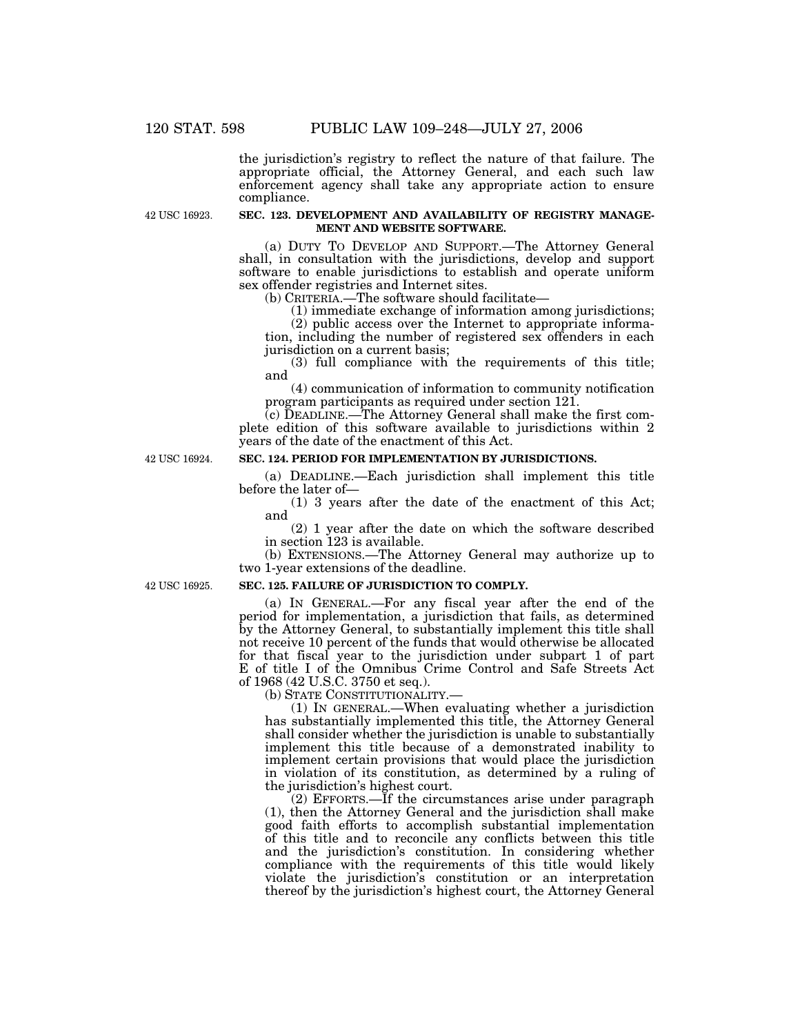the jurisdiction's registry to reflect the nature of that failure. The appropriate official, the Attorney General, and each such law enforcement agency shall take any appropriate action to ensure compliance.

42 USC 16923.

### **SEC. 123. DEVELOPMENT AND AVAILABILITY OF REGISTRY MANAGE-MENT AND WEBSITE SOFTWARE.**

(a) DUTY TO DEVELOP AND SUPPORT.—The Attorney General shall, in consultation with the jurisdictions, develop and support software to enable jurisdictions to establish and operate uniform sex offender registries and Internet sites.

(b) CRITERIA.—The software should facilitate—

(1) immediate exchange of information among jurisdictions;

(2) public access over the Internet to appropriate information, including the number of registered sex offenders in each jurisdiction on a current basis;

(3) full compliance with the requirements of this title; and

(4) communication of information to community notification program participants as required under section 121.

(c) DEADLINE.—The Attorney General shall make the first complete edition of this software available to jurisdictions within 2 years of the date of the enactment of this Act.

42 USC 16924.

#### **SEC. 124. PERIOD FOR IMPLEMENTATION BY JURISDICTIONS.**

(a) DEADLINE.—Each jurisdiction shall implement this title before the later of—

(1) 3 years after the date of the enactment of this Act; and

(2) 1 year after the date on which the software described in section 123 is available.

(b) EXTENSIONS.—The Attorney General may authorize up to two 1-year extensions of the deadline.

42 USC 16925.

#### **SEC. 125. FAILURE OF JURISDICTION TO COMPLY.**

(a) IN GENERAL.—For any fiscal year after the end of the period for implementation, a jurisdiction that fails, as determined by the Attorney General, to substantially implement this title shall not receive 10 percent of the funds that would otherwise be allocated for that fiscal year to the jurisdiction under subpart 1 of part E of title I of the Omnibus Crime Control and Safe Streets Act of 1968 (42 U.S.C. 3750 et seq.).

(b) STATE CONSTITUTIONALITY.—

(1) IN GENERAL.—When evaluating whether a jurisdiction has substantially implemented this title, the Attorney General shall consider whether the jurisdiction is unable to substantially implement this title because of a demonstrated inability to implement certain provisions that would place the jurisdiction in violation of its constitution, as determined by a ruling of the jurisdiction's highest court.

(2) EFFORTS.—If the circumstances arise under paragraph (1), then the Attorney General and the jurisdiction shall make good faith efforts to accomplish substantial implementation of this title and to reconcile any conflicts between this title and the jurisdiction's constitution. In considering whether compliance with the requirements of this title would likely violate the jurisdiction's constitution or an interpretation thereof by the jurisdiction's highest court, the Attorney General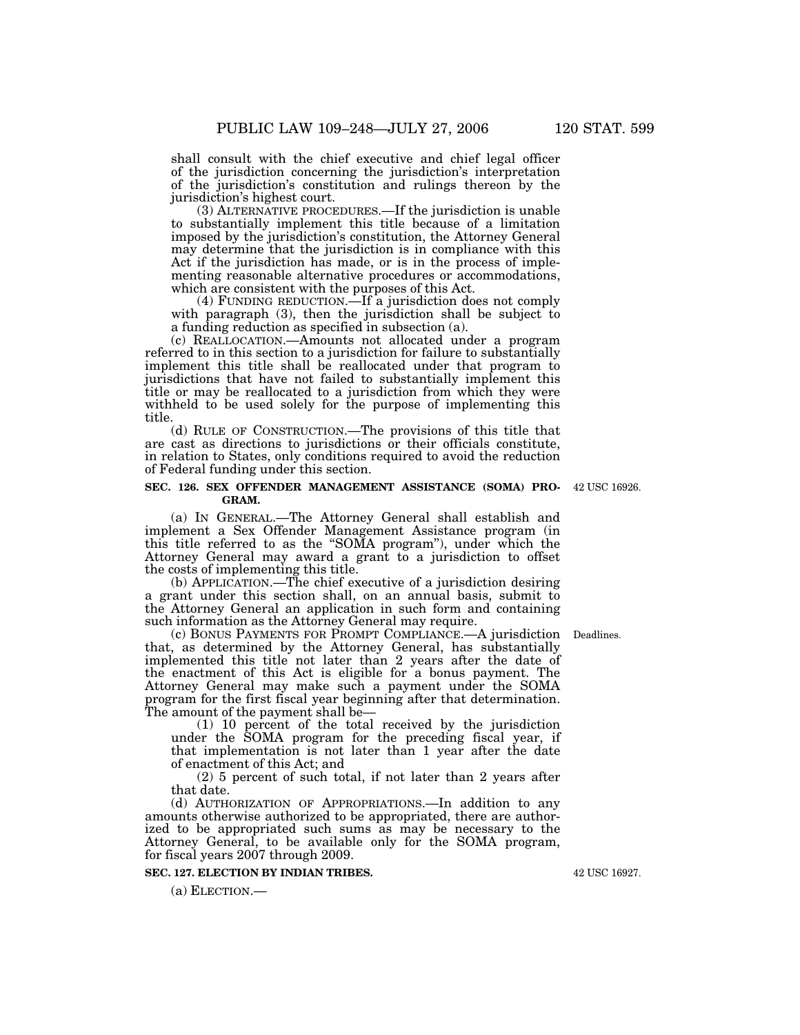shall consult with the chief executive and chief legal officer of the jurisdiction concerning the jurisdiction's interpretation of the jurisdiction's constitution and rulings thereon by the jurisdiction's highest court.

(3) ALTERNATIVE PROCEDURES.—If the jurisdiction is unable to substantially implement this title because of a limitation imposed by the jurisdiction's constitution, the Attorney General may determine that the jurisdiction is in compliance with this Act if the jurisdiction has made, or is in the process of implementing reasonable alternative procedures or accommodations, which are consistent with the purposes of this Act.

(4) FUNDING REDUCTION.—If a jurisdiction does not comply with paragraph (3), then the jurisdiction shall be subject to a funding reduction as specified in subsection (a).

(c) REALLOCATION.—Amounts not allocated under a program referred to in this section to a jurisdiction for failure to substantially implement this title shall be reallocated under that program to jurisdictions that have not failed to substantially implement this title or may be reallocated to a jurisdiction from which they were withheld to be used solely for the purpose of implementing this title.

(d) RULE OF CONSTRUCTION.—The provisions of this title that are cast as directions to jurisdictions or their officials constitute, in relation to States, only conditions required to avoid the reduction of Federal funding under this section.

#### **SEC. 126. SEX OFFENDER MANAGEMENT ASSISTANCE (SOMA) PRO-**42 USC 16926. **GRAM.**

(a) IN GENERAL.—The Attorney General shall establish and implement a Sex Offender Management Assistance program (in this title referred to as the ''SOMA program''), under which the Attorney General may award a grant to a jurisdiction to offset the costs of implementing this title.

(b) APPLICATION.—The chief executive of a jurisdiction desiring a grant under this section shall, on an annual basis, submit to the Attorney General an application in such form and containing such information as the Attorney General may require.

(c) BONUS PAYMENTS FOR PROMPT COMPLIANCE.—A jurisdiction Deadlines. that, as determined by the Attorney General, has substantially implemented this title not later than 2 years after the date of the enactment of this Act is eligible for a bonus payment. The Attorney General may make such a payment under the SOMA program for the first fiscal year beginning after that determination. The amount of the payment shall be—

(1) 10 percent of the total received by the jurisdiction under the SOMA program for the preceding fiscal year, if that implementation is not later than 1 year after the date of enactment of this Act; and

(2) 5 percent of such total, if not later than 2 years after that date.

(d) AUTHORIZATION OF APPROPRIATIONS.—In addition to any amounts otherwise authorized to be appropriated, there are authorized to be appropriated such sums as may be necessary to the Attorney General, to be available only for the SOMA program, for fiscal years 2007 through 2009.

## **SEC. 127. ELECTION BY INDIAN TRIBES.**

(a) ELECTION.—

42 USC 16927.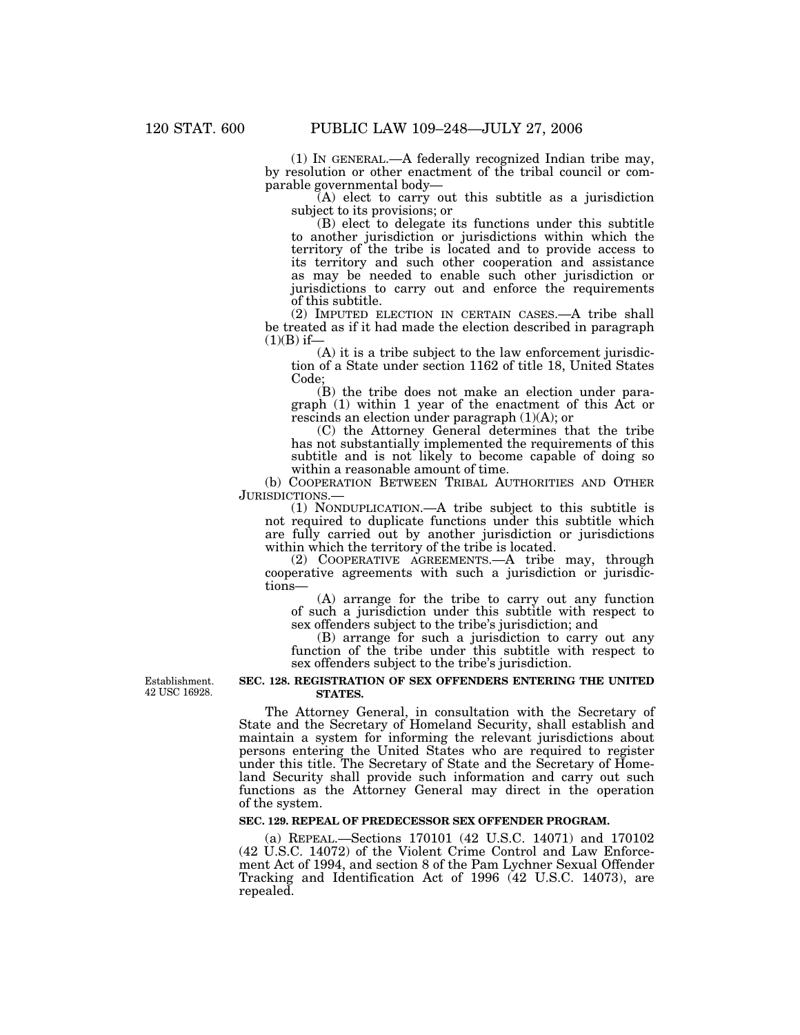(1) IN GENERAL.—A federally recognized Indian tribe may, by resolution or other enactment of the tribal council or comparable governmental body—

(A) elect to carry out this subtitle as a jurisdiction subject to its provisions; or

(B) elect to delegate its functions under this subtitle to another jurisdiction or jurisdictions within which the territory of the tribe is located and to provide access to its territory and such other cooperation and assistance as may be needed to enable such other jurisdiction or jurisdictions to carry out and enforce the requirements of this subtitle.

(2) IMPUTED ELECTION IN CERTAIN CASES.—A tribe shall be treated as if it had made the election described in paragraph  $(1)(B)$  if—

(A) it is a tribe subject to the law enforcement jurisdiction of a State under section 1162 of title 18, United States Code;

(B) the tribe does not make an election under paragraph (1) within 1 year of the enactment of this Act or rescinds an election under paragraph (1)(A); or

(C) the Attorney General determines that the tribe has not substantially implemented the requirements of this subtitle and is not likely to become capable of doing so within a reasonable amount of time.

(b) COOPERATION BETWEEN TRIBAL AUTHORITIES AND OTHER JURISDICTIONS.—

 $(1)$  NONDUPLICATION.—A tribe subject to this subtitle is not required to duplicate functions under this subtitle which are fully carried out by another jurisdiction or jurisdictions within which the territory of the tribe is located.

(2) COOPERATIVE AGREEMENTS.—A tribe may, through cooperative agreements with such a jurisdiction or jurisdictions—

(A) arrange for the tribe to carry out any function of such a jurisdiction under this subtitle with respect to sex offenders subject to the tribe's jurisdiction; and

(B) arrange for such a jurisdiction to carry out any function of the tribe under this subtitle with respect to sex offenders subject to the tribe's jurisdiction.

Establishment. 42 USC 16928.

#### **SEC. 128. REGISTRATION OF SEX OFFENDERS ENTERING THE UNITED STATES.**

The Attorney General, in consultation with the Secretary of State and the Secretary of Homeland Security, shall establish and maintain a system for informing the relevant jurisdictions about persons entering the United States who are required to register under this title. The Secretary of State and the Secretary of Homeland Security shall provide such information and carry out such functions as the Attorney General may direct in the operation of the system.

## **SEC. 129. REPEAL OF PREDECESSOR SEX OFFENDER PROGRAM.**

(a) REPEAL.—Sections 170101 (42 U.S.C. 14071) and 170102 (42 U.S.C. 14072) of the Violent Crime Control and Law Enforcement Act of 1994, and section 8 of the Pam Lychner Sexual Offender Tracking and Identification Act of 1996 (42 U.S.C. 14073), are repealed.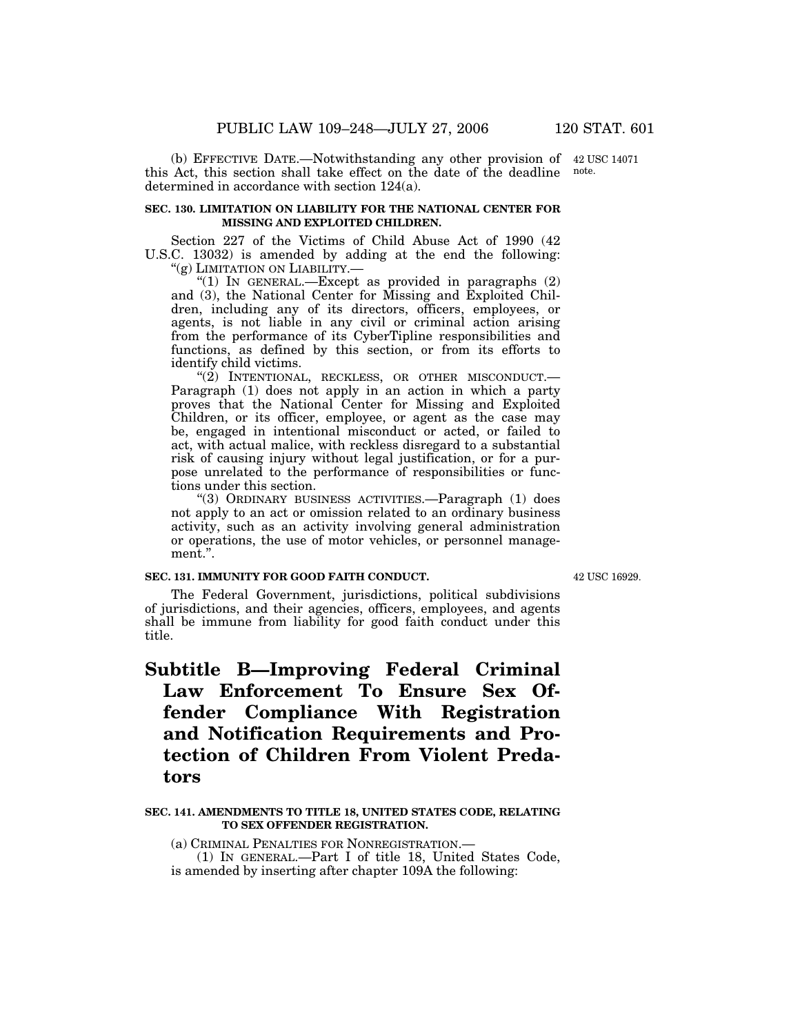(b) EFFECTIVE DATE.—Notwithstanding any other provision of 42 USC 14071 this Act, this section shall take effect on the date of the deadline determined in accordance with section 124(a). note.

## **SEC. 130. LIMITATION ON LIABILITY FOR THE NATIONAL CENTER FOR MISSING AND EXPLOITED CHILDREN.**

Section 227 of the Victims of Child Abuse Act of 1990 (42 U.S.C. 13032) is amended by adding at the end the following: "(g) LIMITATION ON LIABILITY.—

"(1) IN GENERAL.—Except as provided in paragraphs  $(2)$ and (3), the National Center for Missing and Exploited Children, including any of its directors, officers, employees, or agents, is not liable in any civil or criminal action arising from the performance of its CyberTipline responsibilities and functions, as defined by this section, or from its efforts to identify child victims.

''(2) INTENTIONAL, RECKLESS, OR OTHER MISCONDUCT.— Paragraph (1) does not apply in an action in which a party proves that the National Center for Missing and Exploited Children, or its officer, employee, or agent as the case may be, engaged in intentional misconduct or acted, or failed to act, with actual malice, with reckless disregard to a substantial risk of causing injury without legal justification, or for a purpose unrelated to the performance of responsibilities or functions under this section.

''(3) ORDINARY BUSINESS ACTIVITIES.—Paragraph (1) does not apply to an act or omission related to an ordinary business activity, such as an activity involving general administration or operations, the use of motor vehicles, or personnel management.''.

## **SEC. 131. IMMUNITY FOR GOOD FAITH CONDUCT.**

42 USC 16929.

The Federal Government, jurisdictions, political subdivisions of jurisdictions, and their agencies, officers, employees, and agents shall be immune from liability for good faith conduct under this title.

# **Subtitle B—Improving Federal Criminal Law Enforcement To Ensure Sex Offender Compliance With Registration and Notification Requirements and Protection of Children From Violent Predators**

## **SEC. 141. AMENDMENTS TO TITLE 18, UNITED STATES CODE, RELATING TO SEX OFFENDER REGISTRATION.**

(a) CRIMINAL PENALTIES FOR NONREGISTRATION.—

(1) IN GENERAL.—Part I of title 18, United States Code, is amended by inserting after chapter 109A the following: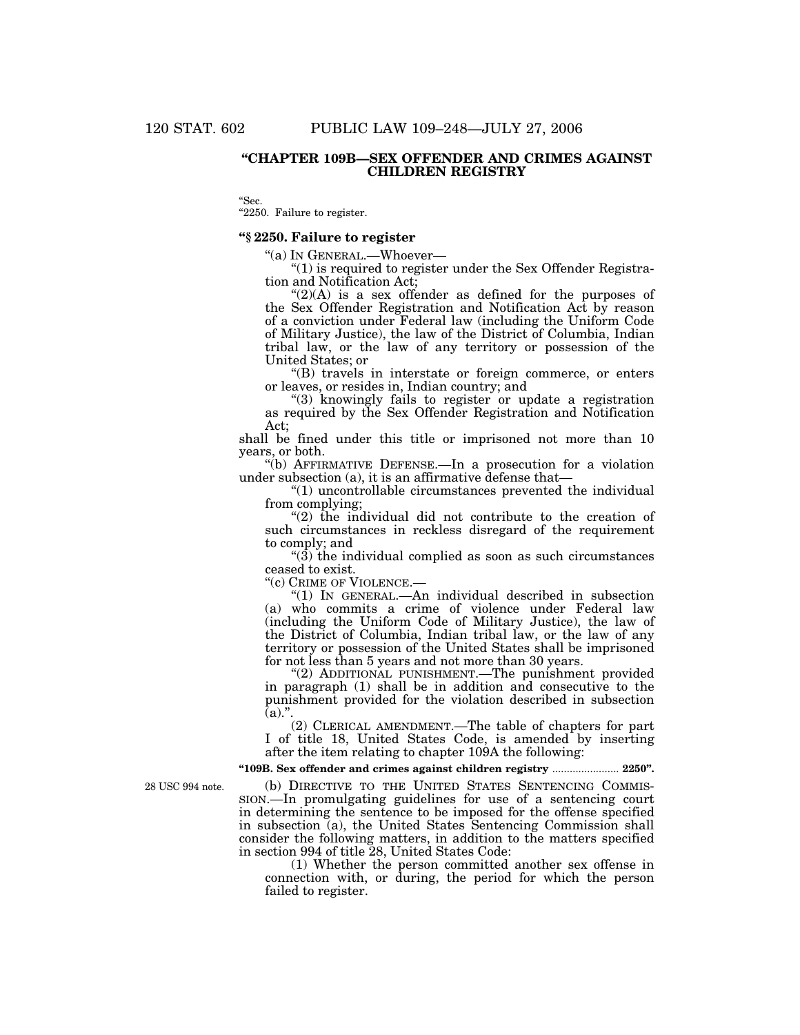## **''CHAPTER 109B—SEX OFFENDER AND CRIMES AGAINST CHILDREN REGISTRY**

''Sec.

"2250. Failure to register.

## **''§ 2250. Failure to register**

''(a) IN GENERAL.—Whoever—

 $(1)$  is required to register under the Sex Offender Registration and Notification Act;

 $''(2)(A)$  is a sex offender as defined for the purposes of the Sex Offender Registration and Notification Act by reason of a conviction under Federal law (including the Uniform Code of Military Justice), the law of the District of Columbia, Indian tribal law, or the law of any territory or possession of the United States; or

''(B) travels in interstate or foreign commerce, or enters or leaves, or resides in, Indian country; and

''(3) knowingly fails to register or update a registration as required by the Sex Offender Registration and Notification Act;

shall be fined under this title or imprisoned not more than 10 years, or both.

''(b) AFFIRMATIVE DEFENSE.—In a prosecution for a violation under subsection (a), it is an affirmative defense that—

''(1) uncontrollable circumstances prevented the individual from complying;

"(2) the individual did not contribute to the creation of such circumstances in reckless disregard of the requirement to comply; and

 $\cdot$ (3) the individual complied as soon as such circumstances ceased to exist.

''(c) CRIME OF VIOLENCE.—

''(1) IN GENERAL.—An individual described in subsection (a) who commits a crime of violence under Federal law (including the Uniform Code of Military Justice), the law of the District of Columbia, Indian tribal law, or the law of any territory or possession of the United States shall be imprisoned for not less than 5 years and not more than 30 years.

"(2) ADDITIONAL PUNISHMENT.—The punishment provided in paragraph (1) shall be in addition and consecutive to the punishment provided for the violation described in subsection  $(a)$ .".

(2) CLERICAL AMENDMENT.—The table of chapters for part I of title 18, United States Code, is amended by inserting after the item relating to chapter 109A the following:

#### **''109B. Sex offender and crimes against children registry** ....................... **2250''.**

28 USC 994 note.

(b) DIRECTIVE TO THE UNITED STATES SENTENCING COMMIS-SION.—In promulgating guidelines for use of a sentencing court in determining the sentence to be imposed for the offense specified in subsection (a), the United States Sentencing Commission shall consider the following matters, in addition to the matters specified in section 994 of title 28, United States Code:

(1) Whether the person committed another sex offense in connection with, or during, the period for which the person failed to register.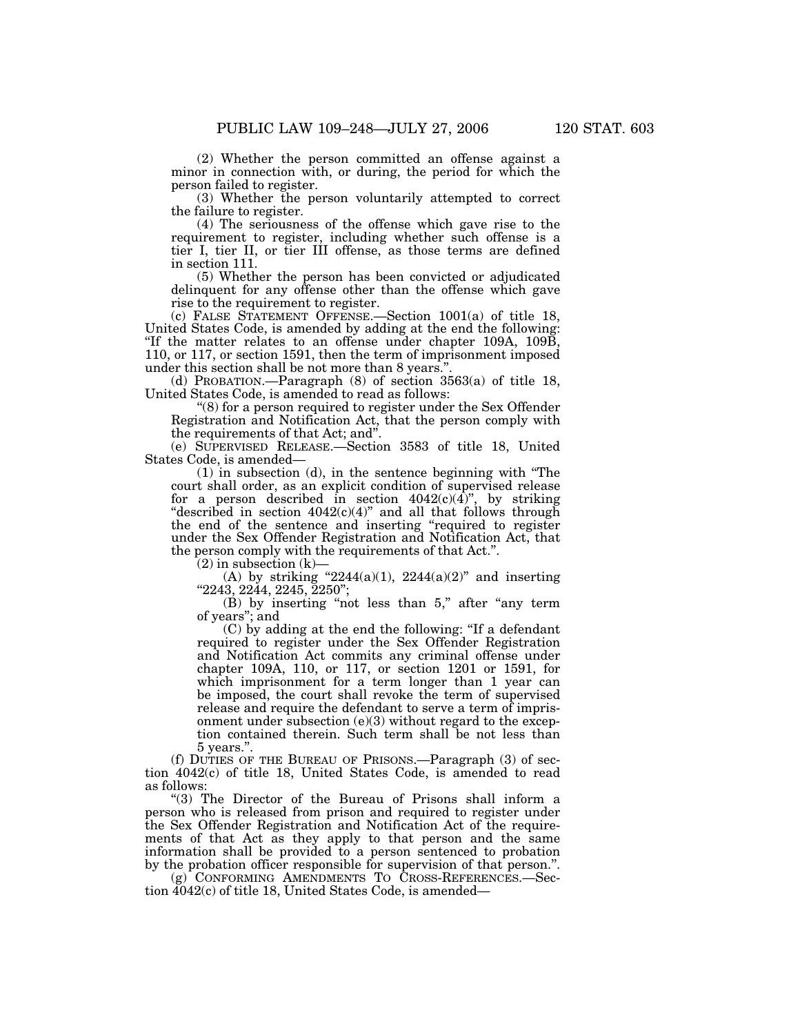(2) Whether the person committed an offense against a minor in connection with, or during, the period for which the person failed to register.

(3) Whether the person voluntarily attempted to correct the failure to register.

(4) The seriousness of the offense which gave rise to the requirement to register, including whether such offense is a tier I, tier II, or tier III offense, as those terms are defined in section 111.

(5) Whether the person has been convicted or adjudicated delinquent for any offense other than the offense which gave rise to the requirement to register.

(c) FALSE STATEMENT OFFENSE.—Section 1001(a) of title 18, United States Code, is amended by adding at the end the following: ''If the matter relates to an offense under chapter 109A, 109B, 110, or 117, or section 1591, then the term of imprisonment imposed under this section shall be not more than 8 years."

(d) PROBATION.—Paragraph (8) of section 3563(a) of title 18, United States Code, is amended to read as follows:

"(8) for a person required to register under the Sex Offender Registration and Notification Act, that the person comply with the requirements of that Act; and''.

(e) SUPERVISED RELEASE.—Section 3583 of title 18, United States Code, is amended—

(1) in subsection (d), in the sentence beginning with ''The court shall order, as an explicit condition of supervised release for a person described in section  $4042(c)(4)$ , by striking "described in section  $4042(c)(4)$ " and all that follows through the end of the sentence and inserting ''required to register under the Sex Offender Registration and Notification Act, that the person comply with the requirements of that Act.''.

 $(2)$  in subsection  $(k)$ -

(A) by striking " $2244(a)(1)$ ,  $2244(a)(2)$ " and inserting ''2243, 2244, 2245, 2250'';

(B) by inserting "not less than 5," after "any term of years''; and

(C) by adding at the end the following: ''If a defendant required to register under the Sex Offender Registration and Notification Act commits any criminal offense under chapter 109A, 110, or 117, or section 1201 or 1591, for which imprisonment for a term longer than 1 year can be imposed, the court shall revoke the term of supervised release and require the defendant to serve a term of imprisonment under subsection (e)(3) without regard to the exception contained therein. Such term shall be not less than 5 years.''.

(f) DUTIES OF THE BUREAU OF PRISONS.—Paragraph (3) of section 4042(c) of title 18, United States Code, is amended to read as follows:

''(3) The Director of the Bureau of Prisons shall inform a person who is released from prison and required to register under the Sex Offender Registration and Notification Act of the requirements of that Act as they apply to that person and the same information shall be provided to a person sentenced to probation by the probation officer responsible for supervision of that person.''.

(g) CONFORMING AMENDMENTS TO CROSS-REFERENCES.—Section 4042(c) of title 18, United States Code, is amended—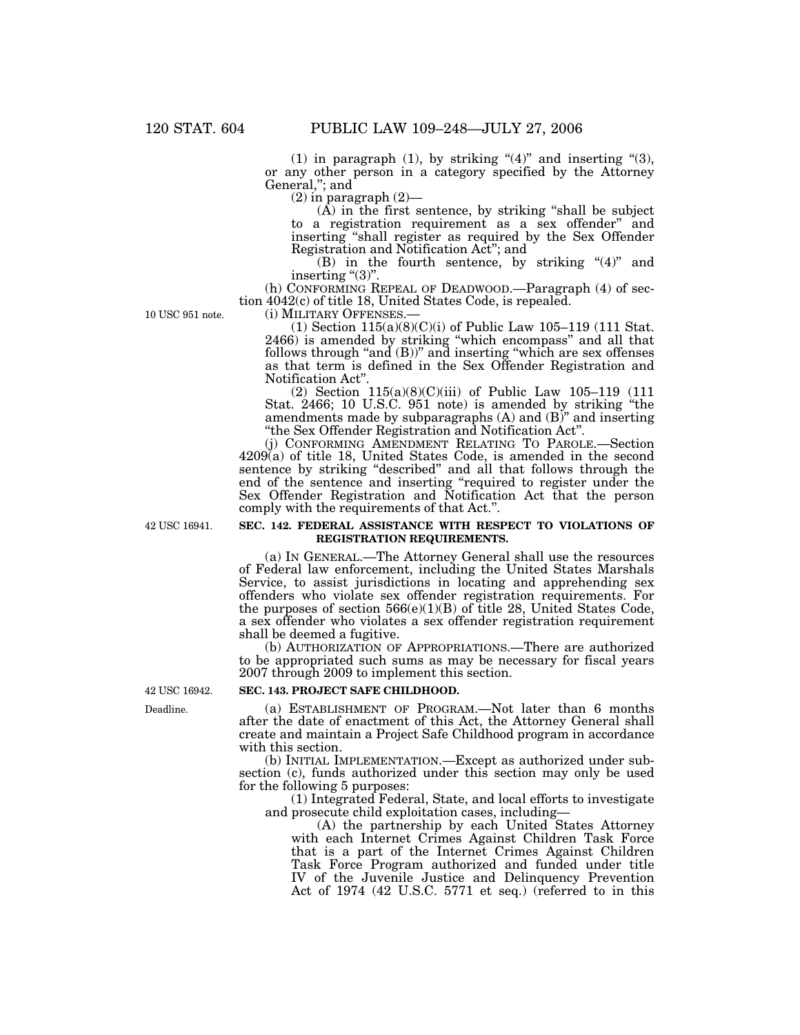(1) in paragraph (1), by striking " $(4)$ " and inserting " $(3)$ , or any other person in a category specified by the Attorney General,"; and

 $(2)$  in paragraph  $(2)$ —

 $(A)$  in the first sentence, by striking "shall be subject to a registration requirement as a sex offender'' and inserting ''shall register as required by the Sex Offender Registration and Notification Act''; and

(B) in the fourth sentence, by striking  $(4)$ " and inserting  $(3)$ "

(h) CONFORMING REPEAL OF DEADWOOD.—Paragraph (4) of section 4042(c) of title 18, United States Code, is repealed.

10 USC 951 note.

 $(1)$  Section  $115(a)(8)(C)(i)$  of Public Law 105–119 (111 Stat. 2466) is amended by striking ''which encompass'' and all that follows through "and  $(B)$ " and inserting "which are sex offenses as that term is defined in the Sex Offender Registration and Notification Act'

(2) Section 115(a)(8)(C)(iii) of Public Law 105–119 (111 Stat. 2466; 10 U.S.C. 951 note) is amended by striking ''the amendments made by subparagraphs  $(A)$  and  $(B)$ <sup>"</sup> and inserting ''the Sex Offender Registration and Notification Act''.

(j) CONFORMING AMENDMENT RELATING TO PAROLE.—Section 4209(a) of title 18, United States Code, is amended in the second sentence by striking ''described'' and all that follows through the end of the sentence and inserting ''required to register under the Sex Offender Registration and Notification Act that the person comply with the requirements of that Act.''.

42 USC 16941.

## **SEC. 142. FEDERAL ASSISTANCE WITH RESPECT TO VIOLATIONS OF REGISTRATION REQUIREMENTS.**

(a) IN GENERAL.—The Attorney General shall use the resources of Federal law enforcement, including the United States Marshals Service, to assist jurisdictions in locating and apprehending sex offenders who violate sex offender registration requirements. For the purposes of section  $566(e)(1)(B)$  of title 28, United States Code, a sex offender who violates a sex offender registration requirement shall be deemed a fugitive.

(b) AUTHORIZATION OF APPROPRIATIONS.—There are authorized to be appropriated such sums as may be necessary for fiscal years 2007 through 2009 to implement this section.

## **SEC. 143. PROJECT SAFE CHILDHOOD.**

(a) ESTABLISHMENT OF PROGRAM.—Not later than 6 months after the date of enactment of this Act, the Attorney General shall create and maintain a Project Safe Childhood program in accordance with this section.

(b) INITIAL IMPLEMENTATION.—Except as authorized under subsection (c), funds authorized under this section may only be used for the following 5 purposes:

(1) Integrated Federal, State, and local efforts to investigate and prosecute child exploitation cases, including—

(A) the partnership by each United States Attorney with each Internet Crimes Against Children Task Force that is a part of the Internet Crimes Against Children Task Force Program authorized and funded under title IV of the Juvenile Justice and Delinquency Prevention Act of 1974 (42 U.S.C. 5771 et seq.) (referred to in this

Deadline. 42 USC 16942.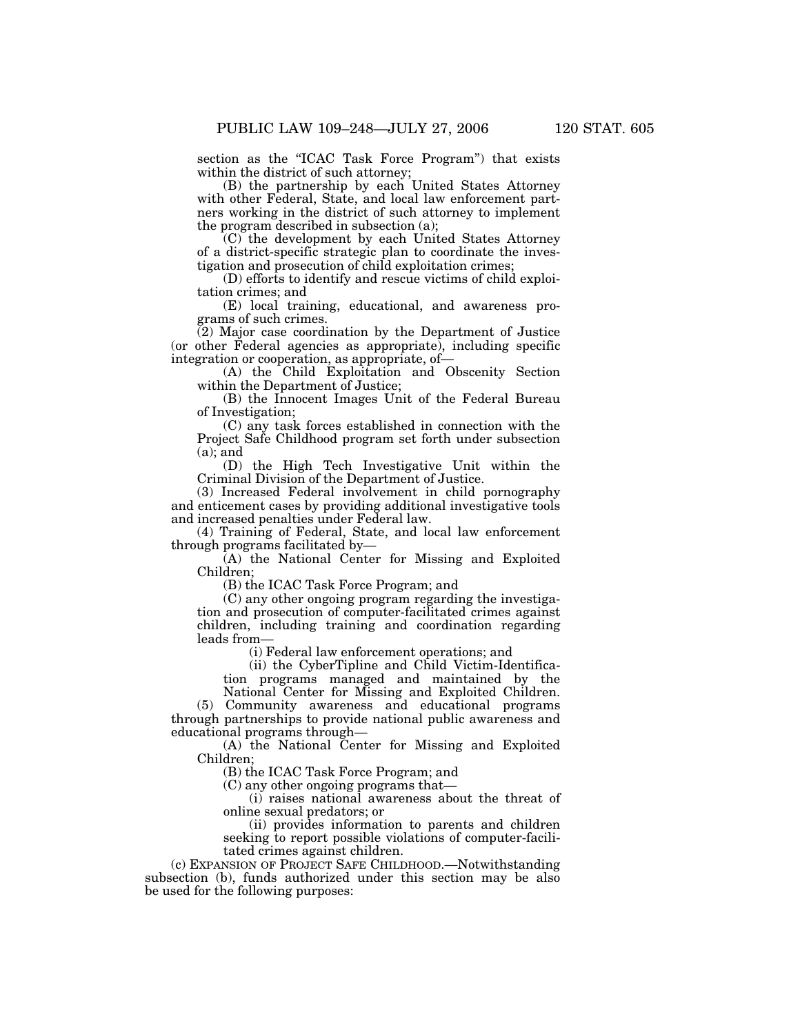section as the ''ICAC Task Force Program'') that exists within the district of such attorney;

(B) the partnership by each United States Attorney with other Federal, State, and local law enforcement partners working in the district of such attorney to implement the program described in subsection (a);

(C) the development by each United States Attorney of a district-specific strategic plan to coordinate the investigation and prosecution of child exploitation crimes;

(D) efforts to identify and rescue victims of child exploitation crimes; and

(E) local training, educational, and awareness programs of such crimes.

(2) Major case coordination by the Department of Justice (or other Federal agencies as appropriate), including specific integration or cooperation, as appropriate, of—

(A) the Child Exploitation and Obscenity Section within the Department of Justice;

(B) the Innocent Images Unit of the Federal Bureau of Investigation;

(C) any task forces established in connection with the Project Safe Childhood program set forth under subsection  $(a)$ ; and

(D) the High Tech Investigative Unit within the Criminal Division of the Department of Justice.

(3) Increased Federal involvement in child pornography and enticement cases by providing additional investigative tools and increased penalties under Federal law.

(4) Training of Federal, State, and local law enforcement through programs facilitated by—

(A) the National Center for Missing and Exploited Children;

(B) the ICAC Task Force Program; and

(C) any other ongoing program regarding the investigation and prosecution of computer-facilitated crimes against children, including training and coordination regarding leads from—

(i) Federal law enforcement operations; and

(ii) the CyberTipline and Child Victim-Identification programs managed and maintained by the National Center for Missing and Exploited Children.

(5) Community awareness and educational programs through partnerships to provide national public awareness and educational programs through—

(A) the National Center for Missing and Exploited Children;

(B) the ICAC Task Force Program; and

(C) any other ongoing programs that—

(i) raises national awareness about the threat of online sexual predators; or

(ii) provides information to parents and children seeking to report possible violations of computer-facilitated crimes against children.

(c) EXPANSION OF PROJECT SAFE CHILDHOOD.—Notwithstanding subsection (b), funds authorized under this section may be also be used for the following purposes: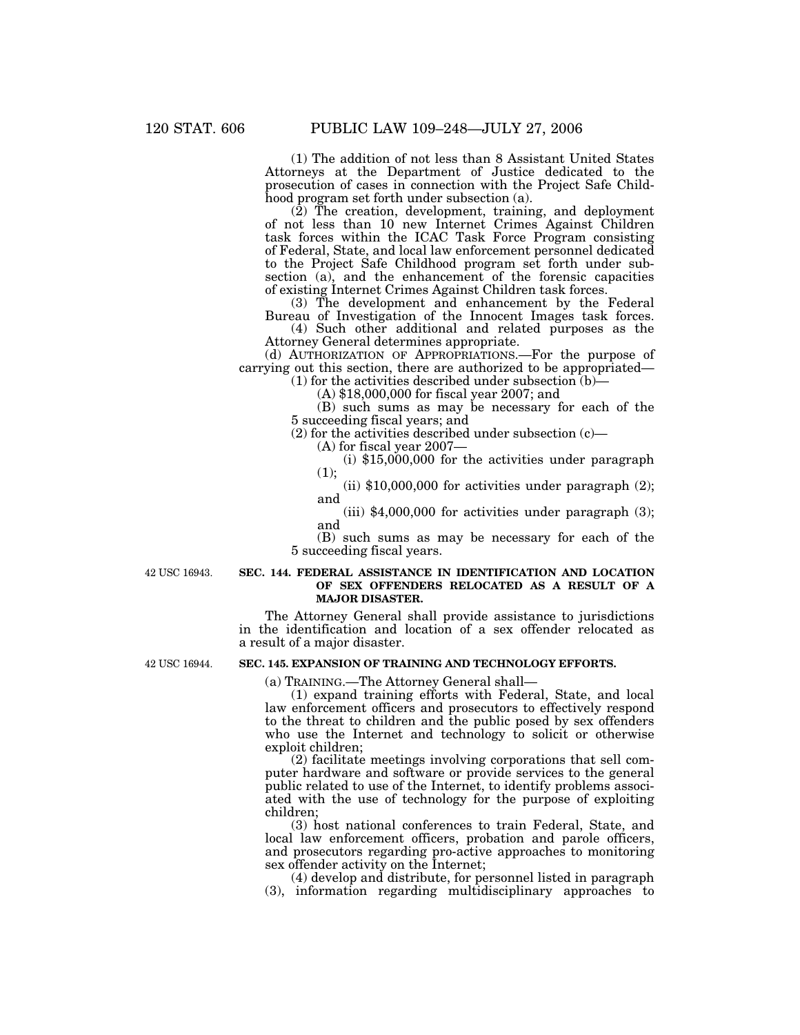(1) The addition of not less than 8 Assistant United States Attorneys at the Department of Justice dedicated to the prosecution of cases in connection with the Project Safe Childhood program set forth under subsection (a).

(2) The creation, development, training, and deployment of not less than 10 new Internet Crimes Against Children task forces within the ICAC Task Force Program consisting of Federal, State, and local law enforcement personnel dedicated to the Project Safe Childhood program set forth under subsection (a), and the enhancement of the forensic capacities of existing Internet Crimes Against Children task forces.

(3) The development and enhancement by the Federal Bureau of Investigation of the Innocent Images task forces. (4) Such other additional and related purposes as the

Attorney General determines appropriate. (d) AUTHORIZATION OF APPROPRIATIONS.—For the purpose of

carrying out this section, there are authorized to be appropriated— (1) for the activities described under subsection  $(b)$ —

(A) \$18,000,000 for fiscal year 2007; and

(B) such sums as may be necessary for each of the 5 succeeding fiscal years; and

(2) for the activities described under subsection (c)—

(A) for fiscal year 2007—<br>(i)  $$15,000,000$  for the activities under paragraph  $(1)$ ;

(ii)  $$10,000,000$  for activities under paragraph  $(2)$ ; and

(iii)  $$4,000,000$  for activities under paragraph  $(3)$ ; and

(B) such sums as may be necessary for each of the 5 succeeding fiscal years.

42 USC 16943.

#### **SEC. 144. FEDERAL ASSISTANCE IN IDENTIFICATION AND LOCATION OF SEX OFFENDERS RELOCATED AS A RESULT OF A MAJOR DISASTER.**

The Attorney General shall provide assistance to jurisdictions in the identification and location of a sex offender relocated as a result of a major disaster.

42 USC 16944.

## **SEC. 145. EXPANSION OF TRAINING AND TECHNOLOGY EFFORTS.**

(a) TRAINING.—The Attorney General shall—

(1) expand training efforts with Federal, State, and local law enforcement officers and prosecutors to effectively respond to the threat to children and the public posed by sex offenders who use the Internet and technology to solicit or otherwise exploit children;

(2) facilitate meetings involving corporations that sell computer hardware and software or provide services to the general public related to use of the Internet, to identify problems associated with the use of technology for the purpose of exploiting children;

(3) host national conferences to train Federal, State, and local law enforcement officers, probation and parole officers, and prosecutors regarding pro-active approaches to monitoring sex offender activity on the Internet;

(4) develop and distribute, for personnel listed in paragraph (3), information regarding multidisciplinary approaches to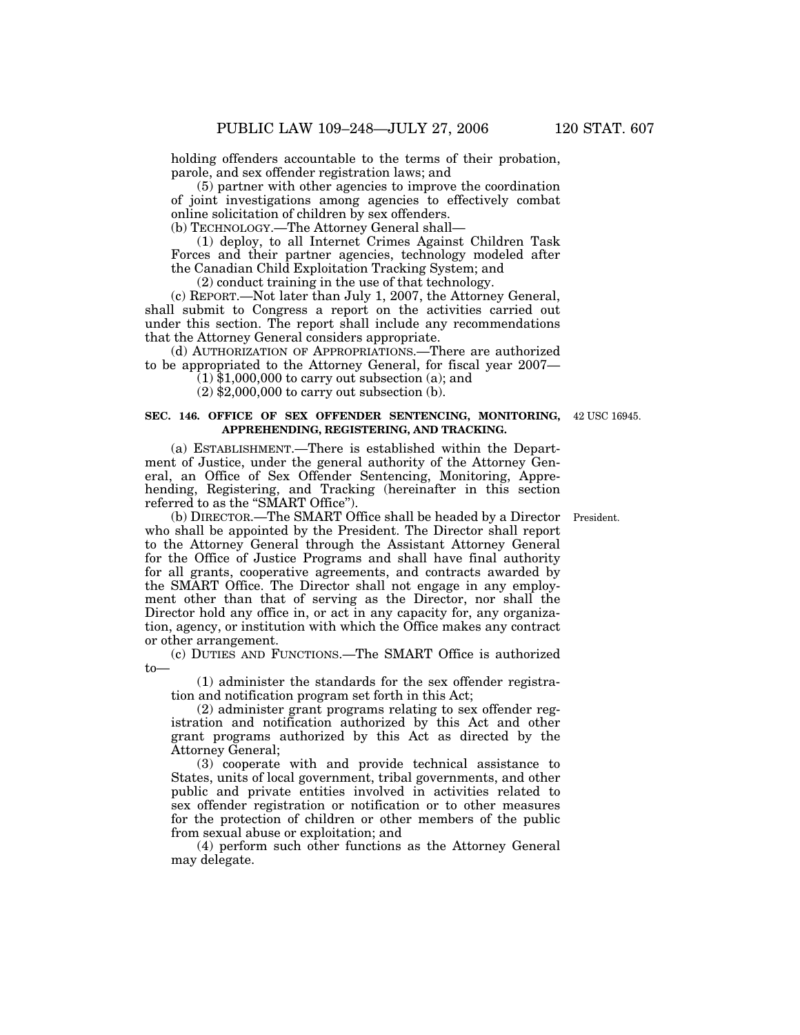holding offenders accountable to the terms of their probation,

parole, and sex offender registration laws; and

(5) partner with other agencies to improve the coordination of joint investigations among agencies to effectively combat online solicitation of children by sex offenders.

(b) TECHNOLOGY.—The Attorney General shall—

(1) deploy, to all Internet Crimes Against Children Task Forces and their partner agencies, technology modeled after the Canadian Child Exploitation Tracking System; and

(2) conduct training in the use of that technology.

(c) REPORT.—Not later than July 1, 2007, the Attorney General, shall submit to Congress a report on the activities carried out under this section. The report shall include any recommendations that the Attorney General considers appropriate.

(d) AUTHORIZATION OF APPROPRIATIONS.—There are authorized to be appropriated to the Attorney General, for fiscal year 2007—

(1) \$1,000,000 to carry out subsection (a); and

(2) \$2,000,000 to carry out subsection (b).

#### **SEC. 146. OFFICE OF SEX OFFENDER SENTENCING, MONITORING,** 42 USC 16945. **APPREHENDING, REGISTERING, AND TRACKING.**

(a) ESTABLISHMENT.—There is established within the Department of Justice, under the general authority of the Attorney General, an Office of Sex Offender Sentencing, Monitoring, Apprehending, Registering, and Tracking (hereinafter in this section referred to as the "SMART Office").

(b) DIRECTOR.—The SMART Office shall be headed by a Director President. who shall be appointed by the President. The Director shall report to the Attorney General through the Assistant Attorney General for the Office of Justice Programs and shall have final authority for all grants, cooperative agreements, and contracts awarded by the SMART Office. The Director shall not engage in any employment other than that of serving as the Director, nor shall the Director hold any office in, or act in any capacity for, any organization, agency, or institution with which the Office makes any contract or other arrangement.

(c) DUTIES AND FUNCTIONS.—The SMART Office is authorized to—

(1) administer the standards for the sex offender registration and notification program set forth in this Act;

(2) administer grant programs relating to sex offender registration and notification authorized by this Act and other grant programs authorized by this Act as directed by the Attorney General;

(3) cooperate with and provide technical assistance to States, units of local government, tribal governments, and other public and private entities involved in activities related to sex offender registration or notification or to other measures for the protection of children or other members of the public from sexual abuse or exploitation; and

(4) perform such other functions as the Attorney General may delegate.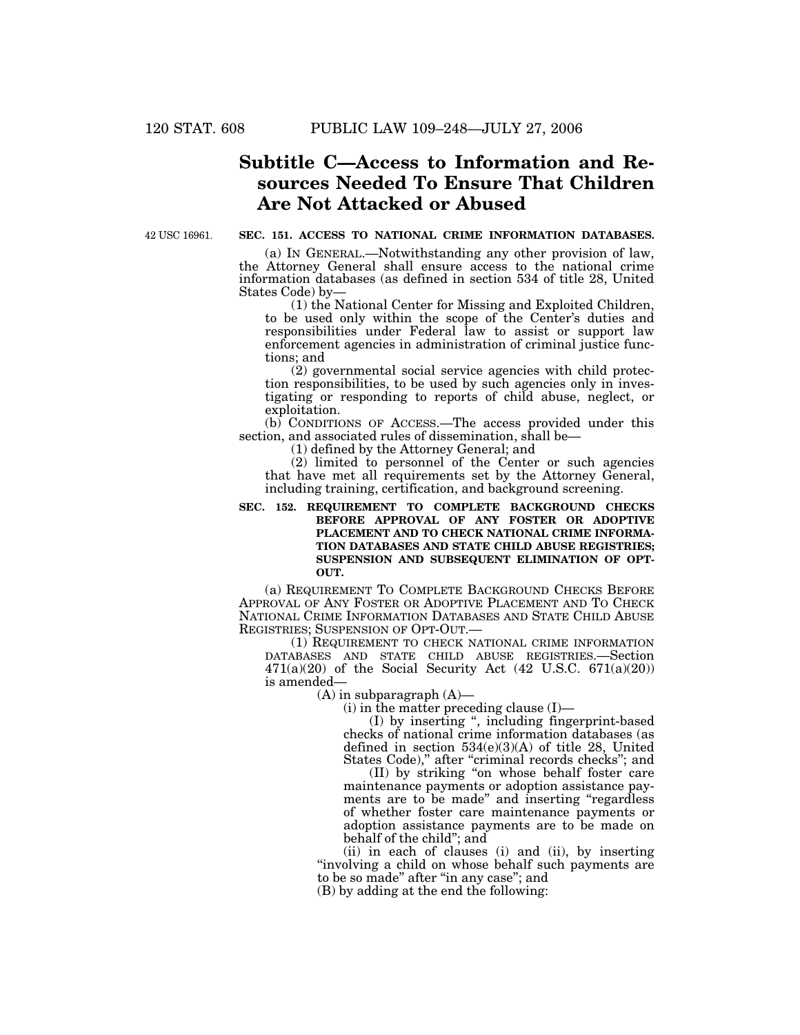## **Subtitle C—Access to Information and Resources Needed To Ensure That Children Are Not Attacked or Abused**

42 USC 16961.

## **SEC. 151. ACCESS TO NATIONAL CRIME INFORMATION DATABASES.**

(a) IN GENERAL.—Notwithstanding any other provision of law, the Attorney General shall ensure access to the national crime information databases (as defined in section 534 of title 28, United States Code) by—

(1) the National Center for Missing and Exploited Children, to be used only within the scope of the Center's duties and responsibilities under Federal law to assist or support law enforcement agencies in administration of criminal justice functions; and

(2) governmental social service agencies with child protection responsibilities, to be used by such agencies only in investigating or responding to reports of child abuse, neglect, or exploitation.

(b) CONDITIONS OF ACCESS.—The access provided under this section, and associated rules of dissemination, shall be—

(1) defined by the Attorney General; and

(2) limited to personnel of the Center or such agencies that have met all requirements set by the Attorney General, including training, certification, and background screening.

**SEC. 152. REQUIREMENT TO COMPLETE BACKGROUND CHECKS BEFORE APPROVAL OF ANY FOSTER OR ADOPTIVE PLACEMENT AND TO CHECK NATIONAL CRIME INFORMA-TION DATABASES AND STATE CHILD ABUSE REGISTRIES; SUSPENSION AND SUBSEQUENT ELIMINATION OF OPT-OUT.**

(a) REQUIREMENT TO COMPLETE BACKGROUND CHECKS BEFORE APPROVAL OF ANY FOSTER OR ADOPTIVE PLACEMENT AND TO CHECK NATIONAL CRIME INFORMATION DATABASES AND STATE CHILD ABUSE REGISTRIES; SUSPENSION OF OPT-OUT.—

(1) REQUIREMENT TO CHECK NATIONAL CRIME INFORMATION DATABASES AND STATE CHILD ABUSE REGISTRIES.—Section 471(a)(20) of the Social Security Act (42 U.S.C. 671(a)(20)) is amended—

(A) in subparagraph (A)—

(i) in the matter preceding clause (I)—

(I) by inserting '', including fingerprint-based checks of national crime information databases (as defined in section 534(e)(3)(A) of title 28, United States Code),'' after ''criminal records checks''; and

(II) by striking ''on whose behalf foster care maintenance payments or adoption assistance payments are to be made'' and inserting ''regardless of whether foster care maintenance payments or adoption assistance payments are to be made on behalf of the child''; and

(ii) in each of clauses (i) and (ii), by inserting ''involving a child on whose behalf such payments are to be so made'' after ''in any case''; and

(B) by adding at the end the following: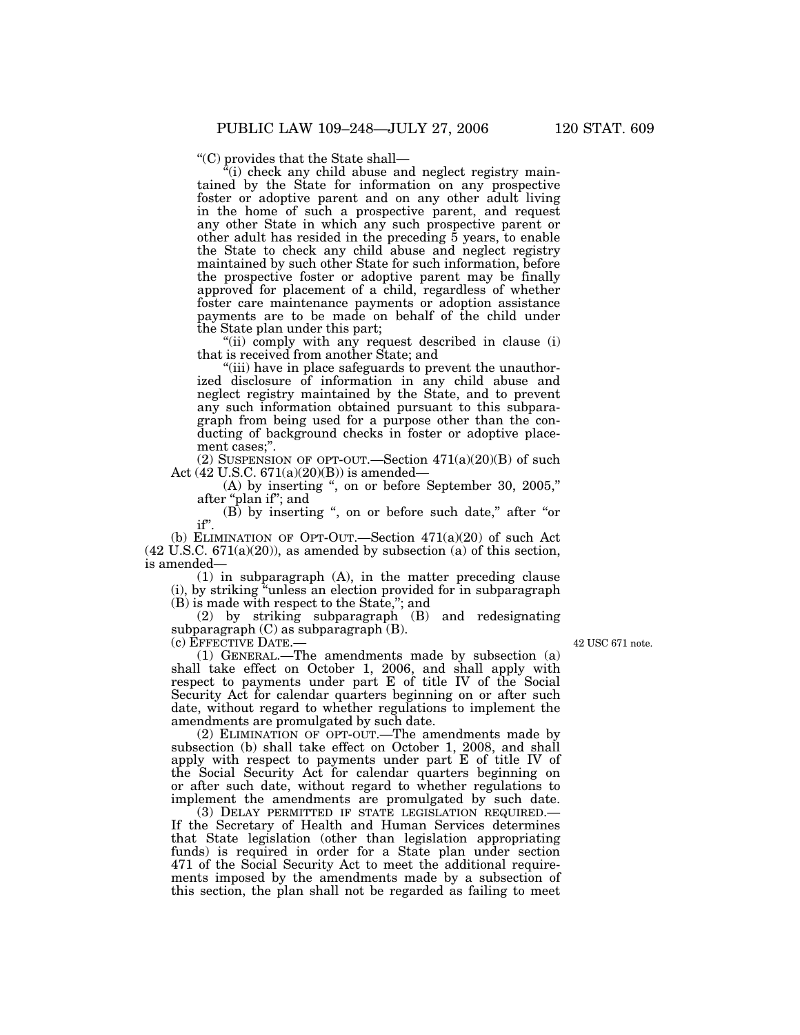''(C) provides that the State shall—

(i) check any child abuse and neglect registry maintained by the State for information on any prospective foster or adoptive parent and on any other adult living in the home of such a prospective parent, and request any other State in which any such prospective parent or other adult has resided in the preceding 5 years, to enable the State to check any child abuse and neglect registry maintained by such other State for such information, before the prospective foster or adoptive parent may be finally approved for placement of a child, regardless of whether foster care maintenance payments or adoption assistance payments are to be made on behalf of the child under the State plan under this part;

"(ii) comply with any request described in clause (i) that is received from another State; and

''(iii) have in place safeguards to prevent the unauthorized disclosure of information in any child abuse and neglect registry maintained by the State, and to prevent any such information obtained pursuant to this subparagraph from being used for a purpose other than the conducting of background checks in foster or adoptive placement cases:"

(2) SUSPENSION OF OPT-OUT.—Section  $471(a)(20)(B)$  of such Act (42 U.S.C. 671(a)(20)(B)) is amended—

(A) by inserting ", on or before September 30, 2005," after "plan if"; and

(B) by inserting ", on or before such date," after "or if''.

(b) ELIMINATION OF OPT-OUT.—Section 471(a)(20) of such Act  $(42 \text{ U.S.C. } 671(a)(20))$ , as amended by subsection (a) of this section, is amended—

(1) in subparagraph (A), in the matter preceding clause (i), by striking ''unless an election provided for in subparagraph (B) is made with respect to the State,''; and

(2) by striking subparagraph (B) and redesignating subparagraph (C) as subparagraph (B).

(c) EFFECTIVE DATE.—

(1) GENERAL.—The amendments made by subsection (a) shall take effect on October 1, 2006, and shall apply with respect to payments under part E of title IV of the Social Security Act for calendar quarters beginning on or after such date, without regard to whether regulations to implement the amendments are promulgated by such date.

(2) ELIMINATION OF OPT-OUT.—The amendments made by subsection (b) shall take effect on October 1, 2008, and shall apply with respect to payments under part E of title IV of the Social Security Act for calendar quarters beginning on or after such date, without regard to whether regulations to implement the amendments are promulgated by such date.

(3) DELAY PERMITTED IF STATE LEGISLATION REQUIRED.— If the Secretary of Health and Human Services determines that State legislation (other than legislation appropriating funds) is required in order for a State plan under section 471 of the Social Security Act to meet the additional requirements imposed by the amendments made by a subsection of this section, the plan shall not be regarded as failing to meet

42 USC 671 note.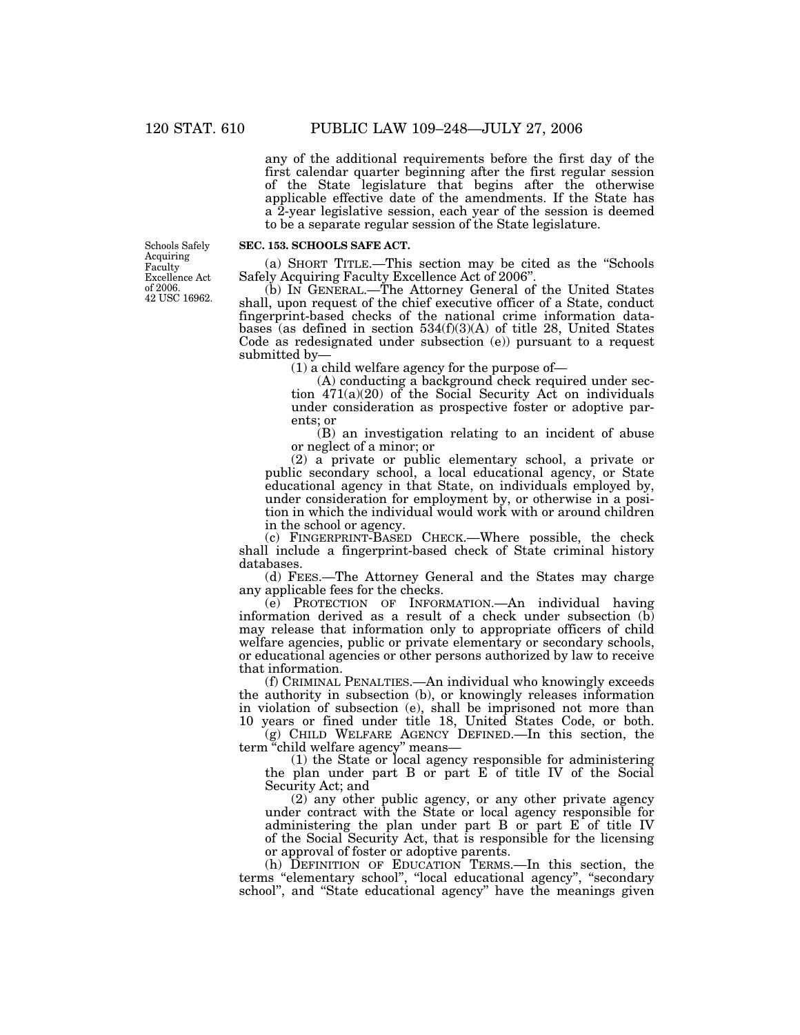any of the additional requirements before the first day of the first calendar quarter beginning after the first regular session of the State legislature that begins after the otherwise applicable effective date of the amendments. If the State has a 2-year legislative session, each year of the session is deemed to be a separate regular session of the State legislature.

Schools Safely Acquiring Faculty Excellence Act of 2006. 42 USC 16962.

## **SEC. 153. SCHOOLS SAFE ACT.**

(a) SHORT TITLE.—This section may be cited as the ''Schools Safely Acquiring Faculty Excellence Act of 2006''.

(b) IN GENERAL.—The Attorney General of the United States shall, upon request of the chief executive officer of a State, conduct fingerprint-based checks of the national crime information databases (as defined in section 534(f)(3)(A) of title 28, United States Code as redesignated under subsection (e)) pursuant to a request submitted by—

(1) a child welfare agency for the purpose of—

(A) conducting a background check required under section  $471(a)(20)$  of the Social Security Act on individuals under consideration as prospective foster or adoptive parents; or

(B) an investigation relating to an incident of abuse or neglect of a minor; or

(2) a private or public elementary school, a private or public secondary school, a local educational agency, or State educational agency in that State, on individuals employed by, under consideration for employment by, or otherwise in a position in which the individual would work with or around children in the school or agency.

(c) FINGERPRINT-BASED CHECK.—Where possible, the check shall include a fingerprint-based check of State criminal history databases.

(d) FEES.—The Attorney General and the States may charge any applicable fees for the checks.

(e) PROTECTION OF INFORMATION.—An individual having information derived as a result of a check under subsection  $(b)$ may release that information only to appropriate officers of child welfare agencies, public or private elementary or secondary schools, or educational agencies or other persons authorized by law to receive that information.

(f) CRIMINAL PENALTIES.—An individual who knowingly exceeds the authority in subsection (b), or knowingly releases information in violation of subsection (e), shall be imprisoned not more than 10 years or fined under title 18, United States Code, or both.

(g) CHILD WELFARE AGENCY DEFINED.—In this section, the term ''child welfare agency'' means—

(1) the State or local agency responsible for administering the plan under part B or part E of title IV of the Social Security Act; and

(2) any other public agency, or any other private agency under contract with the State or local agency responsible for administering the plan under part  $B$  or part  $E$  of title IV of the Social Security Act, that is responsible for the licensing or approval of foster or adoptive parents.

(h) DEFINITION OF EDUCATION TERMS.—In this section, the terms ''elementary school'', ''local educational agency'', ''secondary school'', and ''State educational agency'' have the meanings given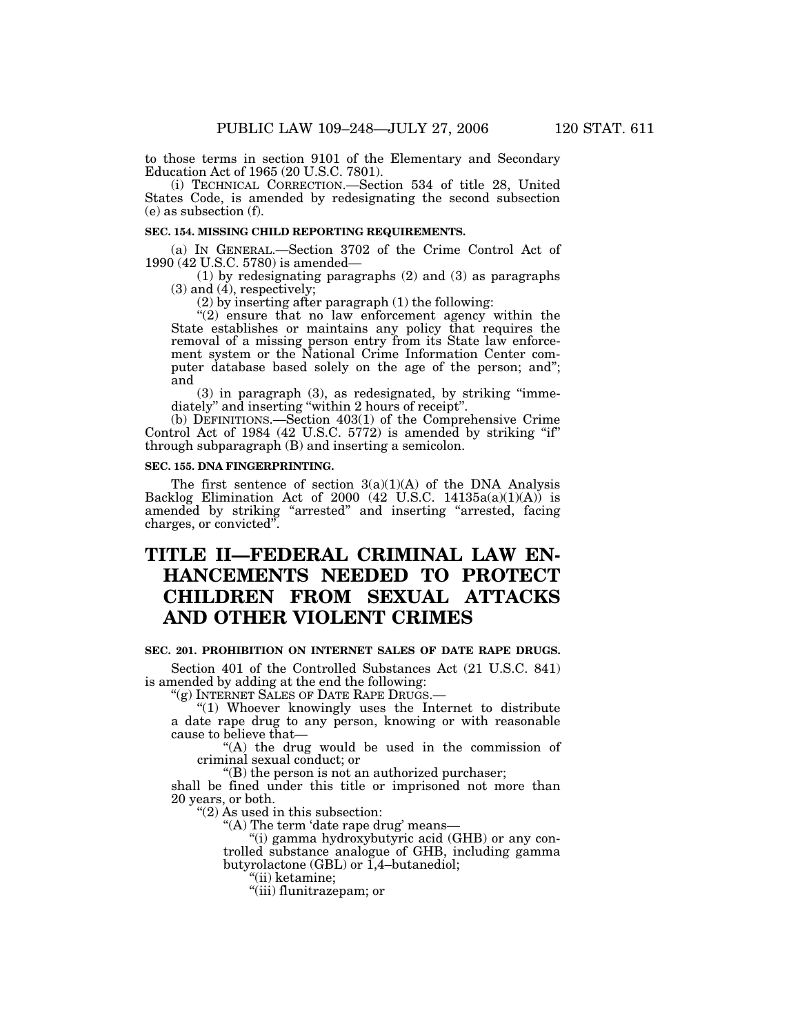to those terms in section 9101 of the Elementary and Secondary Education Act of 1965 (20 U.S.C. 7801).

(i) TECHNICAL CORRECTION.—Section 534 of title 28, United States Code, is amended by redesignating the second subsection (e) as subsection (f).

## **SEC. 154. MISSING CHILD REPORTING REQUIREMENTS.**

(a) IN GENERAL.—Section 3702 of the Crime Control Act of 1990 (42 U.S.C. 5780) is amended—

(1) by redesignating paragraphs (2) and (3) as paragraphs (3) and (4), respectively;

(2) by inserting after paragraph (1) the following:

"(2) ensure that no law enforcement agency within the State establishes or maintains any policy that requires the removal of a missing person entry from its State law enforcement system or the National Crime Information Center computer database based solely on the age of the person; and"; and

(3) in paragraph (3), as redesignated, by striking ''immediately'' and inserting ''within 2 hours of receipt''.

(b) DEFINITIONS.—Section 403(1) of the Comprehensive Crime Control Act of  $1984$  (42 U.S.C.  $5772$ ) is amended by striking "if" through subparagraph (B) and inserting a semicolon.

## **SEC. 155. DNA FINGERPRINTING.**

The first sentence of section  $3(a)(1)(A)$  of the DNA Analysis Backlog Elimination Act of 2000 (42 U.S.C. 14135a(a)(1)(A)) is amended by striking "arrested" and inserting "arrested, facing charges, or convicted''.

## **TITLE II—FEDERAL CRIMINAL LAW EN-HANCEMENTS NEEDED TO PROTECT CHILDREN FROM SEXUAL ATTACKS AND OTHER VIOLENT CRIMES**

## **SEC. 201. PROHIBITION ON INTERNET SALES OF DATE RAPE DRUGS.**

Section 401 of the Controlled Substances Act (21 U.S.C. 841) is amended by adding at the end the following:

"(g) INTERNET SALES OF DATE RAPE DRUGS.-

"(1) Whoever knowingly uses the Internet to distribute a date rape drug to any person, knowing or with reasonable cause to believe that—

''(A) the drug would be used in the commission of criminal sexual conduct; or

''(B) the person is not an authorized purchaser;

shall be fined under this title or imprisoned not more than 20 years, or both.

''(2) As used in this subsection:

''(A) The term 'date rape drug' means—

''(i) gamma hydroxybutyric acid (GHB) or any controlled substance analogue of GHB, including gamma butyrolactone (GBL) or 1,4–butanediol;

''(ii) ketamine;

''(iii) flunitrazepam; or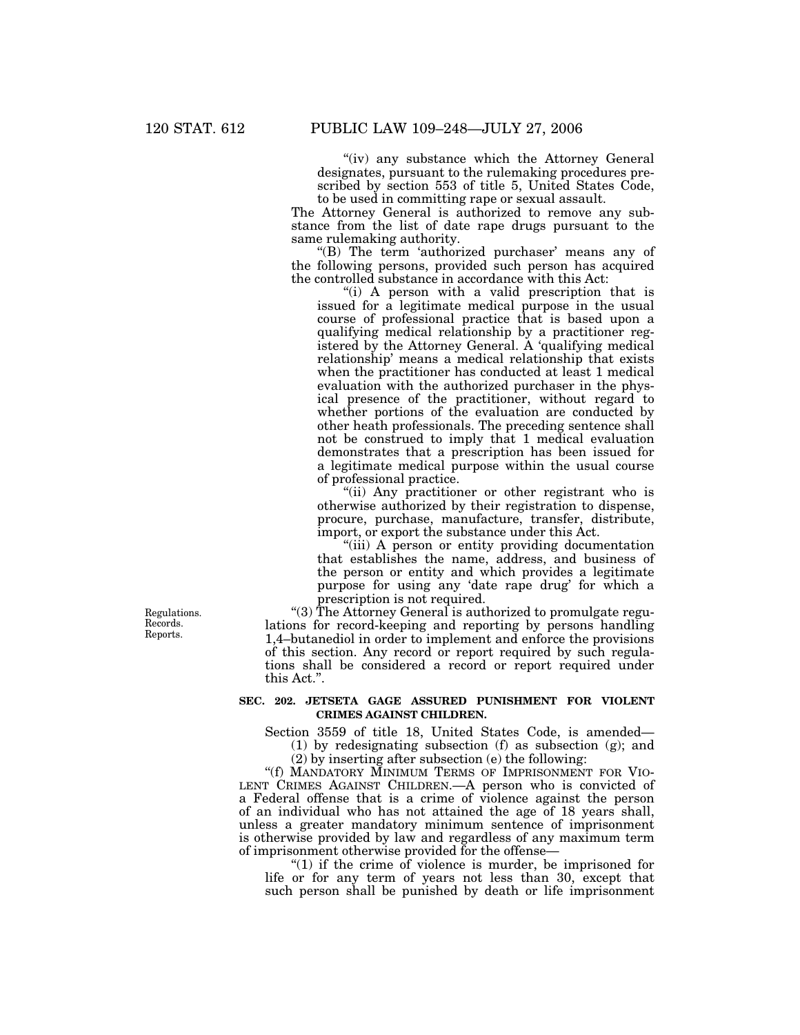''(iv) any substance which the Attorney General designates, pursuant to the rulemaking procedures prescribed by section 553 of title 5, United States Code, to be used in committing rape or sexual assault.

The Attorney General is authorized to remove any substance from the list of date rape drugs pursuant to the same rulemaking authority.

"(B) The term 'authorized purchaser' means any of the following persons, provided such person has acquired the controlled substance in accordance with this Act:

''(i) A person with a valid prescription that is issued for a legitimate medical purpose in the usual course of professional practice that is based upon a qualifying medical relationship by a practitioner registered by the Attorney General. A 'qualifying medical relationship' means a medical relationship that exists when the practitioner has conducted at least 1 medical evaluation with the authorized purchaser in the physical presence of the practitioner, without regard to whether portions of the evaluation are conducted by other heath professionals. The preceding sentence shall not be construed to imply that 1 medical evaluation demonstrates that a prescription has been issued for a legitimate medical purpose within the usual course of professional practice.

''(ii) Any practitioner or other registrant who is otherwise authorized by their registration to dispense, procure, purchase, manufacture, transfer, distribute, import, or export the substance under this Act.

"(iii) A person or entity providing documentation that establishes the name, address, and business of the person or entity and which provides a legitimate purpose for using any 'date rape drug' for which a prescription is not required.

''(3) The Attorney General is authorized to promulgate regulations for record-keeping and reporting by persons handling 1,4–butanediol in order to implement and enforce the provisions of this section. Any record or report required by such regulations shall be considered a record or report required under this Act.''.

## **SEC. 202. JETSETA GAGE ASSURED PUNISHMENT FOR VIOLENT CRIMES AGAINST CHILDREN.**

Section 3559 of title 18, United States Code, is amended— (1) by redesignating subsection (f) as subsection (g); and

(2) by inserting after subsection (e) the following:

"(f) MANDATORY MINIMUM TERMS OF IMPRISONMENT FOR VIO-LENT CRIMES AGAINST CHILDREN.—A person who is convicted of a Federal offense that is a crime of violence against the person of an individual who has not attained the age of 18 years shall, unless a greater mandatory minimum sentence of imprisonment is otherwise provided by law and regardless of any maximum term of imprisonment otherwise provided for the offense—

 $(1)$  if the crime of violence is murder, be imprisoned for life or for any term of years not less than 30, except that such person shall be punished by death or life imprisonment

Regulations. Records. Reports.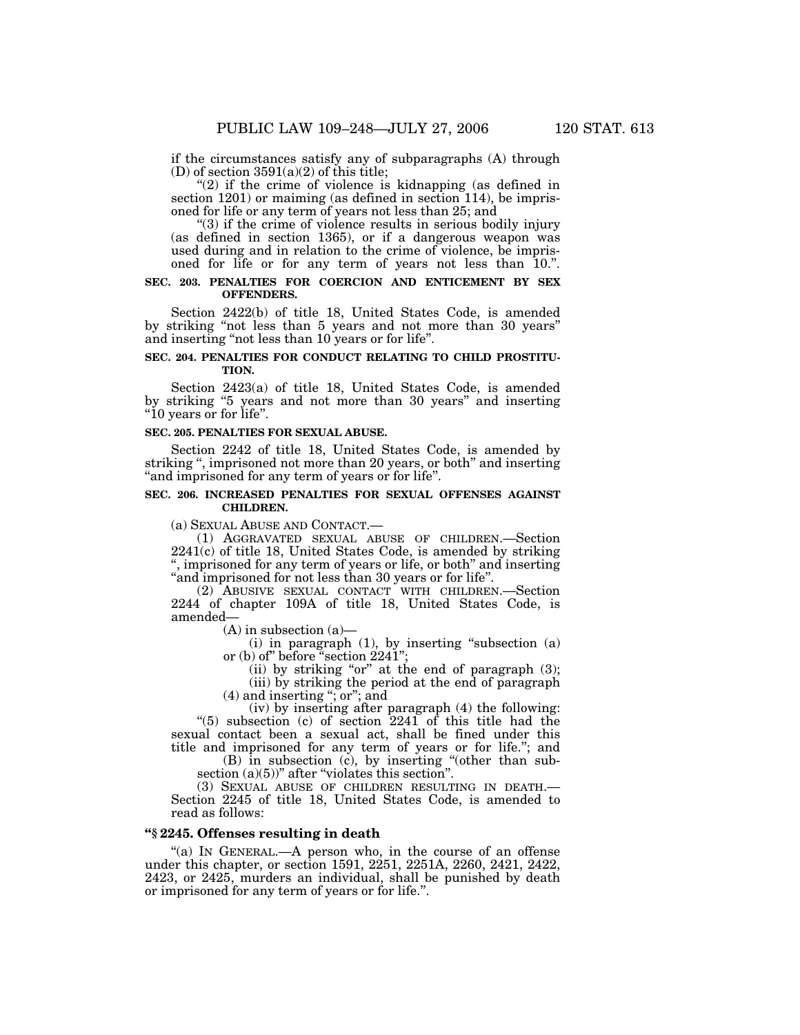if the circumstances satisfy any of subparagraphs (A) through (D) of section  $3591(a)(2)$  of this title;

" $(2)$  if the crime of violence is kidnapping (as defined in section 1201) or maiming (as defined in section 114), be imprisoned for life or any term of years not less than 25; and

"(3) if the crime of violence results in serious bodily injury (as defined in section 1365), or if a dangerous weapon was used during and in relation to the crime of violence, be imprisoned for life or for any term of years not less than 10.''.

#### **SEC. 203. PENALTIES FOR COERCION AND ENTICEMENT BY SEX OFFENDERS.**

Section 2422(b) of title 18, United States Code, is amended by striking ''not less than 5 years and not more than 30 years'' and inserting ''not less than 10 years or for life''.

## **SEC. 204. PENALTIES FOR CONDUCT RELATING TO CHILD PROSTITU-TION.**

Section 2423(a) of title 18, United States Code, is amended by striking "5 years and not more than 30 years" and inserting ''10 years or for life''.

## **SEC. 205. PENALTIES FOR SEXUAL ABUSE.**

Section 2242 of title 18, United States Code, is amended by striking '', imprisoned not more than 20 years, or both'' and inserting "and imprisoned for any term of years or for life".

## **SEC. 206. INCREASED PENALTIES FOR SEXUAL OFFENSES AGAINST CHILDREN.**

(a) SEXUAL ABUSE AND CONTACT.—

(1) AGGRAVATED SEXUAL ABUSE OF CHILDREN.—Section 2241(c) of title 18, United States Code, is amended by striking '', imprisoned for any term of years or life, or both'' and inserting "and imprisoned for not less than 30 years or for life".

(2) ABUSIVE SEXUAL CONTACT WITH CHILDREN.—Section 2244 of chapter 109A of title 18, United States Code, is amended—

 $(A)$  in subsection  $(a)$ —

(i) in paragraph (1), by inserting ''subsection (a) or (b) of'' before ''section 2241'';

(ii) by striking "or" at the end of paragraph  $(3)$ ; (iii) by striking the period at the end of paragraph

(4) and inserting ''; or''; and

(iv) by inserting after paragraph (4) the following: " $(5)$  subsection  $(c)$  of section  $2241$  of this title had the sexual contact been a sexual act, shall be fined under this title and imprisoned for any term of years or for life.''; and

(B) in subsection (c), by inserting ''(other than subsection  $(a)(5)$ " after "violates this section".

(3) SEXUAL ABUSE OF CHILDREN RESULTING IN DEATH.— Section 2245 of title 18, United States Code, is amended to read as follows:

## **''§ 2245. Offenses resulting in death**

''(a) IN GENERAL.—A person who, in the course of an offense under this chapter, or section 1591, 2251, 2251A, 2260, 2421, 2422, 2423, or 2425, murders an individual, shall be punished by death or imprisoned for any term of years or for life.''.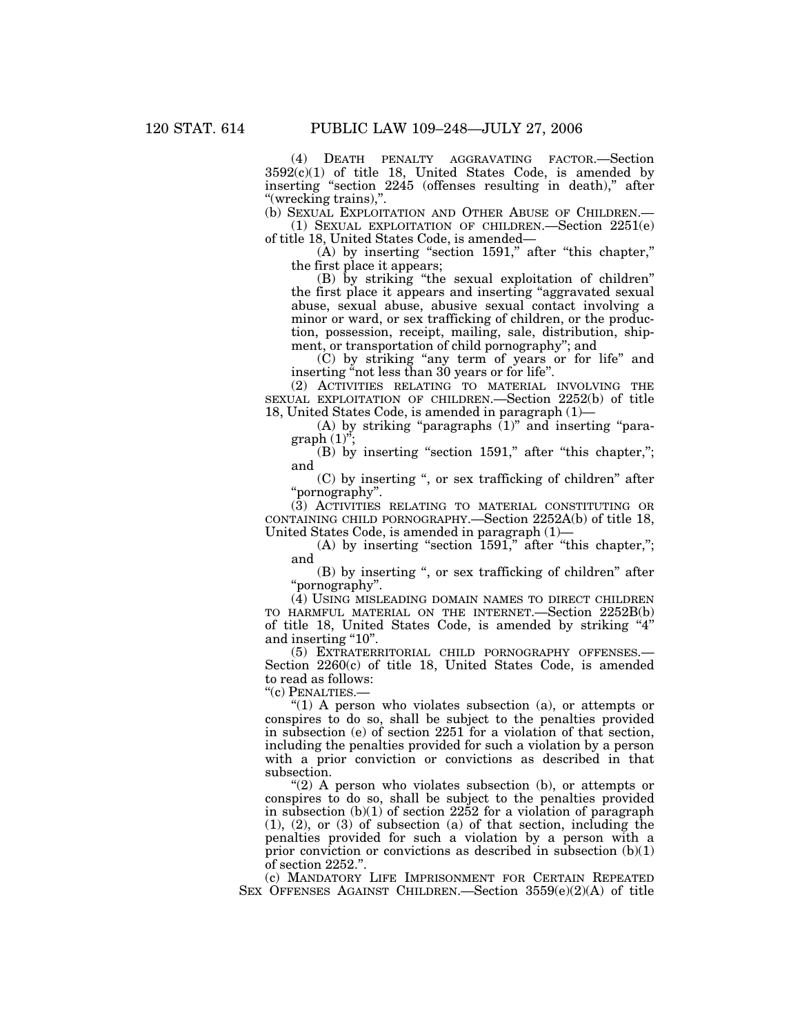(4) DEATH PENALTY AGGRAVATING FACTOR.—Section  $3592(c)(1)$  of title 18, United States Code, is amended by inserting "section 2245 (offenses resulting in death)," after ''(wrecking trains),''.

(b) SEXUAL EXPLOITATION AND OTHER ABUSE OF CHILDREN.— (1) SEXUAL EXPLOITATION OF CHILDREN.—Section 2251(e) of title 18, United States Code, is amended—

 $(A)$  by inserting "section 1591," after "this chapter," the first place it appears;

(B) by striking ''the sexual exploitation of children'' the first place it appears and inserting "aggravated sexual abuse, sexual abuse, abusive sexual contact involving a minor or ward, or sex trafficking of children, or the production, possession, receipt, mailing, sale, distribution, shipment, or transportation of child pornography''; and

(C) by striking ''any term of years or for life'' and inserting ''not less than 30 years or for life''.

(2) ACTIVITIES RELATING TO MATERIAL INVOLVING THE SEXUAL EXPLOITATION OF CHILDREN.—Section 2252(b) of title 18, United States Code, is amended in paragraph (1)—

(A) by striking "paragraphs  $(1)$ " and inserting "para $graph (1)<sup>n</sup>$ ;

(B) by inserting "section 1591," after "this chapter,"; and

(C) by inserting '', or sex trafficking of children'' after ''pornography''.

(3) ACTIVITIES RELATING TO MATERIAL CONSTITUTING OR CONTAINING CHILD PORNOGRAPHY.—Section 2252A(b) of title 18, United States Code, is amended in paragraph (1)—

(A) by inserting "section 1591," after "this chapter,"; and

(B) by inserting '', or sex trafficking of children'' after ''pornography''.

(4) USING MISLEADING DOMAIN NAMES TO DIRECT CHILDREN TO HARMFUL MATERIAL ON THE INTERNET.—Section 2252B(b) of title 18, United States Code, is amended by striking "4" and inserting "10".

(5) EXTRATERRITORIAL CHILD PORNOGRAPHY OFFENSES.— Section 2260(c) of title 18, United States Code, is amended to read as follows:

''(c) PENALTIES.—

" $(1)$  A person who violates subsection  $(a)$ , or attempts or conspires to do so, shall be subject to the penalties provided in subsection (e) of section 2251 for a violation of that section, including the penalties provided for such a violation by a person with a prior conviction or convictions as described in that subsection.

"(2) A person who violates subsection (b), or attempts or conspires to do so, shall be subject to the penalties provided in subsection  $(b)(1)$  of section 2252 for a violation of paragraph (1), (2), or (3) of subsection (a) of that section, including the penalties provided for such a violation by a person with a prior conviction or convictions as described in subsection  $(b)(1)$ of section 2252.''.

(c) MANDATORY LIFE IMPRISONMENT FOR CERTAIN REPEATED SEX OFFENSES AGAINST CHILDREN.—Section 3559(e)(2)(A) of title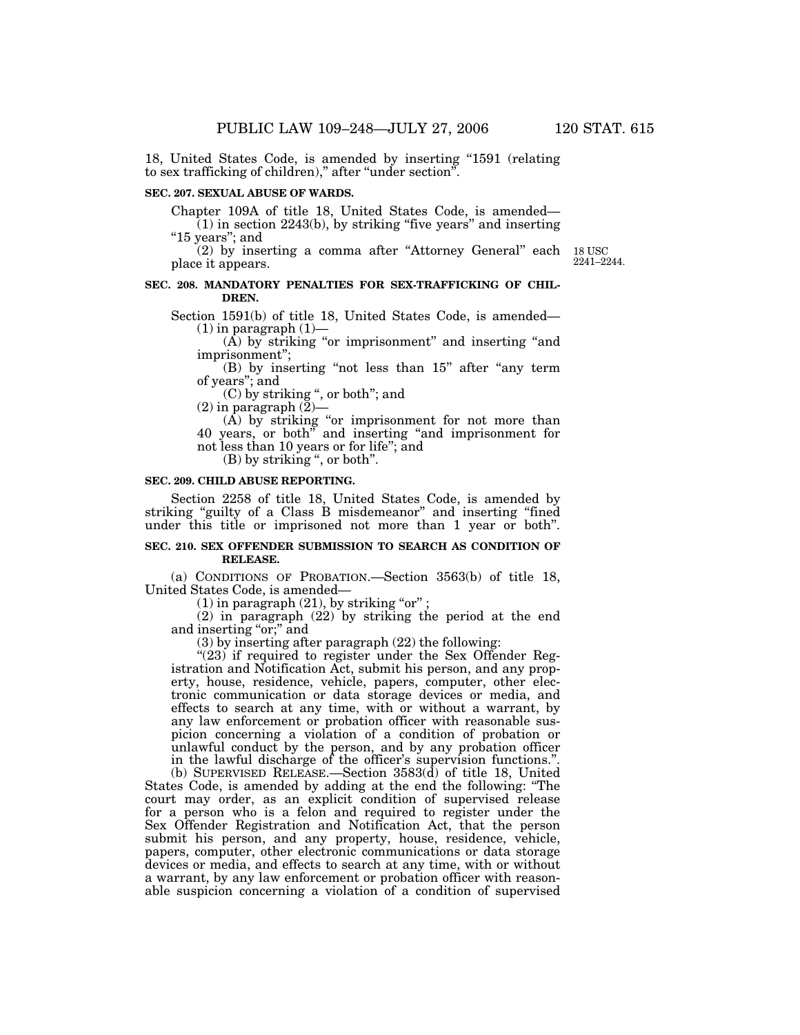18, United States Code, is amended by inserting "1591 (relating to sex trafficking of children),'' after ''under section''.

## **SEC. 207. SEXUAL ABUSE OF WARDS.**

Chapter 109A of title 18, United States Code, is amended—  $(1)$  in section 2243(b), by striking "five years" and inserting "15 years"; and

(2) by inserting a comma after "Attorney General" each 18 USC place it appears.

## **SEC. 208. MANDATORY PENALTIES FOR SEX-TRAFFICKING OF CHIL-DREN.**

Section 1591(b) of title 18, United States Code, is amended—  $(1)$  in paragraph  $(1)$ -

 $(A)$  by striking "or imprisonment" and inserting "and imprisonment'';

(B) by inserting ''not less than 15'' after ''any term of years''; and

(C) by striking '', or both''; and

 $(2)$  in paragraph  $(2)$ —

 $(A)$  by striking "or imprisonment for not more than 40 years, or both'' and inserting ''and imprisonment for

not less than 10 years or for life''; and

(B) by striking ", or both".

#### **SEC. 209. CHILD ABUSE REPORTING.**

Section 2258 of title 18, United States Code, is amended by striking "guilty of a Class B misdemeanor" and inserting "fined under this title or imprisoned not more than 1 year or both''.

### **SEC. 210. SEX OFFENDER SUBMISSION TO SEARCH AS CONDITION OF RELEASE.**

(a) CONDITIONS OF PROBATION.—Section 3563(b) of title 18, United States Code, is amended—

 $(1)$  in paragraph  $(21)$ , by striking "or";

 $(2)$  in paragraph  $(22)$  by striking the period at the end and inserting "or;" and

(3) by inserting after paragraph (22) the following:

"(23) if required to register under the Sex Offender Registration and Notification Act, submit his person, and any property, house, residence, vehicle, papers, computer, other electronic communication or data storage devices or media, and effects to search at any time, with or without a warrant, by any law enforcement or probation officer with reasonable suspicion concerning a violation of a condition of probation or unlawful conduct by the person, and by any probation officer in the lawful discharge of the officer's supervision functions.''.

(b) SUPERVISED RELEASE.—Section 3583(d) of title 18, United States Code, is amended by adding at the end the following: ''The court may order, as an explicit condition of supervised release for a person who is a felon and required to register under the Sex Offender Registration and Notification Act, that the person submit his person, and any property, house, residence, vehicle, papers, computer, other electronic communications or data storage devices or media, and effects to search at any time, with or without a warrant, by any law enforcement or probation officer with reasonable suspicion concerning a violation of a condition of supervised

2241–2244.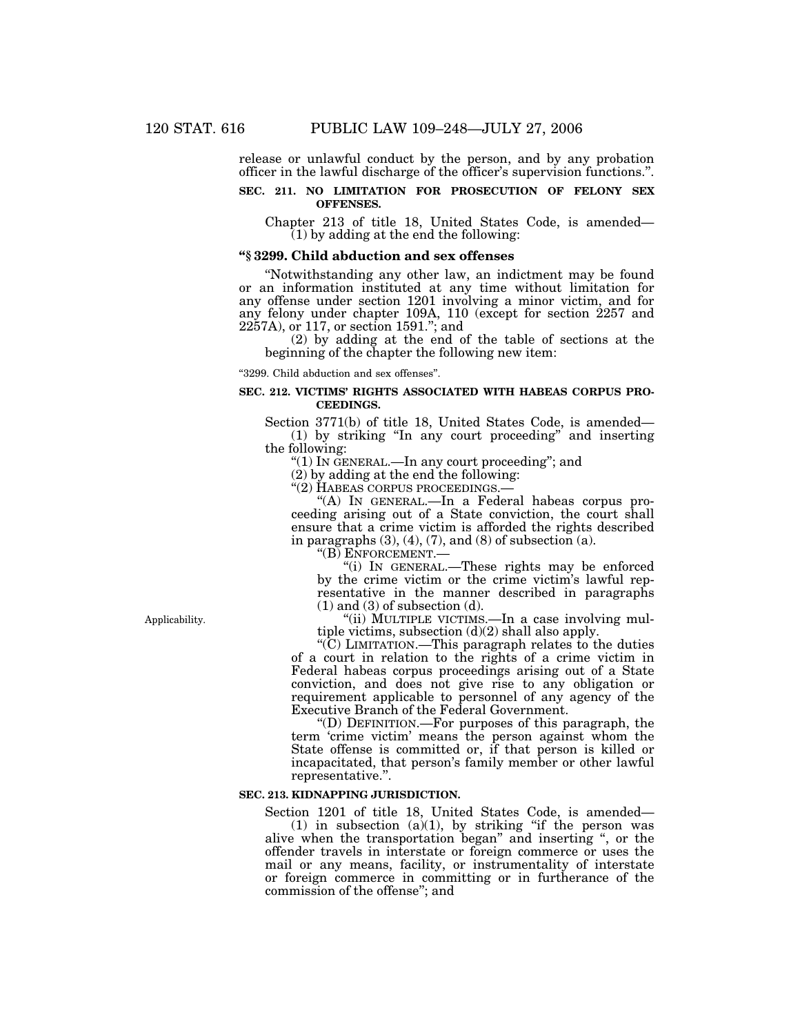release or unlawful conduct by the person, and by any probation officer in the lawful discharge of the officer's supervision functions.''.

## **SEC. 211. NO LIMITATION FOR PROSECUTION OF FELONY SEX OFFENSES.**

Chapter 213 of title 18, United States Code, is amended—  $(1)$  by adding at the end the following:

## **''§ 3299. Child abduction and sex offenses**

''Notwithstanding any other law, an indictment may be found or an information instituted at any time without limitation for any offense under section 1201 involving a minor victim, and for any felony under chapter 109A, 110 (except for section 2257 and 2257A), or 117, or section 1591.''; and

(2) by adding at the end of the table of sections at the beginning of the chapter the following new item:

''3299. Child abduction and sex offenses''.

## **SEC. 212. VICTIMS' RIGHTS ASSOCIATED WITH HABEAS CORPUS PRO-CEEDINGS.**

Section 3771(b) of title 18, United States Code, is amended— (1) by striking ''In any court proceeding'' and inserting the following:

''(1) IN GENERAL.—In any court proceeding''; and

(2) by adding at the end the following:

"(A) In GENERAL.—In a Federal habeas corpus proceeding arising out of a State conviction, the court shall ensure that a crime victim is afforded the rights described in paragraphs  $(3)$ ,  $(4)$ ,  $(7)$ , and  $(8)$  of subsection  $(a)$ .

''(B) ENFORCEMENT.—

''(i) IN GENERAL.—These rights may be enforced by the crime victim or the crime victim's lawful representative in the manner described in paragraphs  $(1)$  and  $(3)$  of subsection  $(d)$ .

''(ii) MULTIPLE VICTIMS.—In a case involving multiple victims, subsection (d)(2) shall also apply.

''(C) LIMITATION.—This paragraph relates to the duties of a court in relation to the rights of a crime victim in Federal habeas corpus proceedings arising out of a State conviction, and does not give rise to any obligation or requirement applicable to personnel of any agency of the Executive Branch of the Federal Government.

''(D) DEFINITION.—For purposes of this paragraph, the term 'crime victim' means the person against whom the State offense is committed or, if that person is killed or incapacitated, that person's family member or other lawful representative.''.

#### **SEC. 213. KIDNAPPING JURISDICTION.**

Section 1201 of title 18, United States Code, is amended— (1) in subsection (a)(1), by striking "if the person was alive when the transportation began'' and inserting '', or the offender travels in interstate or foreign commerce or uses the mail or any means, facility, or instrumentality of interstate or foreign commerce in committing or in furtherance of the commission of the offense''; and

Applicability.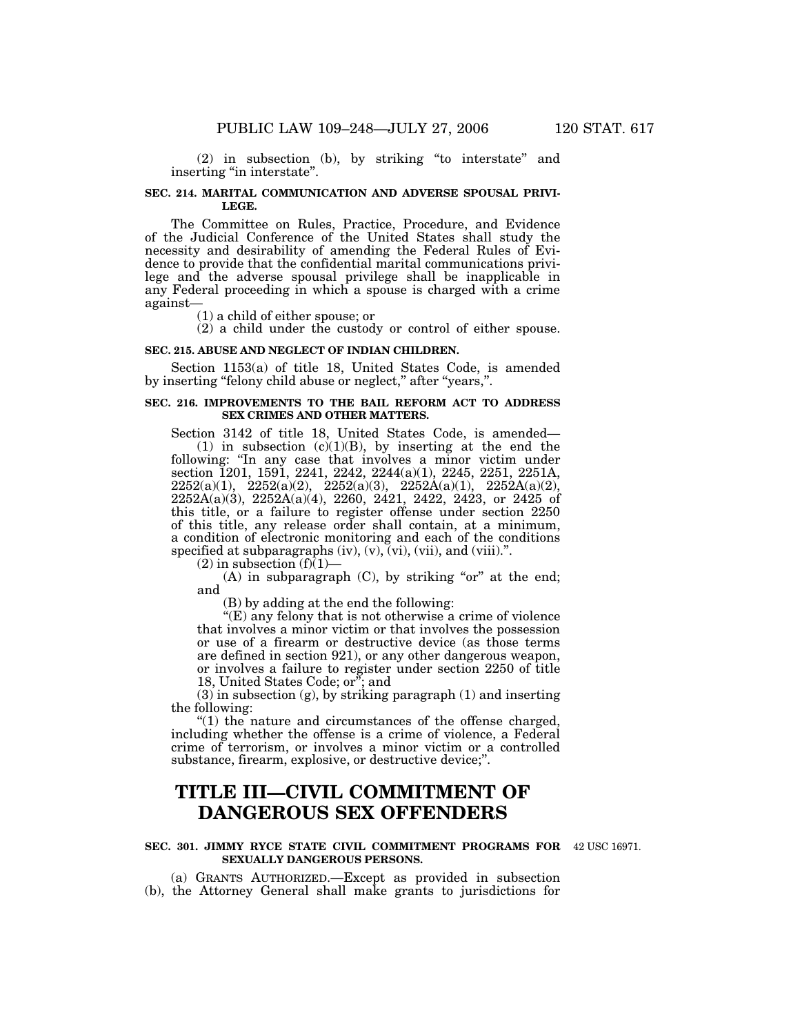(2) in subsection (b), by striking ''to interstate'' and inserting "in interstate".

#### **SEC. 214. MARITAL COMMUNICATION AND ADVERSE SPOUSAL PRIVI-LEGE.**

The Committee on Rules, Practice, Procedure, and Evidence of the Judicial Conference of the United States shall study the necessity and desirability of amending the Federal Rules of Evidence to provide that the confidential marital communications privilege and the adverse spousal privilege shall be inapplicable in any Federal proceeding in which a spouse is charged with a crime against—

(1) a child of either spouse; or

(2) a child under the custody or control of either spouse.

#### **SEC. 215. ABUSE AND NEGLECT OF INDIAN CHILDREN.**

Section 1153(a) of title 18, United States Code, is amended by inserting "felony child abuse or neglect," after "years,".

#### **SEC. 216. IMPROVEMENTS TO THE BAIL REFORM ACT TO ADDRESS SEX CRIMES AND OTHER MATTERS.**

Section 3142 of title 18, United States Code, is amended— (1) in subsection  $(c)(1)(B)$ , by inserting at the end the following: "In any case that involves a minor victim under section 1201, 1591, 2241, 2242, 2244(a)(1), 2245, 2251, 2251A,  $2252(a)(1)$ ,  $2252(a)(2)$ ,  $2252(a)(3)$ ,  $2252A(a)(1)$ ,  $2252A(a)(2)$ , 2252A(a)(3), 2252A(a)(4), 2260, 2421, 2422, 2423, or 2425 of this title, or a failure to register offense under section 2250 of this title, any release order shall contain, at a minimum, a condition of electronic monitoring and each of the conditions specified at subparagraphs  $(iv)$ ,  $(v)$ ,  $(vi)$ ,  $(vii)$ , and  $(viii)$ .".

 $(2)$  in subsection  $(f)(1)$ 

(A) in subparagraph  $(C)$ , by striking "or" at the end; and

(B) by adding at the end the following:

''(E) any felony that is not otherwise a crime of violence that involves a minor victim or that involves the possession or use of a firearm or destructive device (as those terms are defined in section 921), or any other dangerous weapon, or involves a failure to register under section 2250 of title 18, United States Code; or''; and

(3) in subsection (g), by striking paragraph (1) and inserting the following:

 $(1)$  the nature and circumstances of the offense charged, including whether the offense is a crime of violence, a Federal crime of terrorism, or involves a minor victim or a controlled substance, firearm, explosive, or destructive device;".

## **TITLE III—CIVIL COMMITMENT OF DANGEROUS SEX OFFENDERS**

#### **SEC. 301. JIMMY RYCE STATE CIVIL COMMITMENT PROGRAMS FOR** 42 USC 16971. **SEXUALLY DANGEROUS PERSONS.**

(a) GRANTS AUTHORIZED.—Except as provided in subsection (b), the Attorney General shall make grants to jurisdictions for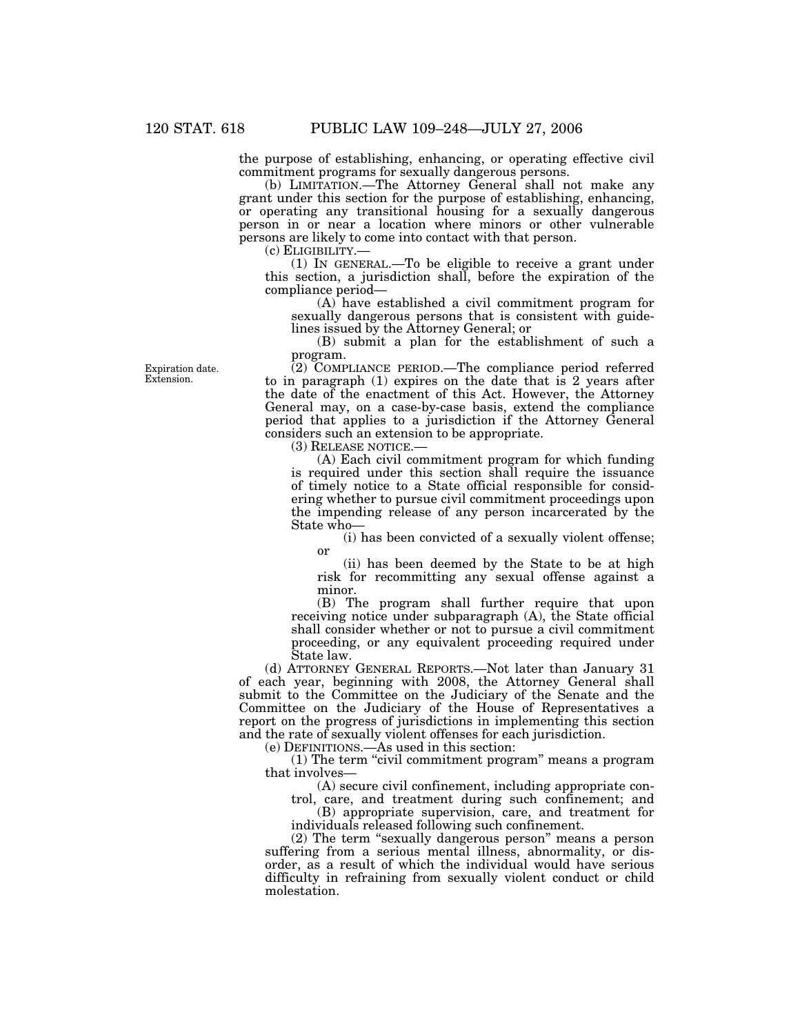the purpose of establishing, enhancing, or operating effective civil commitment programs for sexually dangerous persons.

(b) LIMITATION.—The Attorney General shall not make any grant under this section for the purpose of establishing, enhancing, or operating any transitional housing for a sexually dangerous person in or near a location where minors or other vulnerable persons are likely to come into contact with that person.

(c) ELIGIBILITY.— (1) IN GENERAL.—To be eligible to receive a grant under this section, a jurisdiction shall, before the expiration of the compliance period—

(A) have established a civil commitment program for sexually dangerous persons that is consistent with guidelines issued by the Attorney General; or

(B) submit a plan for the establishment of such a program.

(2) COMPLIANCE PERIOD.—The compliance period referred to in paragraph (1) expires on the date that is 2 years after the date of the enactment of this Act. However, the Attorney General may, on a case-by-case basis, extend the compliance period that applies to a jurisdiction if the Attorney General considers such an extension to be appropriate.

(3) RELEASE NOTICE.—

(A) Each civil commitment program for which funding is required under this section shall require the issuance of timely notice to a State official responsible for considering whether to pursue civil commitment proceedings upon the impending release of any person incarcerated by the State who—

(i) has been convicted of a sexually violent offense; or

(ii) has been deemed by the State to be at high risk for recommitting any sexual offense against a minor.

(B) The program shall further require that upon receiving notice under subparagraph (A), the State official shall consider whether or not to pursue a civil commitment proceeding, or any equivalent proceeding required under State law.

(d) ATTORNEY GENERAL REPORTS.—Not later than January 31 of each year, beginning with 2008, the Attorney General shall submit to the Committee on the Judiciary of the Senate and the Committee on the Judiciary of the House of Representatives a report on the progress of jurisdictions in implementing this section and the rate of sexually violent offenses for each jurisdiction.

(e) DEFINITIONS.—As used in this section:

(1) The term "civil commitment program" means a program that involves—

(A) secure civil confinement, including appropriate con-

trol, care, and treatment during such confinement; and (B) appropriate supervision, care, and treatment for individuals released following such confinement.

(2) The term ''sexually dangerous person'' means a person suffering from a serious mental illness, abnormality, or disorder, as a result of which the individual would have serious difficulty in refraining from sexually violent conduct or child molestation.

Expiration date. Extension.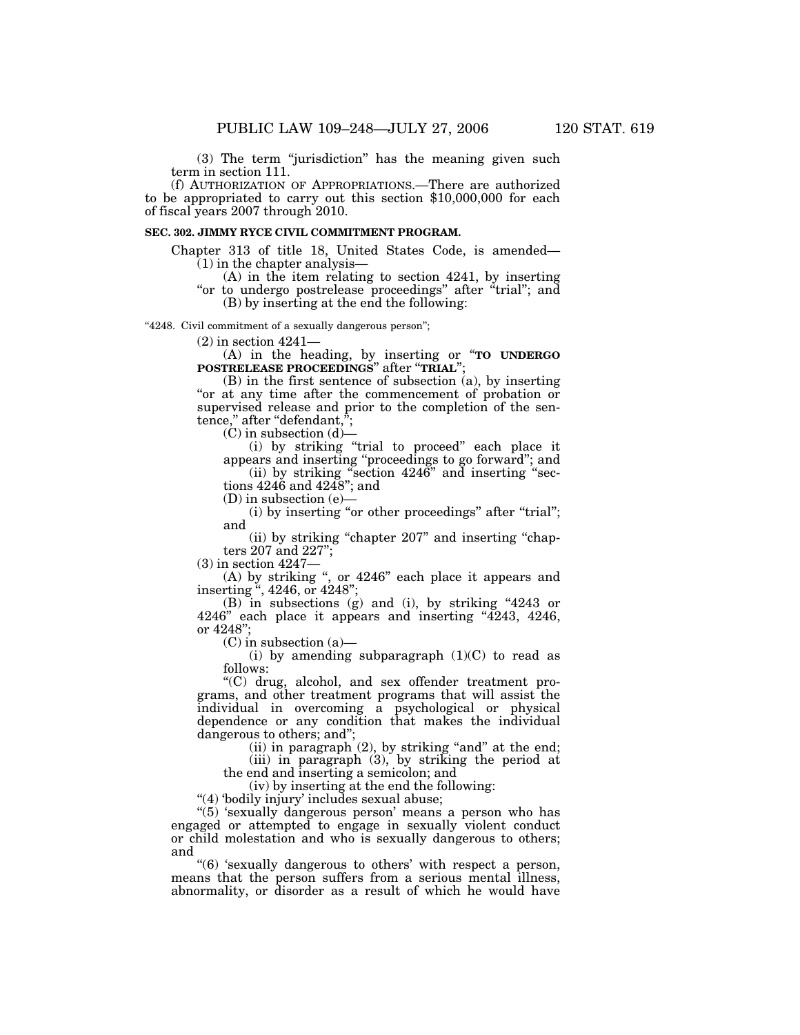(3) The term ''jurisdiction'' has the meaning given such term in section 111.

(f) AUTHORIZATION OF APPROPRIATIONS.—There are authorized to be appropriated to carry out this section \$10,000,000 for each of fiscal years 2007 through 2010.

#### **SEC. 302. JIMMY RYCE CIVIL COMMITMENT PROGRAM.**

Chapter 313 of title 18, United States Code, is amended—  $(1)$  in the chapter analysis-

(A) in the item relating to section 4241, by inserting "or to undergo postrelease proceedings" after "trial"; and (B) by inserting at the end the following:

"4248. Civil commitment of a sexually dangerous person";

(2) in section 4241—

(A) in the heading, by inserting or ''**TO UNDERGO POSTRELEASE PROCEEDINGS**'' after ''**TRIAL**'';

(B) in the first sentence of subsection (a), by inserting "or at any time after the commencement of probation or supervised release and prior to the completion of the sentence," after "defendant,";

 $(C)$  in subsection  $(d)$ —

(i) by striking ''trial to proceed'' each place it appears and inserting ''proceedings to go forward''; and (ii) by striking "section  $424\overline{6}$ " and inserting "sec-

tions 4246 and 4248''; and

(D) in subsection (e)—

(i) by inserting "or other proceedings" after "trial"; and

(ii) by striking "chapter 207" and inserting "chapters 207 and 227'';

(3) in section 4247—

 $(A)$  by striking ", or 4246" each place it appears and inserting '', 4246, or 4248'';

(B) in subsections (g) and (i), by striking ''4243 or 4246" each place it appears and inserting "4243, 4246, or 4248'';

 $(C)$  in subsection  $(a)$ —

(i) by amending subparagraph  $(1)(C)$  to read as follows:

''(C) drug, alcohol, and sex offender treatment programs, and other treatment programs that will assist the individual in overcoming a psychological or physical dependence or any condition that makes the individual dangerous to others; and'';

(ii) in paragraph  $(2)$ , by striking "and" at the end; (iii) in paragraph (3), by striking the period at

the end and inserting a semicolon; and

(iv) by inserting at the end the following:

"(4) 'bodily injury' includes sexual abuse;

''(5) 'sexually dangerous person' means a person who has engaged or attempted to engage in sexually violent conduct or child molestation and who is sexually dangerous to others; and

"(6) 'sexually dangerous to others' with respect a person, means that the person suffers from a serious mental illness, abnormality, or disorder as a result of which he would have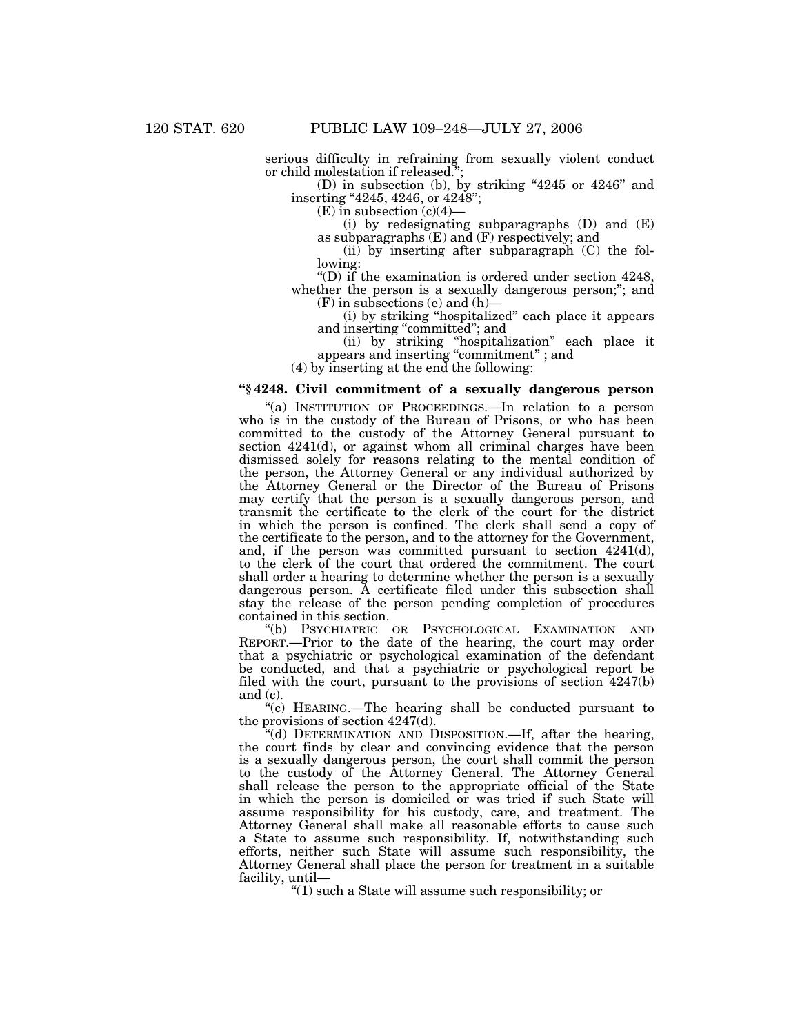serious difficulty in refraining from sexually violent conduct or child molestation if released.'';

(D) in subsection (b), by striking "4245 or 4246" and inserting "4245, 4246, or 4248";

 $(E)$  in subsection  $(c)(4)$ —

(i) by redesignating subparagraphs (D) and (E) as subparagraphs  $(E)$  and  $(F)$  respectively; and

(ii) by inserting after subparagraph (C) the following:

 $\degree$ (D) if the examination is ordered under section 4248, whether the person is a sexually dangerous person;"; and  $(F)$  in subsections (e) and  $(h)$ 

(i) by striking ''hospitalized'' each place it appears and inserting "committed"; and

(ii) by striking ''hospitalization'' each place it appears and inserting "commitment" ; and

(4) by inserting at the end the following:

## **''§ 4248. Civil commitment of a sexually dangerous person**

"(a) INSTITUTION OF PROCEEDINGS.—In relation to a person who is in the custody of the Bureau of Prisons, or who has been committed to the custody of the Attorney General pursuant to section 4241(d), or against whom all criminal charges have been dismissed solely for reasons relating to the mental condition of the person, the Attorney General or any individual authorized by the Attorney General or the Director of the Bureau of Prisons may certify that the person is a sexually dangerous person, and transmit the certificate to the clerk of the court for the district in which the person is confined. The clerk shall send a copy of the certificate to the person, and to the attorney for the Government, and, if the person was committed pursuant to section 4241(d), to the clerk of the court that ordered the commitment. The court shall order a hearing to determine whether the person is a sexually dangerous person. A certificate filed under this subsection shall stay the release of the person pending completion of procedures contained in this section.

''(b) PSYCHIATRIC OR PSYCHOLOGICAL EXAMINATION AND REPORT.—Prior to the date of the hearing, the court may order that a psychiatric or psychological examination of the defendant be conducted, and that a psychiatric or psychological report be filed with the court, pursuant to the provisions of section 4247(b) and  $(c)$ .

''(c) HEARING.—The hearing shall be conducted pursuant to the provisions of section 4247(d).

''(d) DETERMINATION AND DISPOSITION.—If, after the hearing, the court finds by clear and convincing evidence that the person is a sexually dangerous person, the court shall commit the person to the custody of the Attorney General. The Attorney General shall release the person to the appropriate official of the State in which the person is domiciled or was tried if such State will assume responsibility for his custody, care, and treatment. The Attorney General shall make all reasonable efforts to cause such a State to assume such responsibility. If, notwithstanding such efforts, neither such State will assume such responsibility, the Attorney General shall place the person for treatment in a suitable facility, until—

''(1) such a State will assume such responsibility; or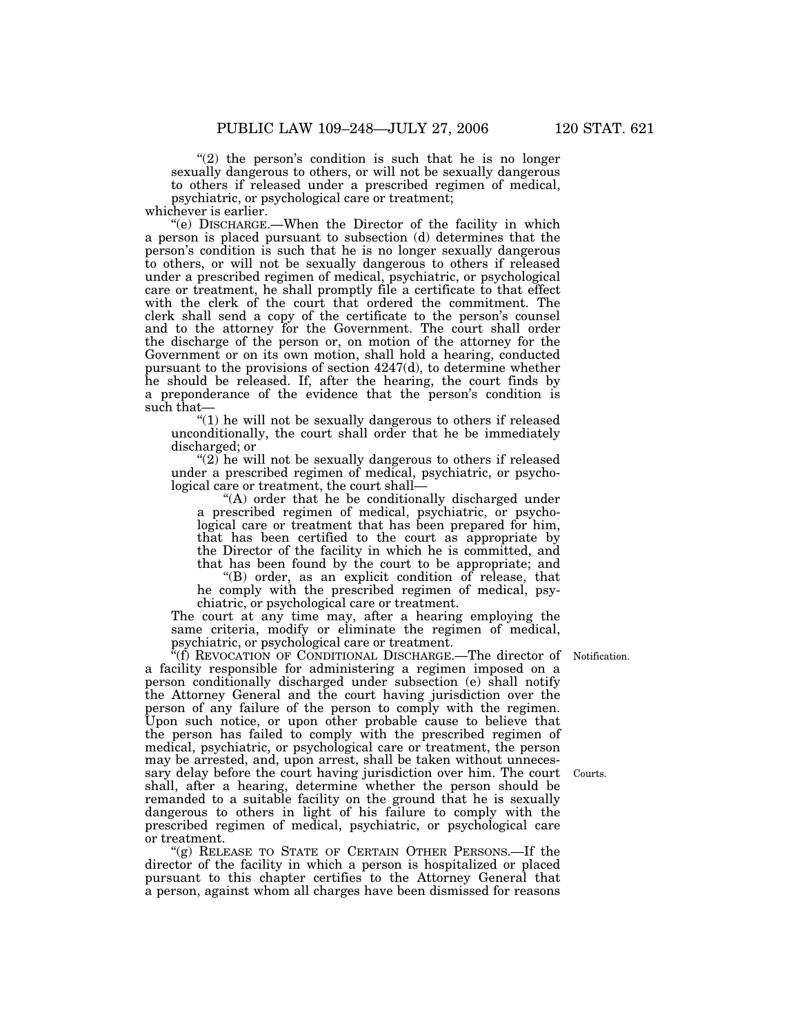" $(2)$  the person's condition is such that he is no longer sexually dangerous to others, or will not be sexually dangerous to others if released under a prescribed regimen of medical, psychiatric, or psychological care or treatment;

whichever is earlier.

''(e) DISCHARGE.—When the Director of the facility in which a person is placed pursuant to subsection (d) determines that the person's condition is such that he is no longer sexually dangerous to others, or will not be sexually dangerous to others if released under a prescribed regimen of medical, psychiatric, or psychological care or treatment, he shall promptly file a certificate to that effect with the clerk of the court that ordered the commitment. The clerk shall send a copy of the certificate to the person's counsel and to the attorney for the Government. The court shall order the discharge of the person or, on motion of the attorney for the Government or on its own motion, shall hold a hearing, conducted pursuant to the provisions of section 4247(d), to determine whether he should be released. If, after the hearing, the court finds by a preponderance of the evidence that the person's condition is such that—

 $''(1)$  he will not be sexually dangerous to others if released unconditionally, the court shall order that he be immediately discharged; or

 $(2)$  he will not be sexually dangerous to others if released under a prescribed regimen of medical, psychiatric, or psychological care or treatment, the court shall—

''(A) order that he be conditionally discharged under a prescribed regimen of medical, psychiatric, or psychological care or treatment that has been prepared for him, that has been certified to the court as appropriate by the Director of the facility in which he is committed, and that has been found by the court to be appropriate; and

''(B) order, as an explicit condition of release, that he comply with the prescribed regimen of medical, psychiatric, or psychological care or treatment.

The court at any time may, after a hearing employing the same criteria, modify or eliminate the regimen of medical, psychiatric, or psychological care or treatment.

<sup>"</sup>(f) REVOCATION OF CONDITIONAL DISCHARGE.—The director of Notification.

a facility responsible for administering a regimen imposed on a person conditionally discharged under subsection (e) shall notify the Attorney General and the court having jurisdiction over the person of any failure of the person to comply with the regimen. Upon such notice, or upon other probable cause to believe that the person has failed to comply with the prescribed regimen of medical, psychiatric, or psychological care or treatment, the person may be arrested, and, upon arrest, shall be taken without unnecessary delay before the court having jurisdiction over him. The court shall, after a hearing, determine whether the person should be remanded to a suitable facility on the ground that he is sexually dangerous to others in light of his failure to comply with the prescribed regimen of medical, psychiatric, or psychological care or treatment.

" $(g)$  RELEASE TO STATE OF CERTAIN OTHER PERSONS.—If the director of the facility in which a person is hospitalized or placed pursuant to this chapter certifies to the Attorney General that a person, against whom all charges have been dismissed for reasons

Courts.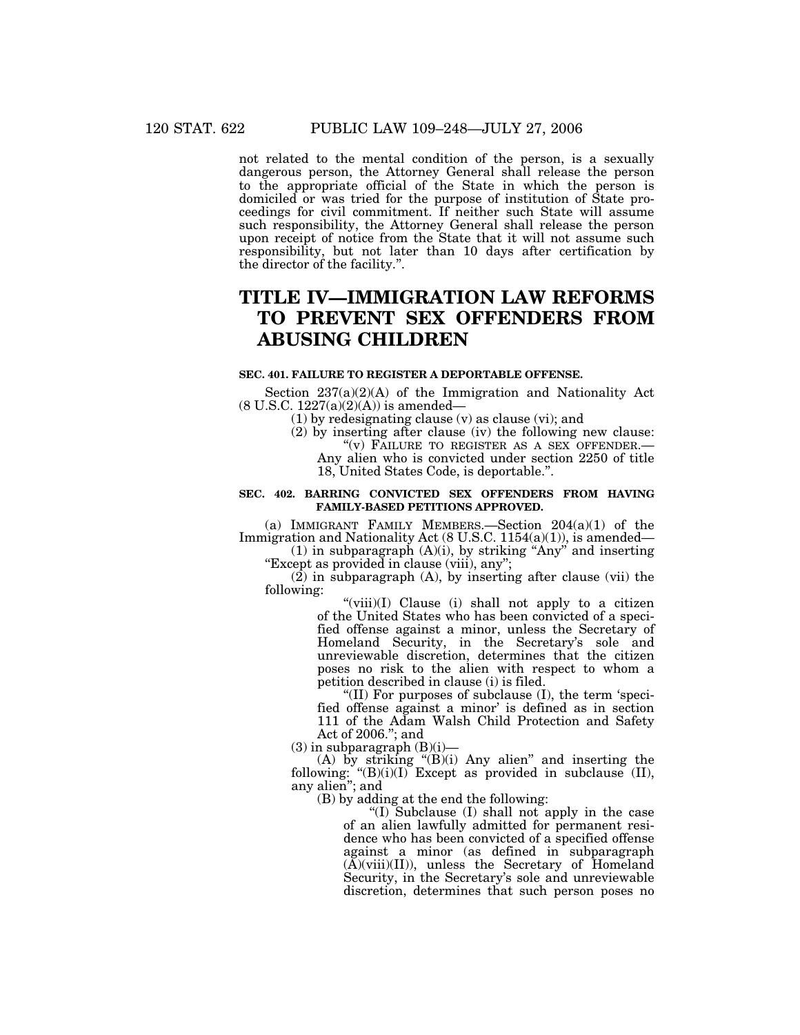not related to the mental condition of the person, is a sexually dangerous person, the Attorney General shall release the person to the appropriate official of the State in which the person is domiciled or was tried for the purpose of institution of State proceedings for civil commitment. If neither such State will assume such responsibility, the Attorney General shall release the person upon receipt of notice from the State that it will not assume such responsibility, but not later than 10 days after certification by the director of the facility.''.

## **TITLE IV—IMMIGRATION LAW REFORMS TO PREVENT SEX OFFENDERS FROM ABUSING CHILDREN**

### **SEC. 401. FAILURE TO REGISTER A DEPORTABLE OFFENSE.**

Section  $237(a)(2)(A)$  of the Immigration and Nationality Act  $(8 \text{ U.S.C. } 1227(a)(2)(A))$  is amended—

(1) by redesignating clause (v) as clause (vi); and

(2) by inserting after clause (iv) the following new clause: " $(v)$  FAILURE TO REGISTER AS A SEX OFFENDER. Any alien who is convicted under section 2250 of title. 18, United States Code, is deportable.''.

#### **SEC. 402. BARRING CONVICTED SEX OFFENDERS FROM HAVING FAMILY-BASED PETITIONS APPROVED.**

(a) IMMIGRANT FAMILY MEMBERS.—Section 204(a)(1) of the Immigration and Nationality Act (8 U.S.C. 1154(a)(1)), is amended—

 $(1)$  in subparagraph  $(A)(i)$ , by striking "Any" and inserting ''Except as provided in clause (viii), any'';

 $(2)$  in subparagraph  $(A)$ , by inserting after clause (vii) the following:

" $(viii)(I)$  Clause (i) shall not apply to a citizen of the United States who has been convicted of a specified offense against a minor, unless the Secretary of Homeland Security, in the Secretary's sole and unreviewable discretion, determines that the citizen poses no risk to the alien with respect to whom a petition described in clause (i) is filed.

''(II) For purposes of subclause (I), the term 'specified offense against a minor' is defined as in section 111 of the Adam Walsh Child Protection and Safety Act of 2006.''; and

 $(3)$  in subparagraph  $(B)(i)$ —

 $(A)$  by striking " $(B)(i)$  Any alien" and inserting the following:  $\text{``}(B)(i)(I)$  Except as provided in subclause (II), any alien''; and

(B) by adding at the end the following:

''(I) Subclause (I) shall not apply in the case of an alien lawfully admitted for permanent residence who has been convicted of a specified offense against a minor (as defined in subparagraph  $(A)(viii)(II))$ , unless the Secretary of Homeland Security, in the Secretary's sole and unreviewable discretion, determines that such person poses no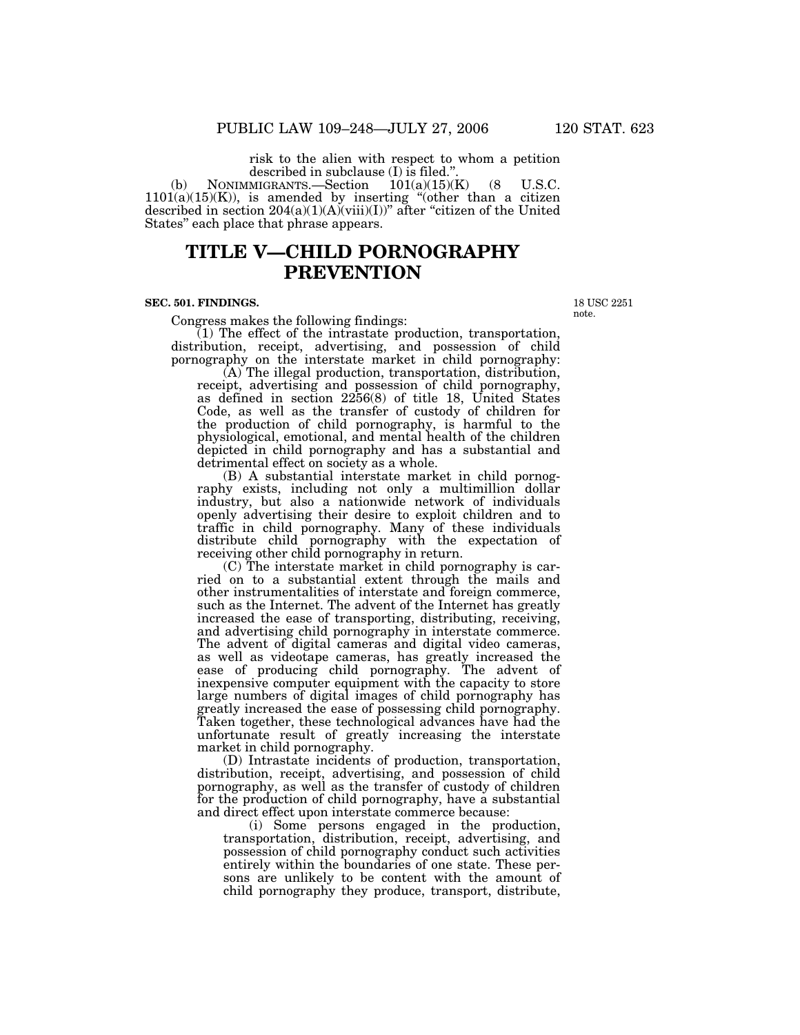risk to the alien with respect to whom a petition described in subclause (I) is filed.".<br>MIGRANTS.—Section  $101(a)(15)(K)$ 

(b) NONIMMIGRANTS.—Section  $101(a)(15)(K)$  (8 U.S.C.  $1101(a)(15)(K)$ , is amended by inserting "(other than a citizen described in section  $204(a)(1)(A)(viii)(I))^{\prime\prime}$  after "citizen of the United" States'' each place that phrase appears.

## **TITLE V—CHILD PORNOGRAPHY PREVENTION**

#### **SEC. 501. FINDINGS.**

Congress makes the following findings:

(1) The effect of the intrastate production, transportation, distribution, receipt, advertising, and possession of child pornography on the interstate market in child pornography:

(A) The illegal production, transportation, distribution, receipt, advertising and possession of child pornography, as defined in section 2256(8) of title 18, United States Code, as well as the transfer of custody of children for the production of child pornography, is harmful to the physiological, emotional, and mental health of the children depicted in child pornography and has a substantial and detrimental effect on society as a whole.

(B) A substantial interstate market in child pornography exists, including not only a multimillion dollar industry, but also a nationwide network of individuals openly advertising their desire to exploit children and to traffic in child pornography. Many of these individuals distribute child pornography with the expectation of receiving other child pornography in return.

(C) The interstate market in child pornography is carried on to a substantial extent through the mails and other instrumentalities of interstate and foreign commerce, such as the Internet. The advent of the Internet has greatly increased the ease of transporting, distributing, receiving, and advertising child pornography in interstate commerce. The advent of digital cameras and digital video cameras, as well as videotape cameras, has greatly increased the ease of producing child pornography. The advent of inexpensive computer equipment with the capacity to store large numbers of digital images of child pornography has greatly increased the ease of possessing child pornography. Taken together, these technological advances have had the unfortunate result of greatly increasing the interstate market in child pornography.

(D) Intrastate incidents of production, transportation, distribution, receipt, advertising, and possession of child pornography, as well as the transfer of custody of children for the production of child pornography, have a substantial and direct effect upon interstate commerce because:

(i) Some persons engaged in the production, transportation, distribution, receipt, advertising, and possession of child pornography conduct such activities entirely within the boundaries of one state. These persons are unlikely to be content with the amount of child pornography they produce, transport, distribute,

18 USC 2251 note.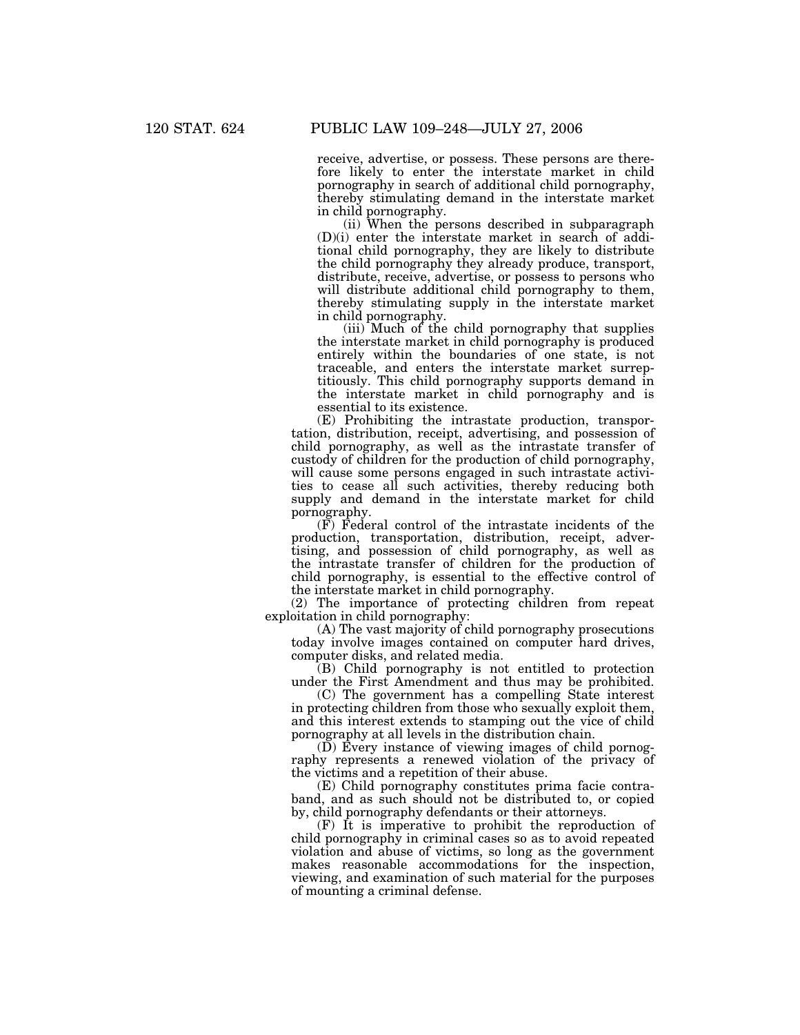receive, advertise, or possess. These persons are therefore likely to enter the interstate market in child pornography in search of additional child pornography, thereby stimulating demand in the interstate market in child pornography.

(ii) When the persons described in subparagraph (D)(i) enter the interstate market in search of additional child pornography, they are likely to distribute the child pornography they already produce, transport, distribute, receive, advertise, or possess to persons who will distribute additional child pornography to them, thereby stimulating supply in the interstate market in child pornography.

(iii) Much of the child pornography that supplies the interstate market in child pornography is produced entirely within the boundaries of one state, is not traceable, and enters the interstate market surreptitiously. This child pornography supports demand in the interstate market in child pornography and is essential to its existence.

(E) Prohibiting the intrastate production, transportation, distribution, receipt, advertising, and possession of child pornography, as well as the intrastate transfer of custody of children for the production of child pornography, will cause some persons engaged in such intrastate activities to cease all such activities, thereby reducing both supply and demand in the interstate market for child pornography.

(F) Federal control of the intrastate incidents of the production, transportation, distribution, receipt, advertising, and possession of child pornography, as well as the intrastate transfer of children for the production of child pornography, is essential to the effective control of the interstate market in child pornography.

(2) The importance of protecting children from repeat exploitation in child pornography:

(A) The vast majority of child pornography prosecutions today involve images contained on computer hard drives, computer disks, and related media.

(B) Child pornography is not entitled to protection under the First Amendment and thus may be prohibited.

(C) The government has a compelling State interest in protecting children from those who sexually exploit them, and this interest extends to stamping out the vice of child pornography at all levels in the distribution chain.

(D) Every instance of viewing images of child pornography represents a renewed violation of the privacy of the victims and a repetition of their abuse.

(E) Child pornography constitutes prima facie contraband, and as such should not be distributed to, or copied by, child pornography defendants or their attorneys.

(F) It is imperative to prohibit the reproduction of child pornography in criminal cases so as to avoid repeated violation and abuse of victims, so long as the government makes reasonable accommodations for the inspection, viewing, and examination of such material for the purposes of mounting a criminal defense.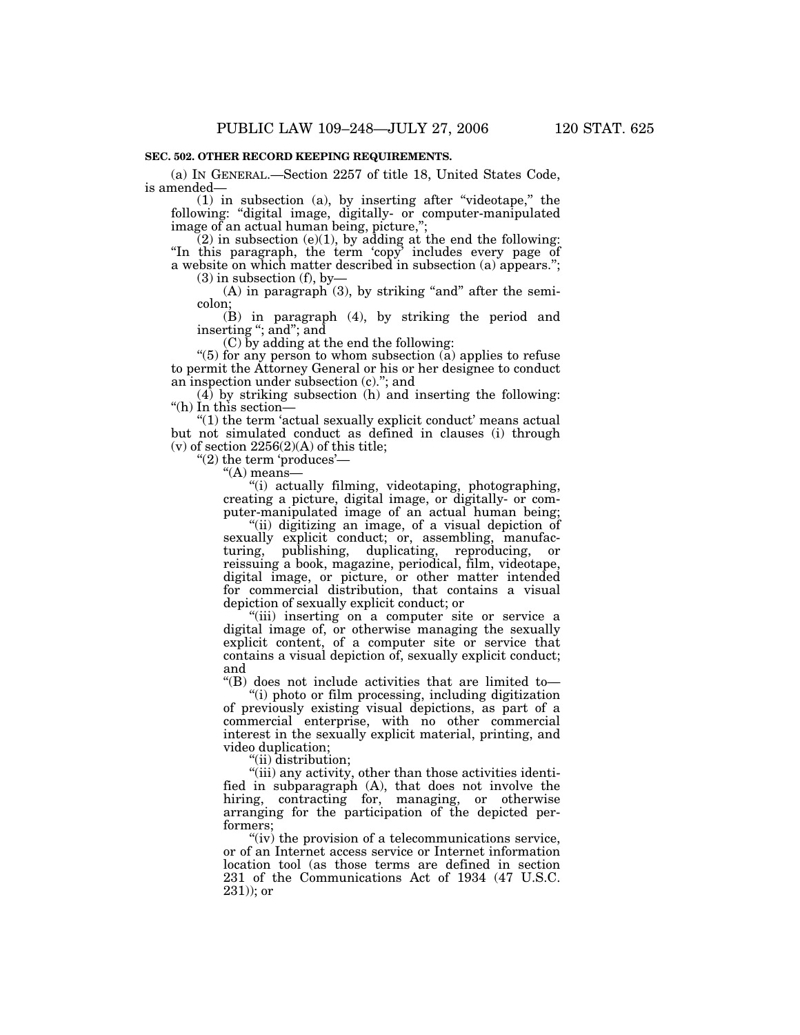(a) IN GENERAL.—Section 2257 of title 18, United States Code, is amended—

(1) in subsection (a), by inserting after ''videotape,'' the following: ''digital image, digitally- or computer-manipulated image of an actual human being, picture,'';

 $(2)$  in subsection  $(e)(1)$ , by adding at the end the following: ''In this paragraph, the term 'copy' includes every page of a website on which matter described in subsection (a) appears.'';

 $(3)$  in subsection  $(f)$ , by-

 $(A)$  in paragraph  $(3)$ , by striking "and" after the semicolon;

(B) in paragraph (4), by striking the period and inserting ''; and''; and

(C) by adding at the end the following:

"(5) for any person to whom subsection  $\left(\alpha\right)$  applies to refuse to permit the Attorney General or his or her designee to conduct an inspection under subsection (c).''; and

(4) by striking subsection (h) and inserting the following: ''(h) In this section—

"(1) the term 'actual sexually explicit conduct' means actual but not simulated conduct as defined in clauses (i) through (v) of section  $2256(2)(A)$  of this title;

" $(2)$  the term 'produces'—

''(A) means—

''(i) actually filming, videotaping, photographing, creating a picture, digital image, or digitally- or computer-manipulated image of an actual human being;

"(ii) digitizing an image, of a visual depiction of sexually explicit conduct; or, assembling, manufacturing, publishing, duplicating, reproducing, or reissuing a book, magazine, periodical, film, videotape, digital image, or picture, or other matter intended for commercial distribution, that contains a visual depiction of sexually explicit conduct; or

"(iii) inserting on a computer site or service a digital image of, or otherwise managing the sexually explicit content, of a computer site or service that contains a visual depiction of, sexually explicit conduct; and

''(B) does not include activities that are limited to—

''(i) photo or film processing, including digitization of previously existing visual depictions, as part of a commercial enterprise, with no other commercial interest in the sexually explicit material, printing, and video duplication;

''(ii) distribution;

"(iii) any activity, other than those activities identified in subparagraph (A), that does not involve the hiring, contracting for, managing, or otherwise arranging for the participation of the depicted performers;

"(iv) the provision of a telecommunications service, or of an Internet access service or Internet information location tool (as those terms are defined in section 231 of the Communications Act of 1934 (47 U.S.C. 231)); or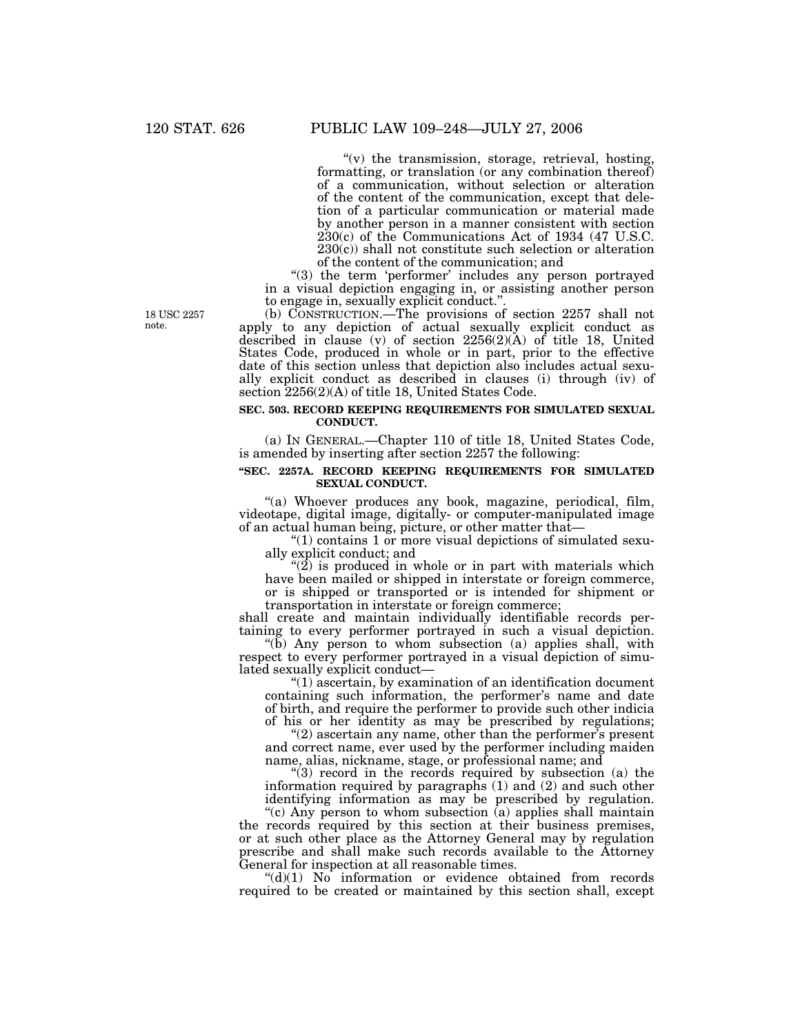"(v) the transmission, storage, retrieval, hosting, formatting, or translation (or any combination thereof) of a communication, without selection or alteration of the content of the communication, except that deletion of a particular communication or material made by another person in a manner consistent with section 230(c) of the Communications Act of 1934 (47 U.S.C. 230(c)) shall not constitute such selection or alteration of the content of the communication; and

"(3) the term 'performer' includes any person portrayed in a visual depiction engaging in, or assisting another person to engage in, sexually explicit conduct.''.

(b) CONSTRUCTION.—The provisions of section 2257 shall not apply to any depiction of actual sexually explicit conduct as described in clause (v) of section 2256(2)(A) of title 18, United States Code, produced in whole or in part, prior to the effective date of this section unless that depiction also includes actual sexually explicit conduct as described in clauses (i) through (iv) of section 2256(2)(A) of title 18, United States Code.

### **SEC. 503. RECORD KEEPING REQUIREMENTS FOR SIMULATED SEXUAL CONDUCT.**

(a) IN GENERAL.—Chapter 110 of title 18, United States Code, is amended by inserting after section 2257 the following:

## **''SEC. 2257A. RECORD KEEPING REQUIREMENTS FOR SIMULATED SEXUAL CONDUCT.**

"(a) Whoever produces any book, magazine, periodical, film, videotape, digital image, digitally- or computer-manipulated image of an actual human being, picture, or other matter that—

''(1) contains 1 or more visual depictions of simulated sexually explicit conduct; and

 $\mathcal{L}(2)$  is produced in whole or in part with materials which have been mailed or shipped in interstate or foreign commerce, or is shipped or transported or is intended for shipment or transportation in interstate or foreign commerce;

shall create and maintain individually identifiable records pertaining to every performer portrayed in such a visual depiction.

''(b) Any person to whom subsection (a) applies shall, with respect to every performer portrayed in a visual depiction of simulated sexually explicit conduct—

''(1) ascertain, by examination of an identification document containing such information, the performer's name and date of birth, and require the performer to provide such other indicia of his or her identity as may be prescribed by regulations;

" $(2)$  ascertain any name, other than the performer's present and correct name, ever used by the performer including maiden name, alias, nickname, stage, or professional name; and

''(3) record in the records required by subsection (a) the information required by paragraphs (1) and (2) and such other identifying information as may be prescribed by regulation.

"(c) Any person to whom subsection  $(a)$  applies shall maintain the records required by this section at their business premises, or at such other place as the Attorney General may by regulation prescribe and shall make such records available to the Attorney General for inspection at all reasonable times.

 $*(d)(1)$  No information or evidence obtained from records required to be created or maintained by this section shall, except

18 USC 2257 note.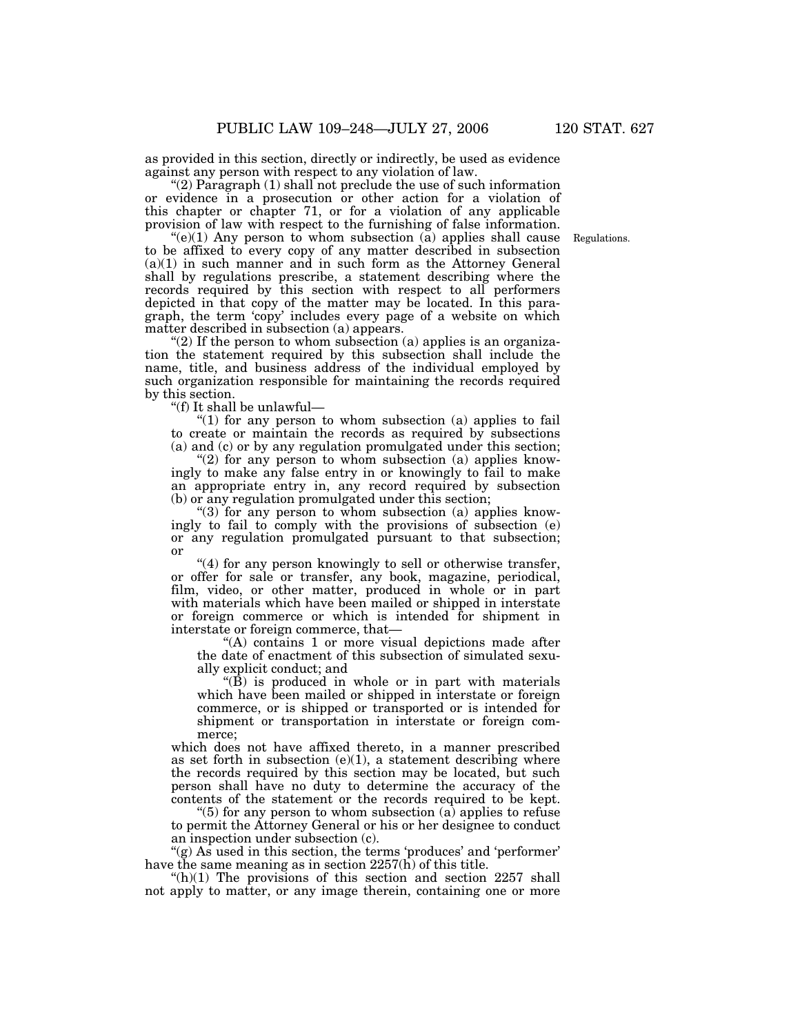as provided in this section, directly or indirectly, be used as evidence against any person with respect to any violation of law.

" $(2)$  Paragraph  $(1)$  shall not preclude the use of such information or evidence in a prosecution or other action for a violation of this chapter or chapter 71, or for a violation of any applicable provision of law with respect to the furnishing of false information.

 $\mathcal{L}(e)(1)$  Any person to whom subsection (a) applies shall cause Regulations. to be affixed to every copy of any matter described in subsection  $(a)(1)$  in such manner and in such form as the Attorney General shall by regulations prescribe, a statement describing where the records required by this section with respect to all performers depicted in that copy of the matter may be located. In this paragraph, the term 'copy' includes every page of a website on which matter described in subsection (a) appears.

"(2) If the person to whom subsection (a) applies is an organization the statement required by this subsection shall include the name, title, and business address of the individual employed by such organization responsible for maintaining the records required by this section.

''(f) It shall be unlawful—

"(1) for any person to whom subsection (a) applies to fail to create or maintain the records as required by subsections (a) and (c) or by any regulation promulgated under this section;

" $(2)$  for any person to whom subsection  $(a)$  applies knowingly to make any false entry in or knowingly to fail to make an appropriate entry in, any record required by subsection (b) or any regulation promulgated under this section;

''(3) for any person to whom subsection (a) applies knowingly to fail to comply with the provisions of subsection (e) or any regulation promulgated pursuant to that subsection; or

"(4) for any person knowingly to sell or otherwise transfer, or offer for sale or transfer, any book, magazine, periodical, film, video, or other matter, produced in whole or in part with materials which have been mailed or shipped in interstate or foreign commerce or which is intended for shipment in interstate or foreign commerce, that—

''(A) contains 1 or more visual depictions made after the date of enactment of this subsection of simulated sexually explicit conduct; and

" $(\hat{B})$  is produced in whole or in part with materials which have been mailed or shipped in interstate or foreign commerce, or is shipped or transported or is intended for shipment or transportation in interstate or foreign commerce;

which does not have affixed thereto, in a manner prescribed as set forth in subsection  $(e)(1)$ , a statement describing where the records required by this section may be located, but such person shall have no duty to determine the accuracy of the contents of the statement or the records required to be kept.

" $(5)$  for any person to whom subsection  $(a)$  applies to refuse to permit the Attorney General or his or her designee to conduct an inspection under subsection (c).

 $\mathcal{L}(\mathbf{g})$  As used in this section, the terms 'produces' and 'performer' have the same meaning as in section 2257(h) of this title.

" $(h)(1)$  The provisions of this section and section 2257 shall not apply to matter, or any image therein, containing one or more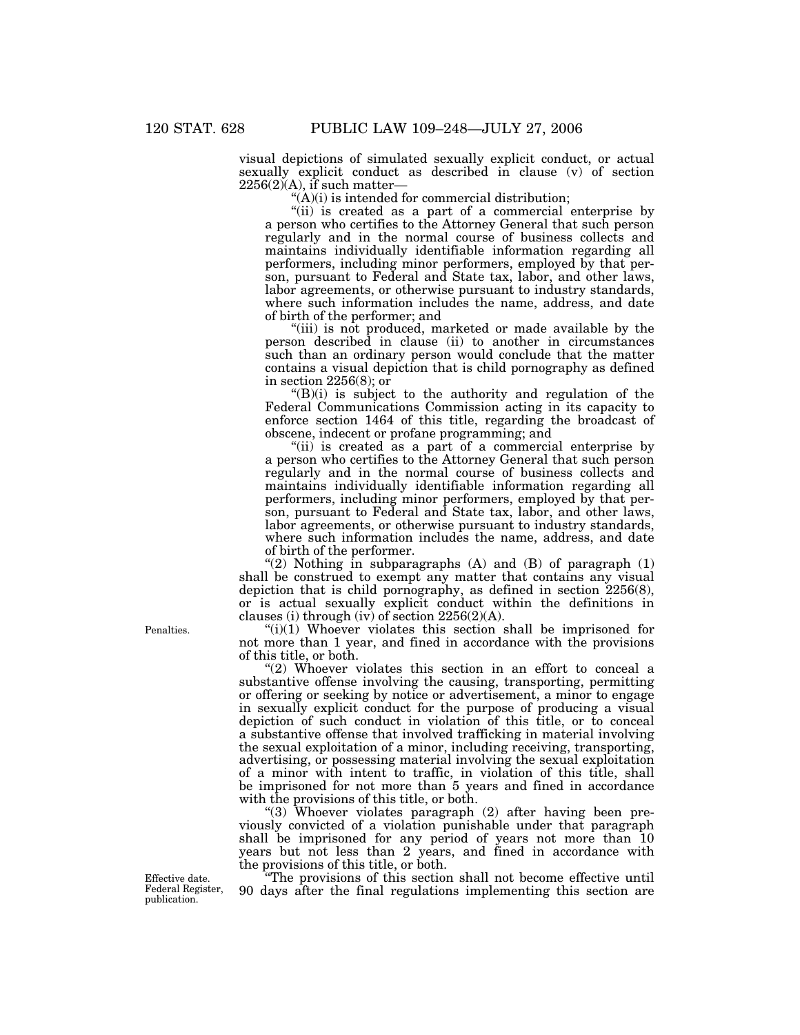visual depictions of simulated sexually explicit conduct, or actual sexually explicit conduct as described in clause (v) of section  $2256(2)$ (A), if such matter-

 $<sup>(A)(i)</sup>$  is intended for commercial distribution;</sup>

"(ii) is created as a part of a commercial enterprise by a person who certifies to the Attorney General that such person regularly and in the normal course of business collects and maintains individually identifiable information regarding all performers, including minor performers, employed by that person, pursuant to Federal and State tax, labor, and other laws, labor agreements, or otherwise pursuant to industry standards, where such information includes the name, address, and date of birth of the performer; and

"(iii) is not produced, marketed or made available by the person described in clause (ii) to another in circumstances such than an ordinary person would conclude that the matter contains a visual depiction that is child pornography as defined in section 2256(8); or

 $f'(B)(i)$  is subject to the authority and regulation of the Federal Communications Commission acting in its capacity to enforce section 1464 of this title, regarding the broadcast of obscene, indecent or profane programming; and

"(ii) is created as a part of a commercial enterprise by a person who certifies to the Attorney General that such person regularly and in the normal course of business collects and maintains individually identifiable information regarding all performers, including minor performers, employed by that person, pursuant to Federal and State tax, labor, and other laws, labor agreements, or otherwise pursuant to industry standards, where such information includes the name, address, and date of birth of the performer.

"(2) Nothing in subparagraphs  $(A)$  and  $(B)$  of paragraph  $(1)$ shall be construed to exempt any matter that contains any visual depiction that is child pornography, as defined in section 2256(8), or is actual sexually explicit conduct within the definitions in clauses (i) through (iv) of section  $2256(2)(A)$ .

 $(ii)(1)$  Whoever violates this section shall be imprisoned for not more than 1 year, and fined in accordance with the provisions of this title, or both.

"(2) Whoever violates this section in an effort to conceal a substantive offense involving the causing, transporting, permitting or offering or seeking by notice or advertisement, a minor to engage in sexually explicit conduct for the purpose of producing a visual depiction of such conduct in violation of this title, or to conceal a substantive offense that involved trafficking in material involving the sexual exploitation of a minor, including receiving, transporting, advertising, or possessing material involving the sexual exploitation of a minor with intent to traffic, in violation of this title, shall be imprisoned for not more than 5 years and fined in accordance with the provisions of this title, or both.

"(3) Whoever violates paragraph  $(2)$  after having been previously convicted of a violation punishable under that paragraph shall be imprisoned for any period of years not more than 10 years but not less than 2 years, and fined in accordance with the provisions of this title, or both.

The provisions of this section shall not become effective until 90 days after the final regulations implementing this section are

Penalties.

Effective date. Federal Register, publication.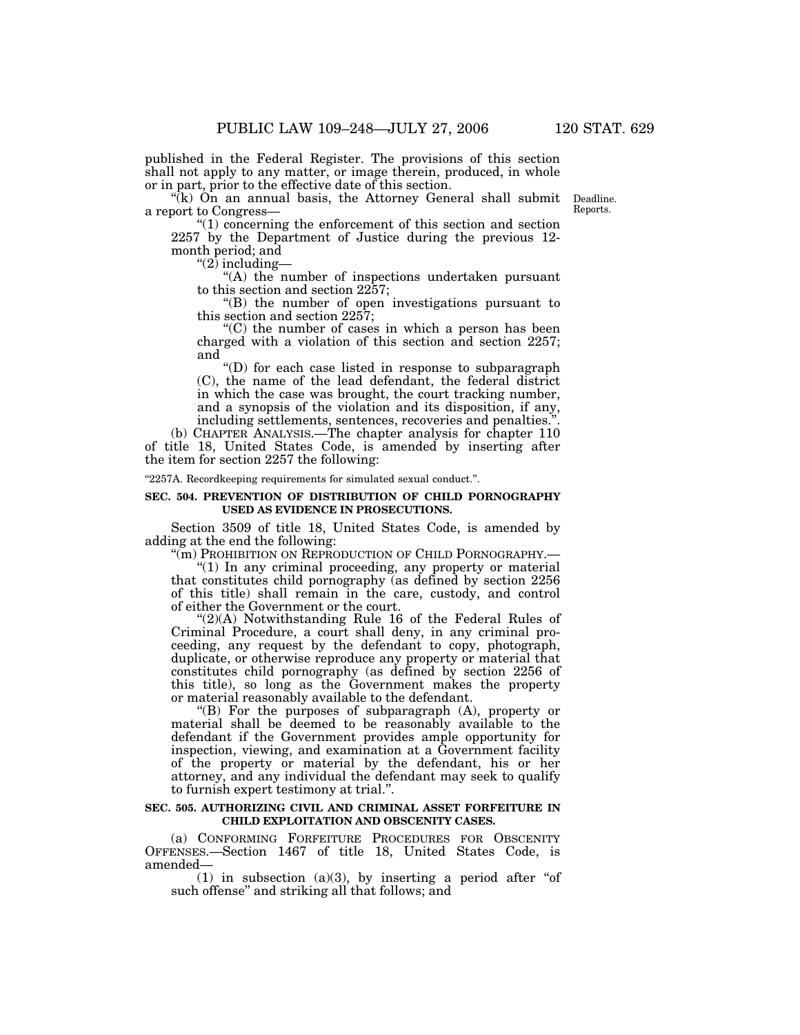published in the Federal Register. The provisions of this section shall not apply to any matter, or image therein, produced, in whole or in part, prior to the effective date of this section.

 $\mathcal{C}(k)$  On an annual basis, the Attorney General shall submit a report to Congress—

Deadline. Reports.

''(1) concerning the enforcement of this section and section 2257 by the Department of Justice during the previous 12 month period; and

" $(2)$  including—

''(A) the number of inspections undertaken pursuant to this section and section 2257;

''(B) the number of open investigations pursuant to this section and section 2257;

''(C) the number of cases in which a person has been charged with a violation of this section and section 2257; and

''(D) for each case listed in response to subparagraph (C), the name of the lead defendant, the federal district in which the case was brought, the court tracking number, and a synopsis of the violation and its disposition, if any, including settlements, sentences, recoveries and penalties.<sup>3</sup>

(b) CHAPTER ANALYSIS.—The chapter analysis for chapter 110 of title 18, United States Code, is amended by inserting after the item for section 2257 the following:

''2257A. Recordkeeping requirements for simulated sexual conduct.''.

#### **SEC. 504. PREVENTION OF DISTRIBUTION OF CHILD PORNOGRAPHY USED AS EVIDENCE IN PROSECUTIONS.**

Section 3509 of title 18, United States Code, is amended by adding at the end the following:<br>"(m) PROHIBITION ON REPRODUCTION OF CHILD PORNOGRAPHY.—

"(1) In any criminal proceeding, any property or material that constitutes child pornography (as defined by section 2256 of this title) shall remain in the care, custody, and control of either the Government or the court.

 $''(2)$ (A) Notwithstanding Rule 16 of the Federal Rules of Criminal Procedure, a court shall deny, in any criminal proceeding, any request by the defendant to copy, photograph, duplicate, or otherwise reproduce any property or material that constitutes child pornography (as defined by section 2256 of this title), so long as the Government makes the property or material reasonably available to the defendant.

''(B) For the purposes of subparagraph (A), property or material shall be deemed to be reasonably available to the defendant if the Government provides ample opportunity for inspection, viewing, and examination at a Government facility of the property or material by the defendant, his or her attorney, and any individual the defendant may seek to qualify to furnish expert testimony at trial.''.

#### **SEC. 505. AUTHORIZING CIVIL AND CRIMINAL ASSET FORFEITURE IN CHILD EXPLOITATION AND OBSCENITY CASES.**

(a) CONFORMING FORFEITURE PROCEDURES FOR OBSCENITY OFFENSES.—Section 1467 of title 18, United States Code, is amended—

(1) in subsection (a)(3), by inserting a period after "of such offense'' and striking all that follows; and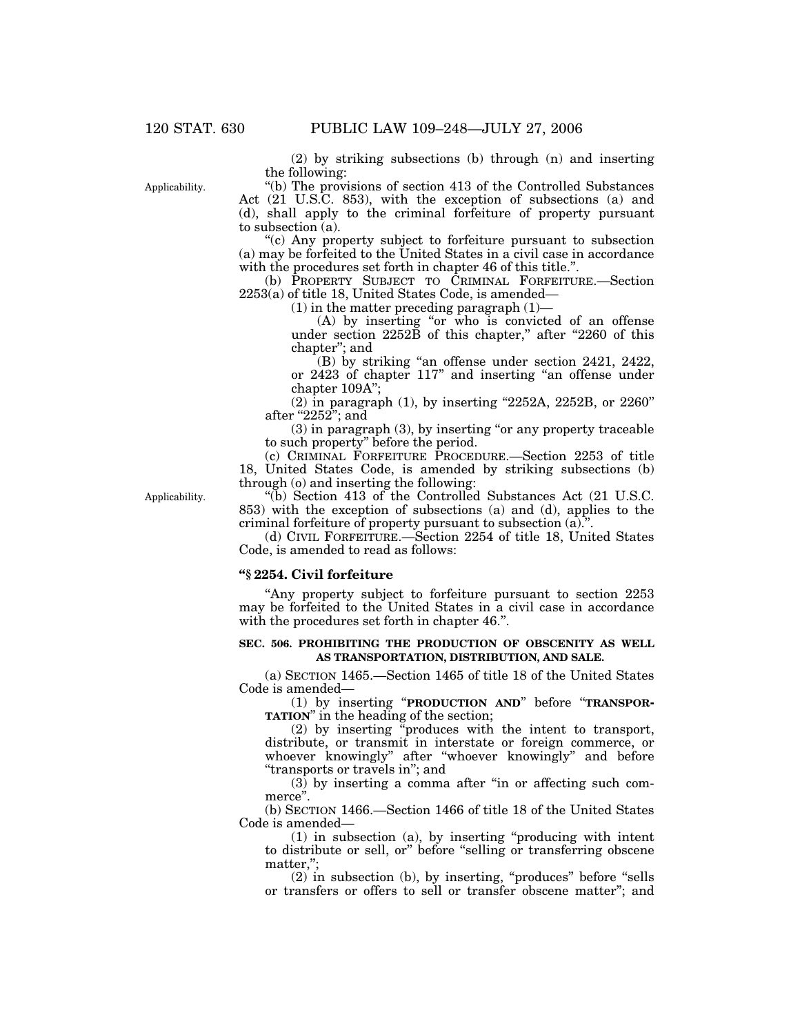(2) by striking subsections (b) through (n) and inserting the following:

Applicability.

''(b) The provisions of section 413 of the Controlled Substances Act (21 U.S.C. 853), with the exception of subsections (a) and (d), shall apply to the criminal forfeiture of property pursuant to subsection (a).

''(c) Any property subject to forfeiture pursuant to subsection (a) may be forfeited to the United States in a civil case in accordance with the procedures set forth in chapter 46 of this title.''.

(b) PROPERTY SUBJECT TO CRIMINAL FORFEITURE.—Section 2253(a) of title 18, United States Code, is amended—

 $(1)$  in the matter preceding paragraph  $(1)$ —

(A) by inserting "or who is convicted of an offense under section 2252B of this chapter," after "2260 of this chapter''; and

(B) by striking ''an offense under section 2421, 2422, or 2423 of chapter 117" and inserting "an offense under chapter 109A'';

 $(2)$  in paragraph  $(1)$ , by inserting "2252A, 2252B, or 2260" after " $2252$ "; and

 $(3)$  in paragraph  $(3)$ , by inserting "or any property traceable to such property'' before the period.

(c) CRIMINAL FORFEITURE PROCEDURE.—Section 2253 of title 18, United States Code, is amended by striking subsections (b) through (o) and inserting the following:

Applicability.

''(b) Section 413 of the Controlled Substances Act (21 U.S.C. 853) with the exception of subsections (a) and (d), applies to the criminal forfeiture of property pursuant to subsection  $(a)$ .

(d) CIVIL FORFEITURE.—Section 2254 of title 18, United States Code, is amended to read as follows:

### **''§ 2254. Civil forfeiture**

"Any property subject to forfeiture pursuant to section 2253 may be forfeited to the United States in a civil case in accordance with the procedures set forth in chapter 46.''.

## **SEC. 506. PROHIBITING THE PRODUCTION OF OBSCENITY AS WELL AS TRANSPORTATION, DISTRIBUTION, AND SALE.**

(a) SECTION 1465.—Section 1465 of title 18 of the United States Code is amended—

(1) by inserting ''**PRODUCTION AND**'' before ''**TRANSPOR-TATION**'' in the heading of the section;

(2) by inserting ''produces with the intent to transport, distribute, or transmit in interstate or foreign commerce, or whoever knowingly" after "whoever knowingly" and before ''transports or travels in''; and

 $(3)$  by inserting a comma after "in or affecting such commerce''.

(b) SECTION 1466.—Section 1466 of title 18 of the United States Code is amended—

(1) in subsection (a), by inserting ''producing with intent to distribute or sell, or'' before ''selling or transferring obscene matter,";

(2) in subsection (b), by inserting, ''produces'' before ''sells or transfers or offers to sell or transfer obscene matter''; and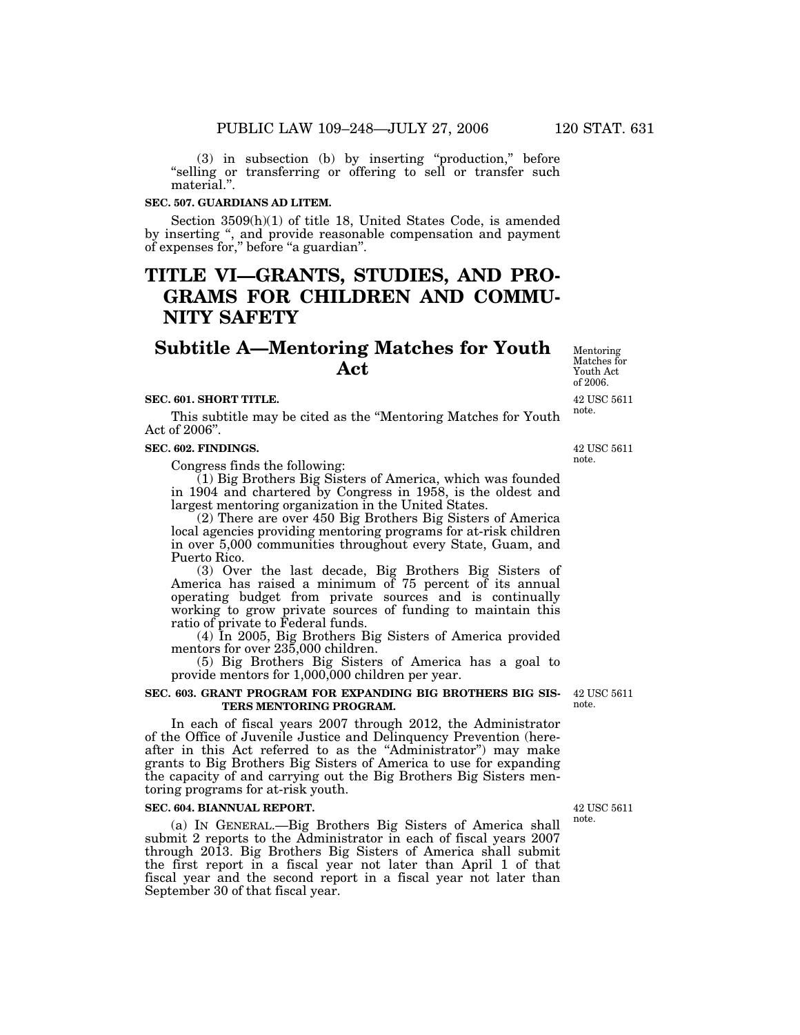(3) in subsection (b) by inserting ''production,'' before "selling or transferring or offering to sell or transfer such material.''.

### **SEC. 507. GUARDIANS AD LITEM.**

Section 3509(h)(1) of title 18, United States Code, is amended by inserting '', and provide reasonable compensation and payment of expenses for,'' before ''a guardian''.

## **TITLE VI—GRANTS, STUDIES, AND PRO-GRAMS FOR CHILDREN AND COMMU-NITY SAFETY**

## **Subtitle A—Mentoring Matches for Youth Act**

#### **SEC. 601. SHORT TITLE.**

This subtitle may be cited as the ''Mentoring Matches for Youth Act of 2006''.

#### **SEC. 602. FINDINGS.**

Congress finds the following:

(1) Big Brothers Big Sisters of America, which was founded in 1904 and chartered by Congress in 1958, is the oldest and largest mentoring organization in the United States.

(2) There are over 450 Big Brothers Big Sisters of America local agencies providing mentoring programs for at-risk children in over 5,000 communities throughout every State, Guam, and Puerto Rico.

(3) Over the last decade, Big Brothers Big Sisters of America has raised a minimum of 75 percent of its annual operating budget from private sources and is continually working to grow private sources of funding to maintain this ratio of private to Federal funds.

(4) In 2005, Big Brothers Big Sisters of America provided mentors for over 235,000 children.

(5) Big Brothers Big Sisters of America has a goal to provide mentors for 1,000,000 children per year.

#### **SEC. 603. GRANT PROGRAM FOR EXPANDING BIG BROTHERS BIG SIS-**42 USC 5611 **TERS MENTORING PROGRAM.**

In each of fiscal years 2007 through 2012, the Administrator of the Office of Juvenile Justice and Delinquency Prevention (hereafter in this Act referred to as the ''Administrator'') may make grants to Big Brothers Big Sisters of America to use for expanding the capacity of and carrying out the Big Brothers Big Sisters mentoring programs for at-risk youth.

#### **SEC. 604. BIANNUAL REPORT.**

(a) IN GENERAL.—Big Brothers Big Sisters of America shall submit 2 reports to the Administrator in each of fiscal years 2007 through 2013. Big Brothers Big Sisters of America shall submit the first report in a fiscal year not later than April 1 of that fiscal year and the second report in a fiscal year not later than September 30 of that fiscal year.

Mentoring Matches for Youth Act of 2006.

42 USC 5611 note.

42 USC 5611 note.

note.

42 USC 5611 note.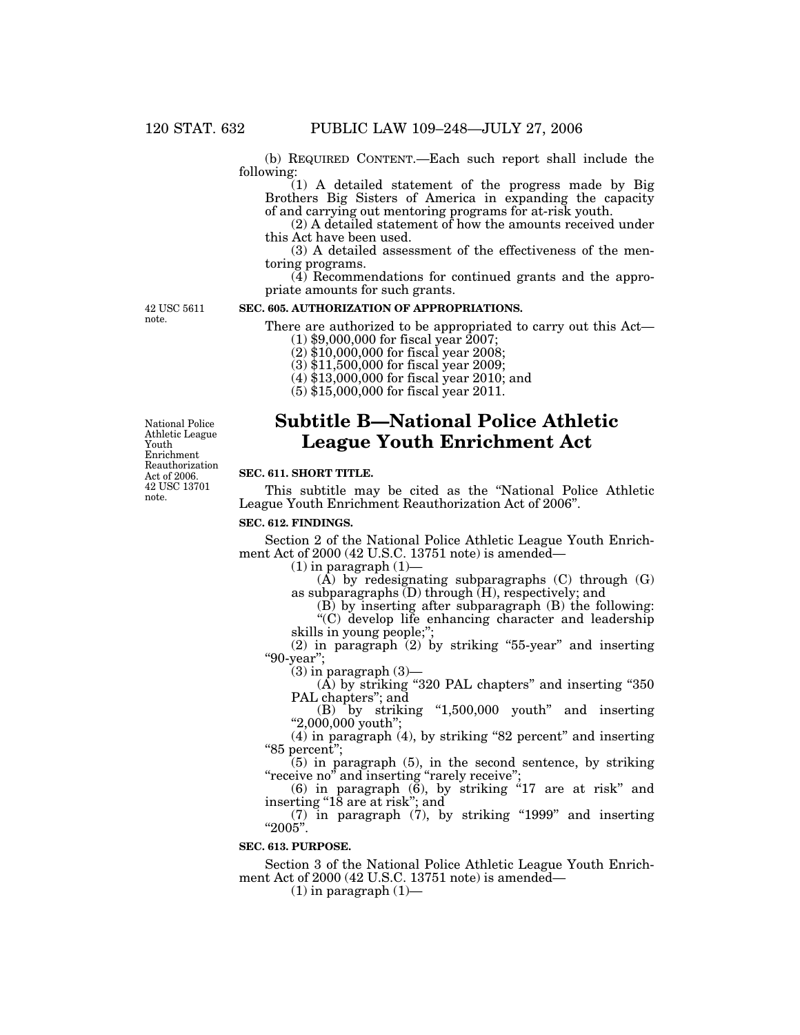(b) REQUIRED CONTENT.—Each such report shall include the following:

(1) A detailed statement of the progress made by Big Brothers Big Sisters of America in expanding the capacity of and carrying out mentoring programs for at-risk youth.

(2) A detailed statement of how the amounts received under this Act have been used.

(3) A detailed assessment of the effectiveness of the mentoring programs.

(4) Recommendations for continued grants and the appropriate amounts for such grants.

42 USC 5611 note.

## **SEC. 605. AUTHORIZATION OF APPROPRIATIONS.**

There are authorized to be appropriated to carry out this Act— (1) \$9,000,000 for fiscal year 2007;

(2) \$10,000,000 for fiscal year 2008;

(3) \$11,500,000 for fiscal year 2009;

(4) \$13,000,000 for fiscal year 2010; and

(5) \$15,000,000 for fiscal year 2011.

## **Subtitle B—National Police Athletic League Youth Enrichment Act**

## **SEC. 611. SHORT TITLE.**

This subtitle may be cited as the ''National Police Athletic League Youth Enrichment Reauthorization Act of 2006''.

#### **SEC. 612. FINDINGS.**

Section 2 of the National Police Athletic League Youth Enrichment Act of 2000 (42 U.S.C. 13751 note) is amended—

 $(1)$  in paragraph  $(1)$ —

(A) by redesignating subparagraphs (C) through (G) as subparagraphs  $(D)$  through  $(H)$ , respectively; and

(B) by inserting after subparagraph (B) the following:

''(C) develop life enhancing character and leadership skills in young people;'';

 $(2)$  in paragraph  $(2)$  by striking "55-year" and inserting ''90-year'';

 $(3)$  in paragraph  $(3)$ —

 $(A)$  by striking "320 PAL chapters" and inserting "350 PAL chapters''; and

(B) by striking "1,500,000 youth" and inserting ''2,000,000 youth'';

 $(4)$  in paragraph  $(4)$ , by striking "82 percent" and inserting "85 percent";

(5) in paragraph (5), in the second sentence, by striking ''receive no'' and inserting ''rarely receive'';

 $(6)$  in paragraph  $(6)$ , by striking "17 are at risk" and inserting "18 are at risk"; and

(7) in paragraph (7), by striking ''1999'' and inserting ''2005''.

## **SEC. 613. PURPOSE.**

Section 3 of the National Police Athletic League Youth Enrichment Act of 2000 (42 U.S.C. 13751 note) is amended—

 $(1)$  in paragraph  $(1)$ —

National Police Athletic League Youth Enrichment Reauthorization Act of 2006. 42 USC 13701 note.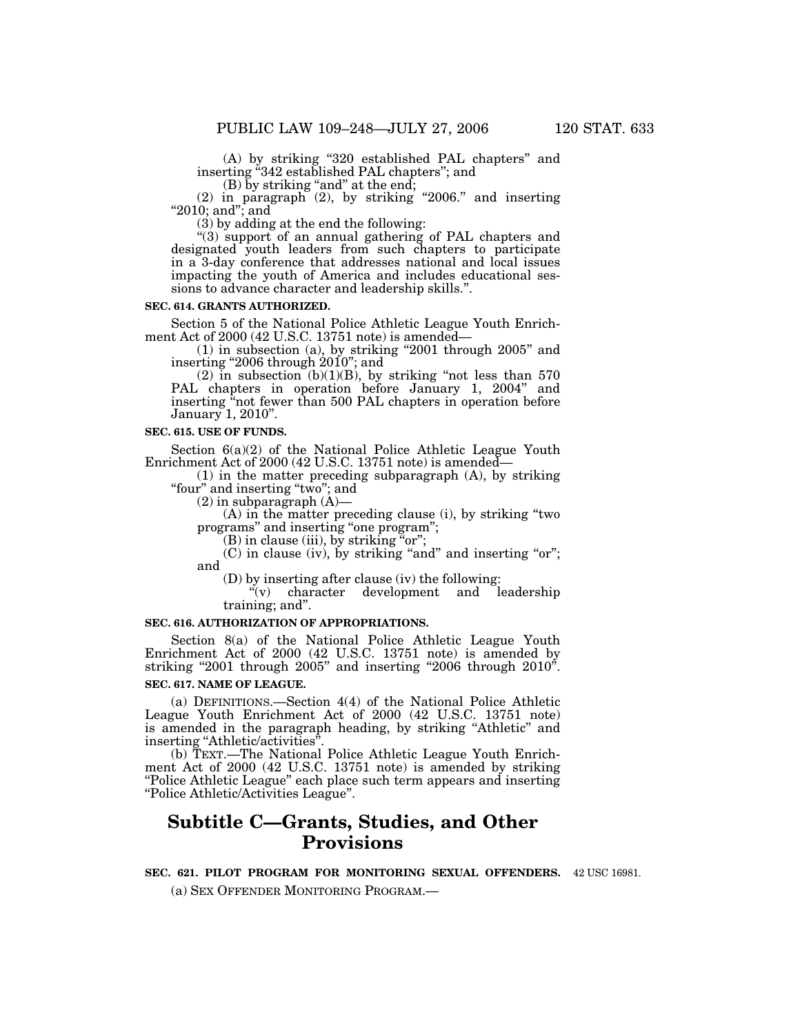(A) by striking ''320 established PAL chapters'' and inserting ''342 established PAL chapters''; and

(B) by striking "and" at the end;

(2) in paragraph (2), by striking ''2006.'' and inserting " $2010$ ; and"; and

(3) by adding at the end the following:

"(3) support of an annual gathering of PAL chapters and designated youth leaders from such chapters to participate in a 3-day conference that addresses national and local issues impacting the youth of America and includes educational sessions to advance character and leadership skills.''.

#### **SEC. 614. GRANTS AUTHORIZED.**

Section 5 of the National Police Athletic League Youth Enrichment Act of 2000 (42 U.S.C. 13751 note) is amended—

 $(1)$  in subsection  $(a)$ , by striking "2001 through 2005" and inserting "2006 through 2010"; and

(2) in subsection  $(b)(1)(B)$ , by striking "not less than 570 PAL chapters in operation before January 1, 2004" and inserting ''not fewer than 500 PAL chapters in operation before January 1, 2010''.

## **SEC. 615. USE OF FUNDS.**

Section 6(a)(2) of the National Police Athletic League Youth Enrichment Act of 2000 (42 U.S.C. 13751 note) is amended—

(1) in the matter preceding subparagraph (A), by striking ''four'' and inserting ''two''; and

(2) in subparagraph (A)—

(A) in the matter preceding clause (i), by striking ''two programs" and inserting "one program";

 $(B)$  in clause (iii), by striking "or";

 $(C)$  in clause (iv), by striking "and" and inserting "or"; and

(D) by inserting after clause (iv) the following:<br>"(v) character development and leadership  $f'(v)$  character development and training; and''.

## **SEC. 616. AUTHORIZATION OF APPROPRIATIONS.**

Section 8(a) of the National Police Athletic League Youth Enrichment Act of 2000 (42 U.S.C. 13751 note) is amended by striking "2001 through  $2005$ " and inserting "2006 through  $2010$ ". **SEC. 617. NAME OF LEAGUE.**

(a) DEFINITIONS.—Section 4(4) of the National Police Athletic League Youth Enrichment Act of 2000 (42 U.S.C. 13751 note) is amended in the paragraph heading, by striking "Athletic" and inserting ''Athletic/activities''.

(b) TEXT.—The National Police Athletic League Youth Enrichment Act of 2000 (42 U.S.C. 13751 note) is amended by striking ''Police Athletic League'' each place such term appears and inserting ''Police Athletic/Activities League''.

## **Subtitle C—Grants, Studies, and Other Provisions**

#### **SEC. 621. PILOT PROGRAM FOR MONITORING SEXUAL OFFENDERS.** 42 USC 16981.

(a) SEX OFFENDER MONITORING PROGRAM.—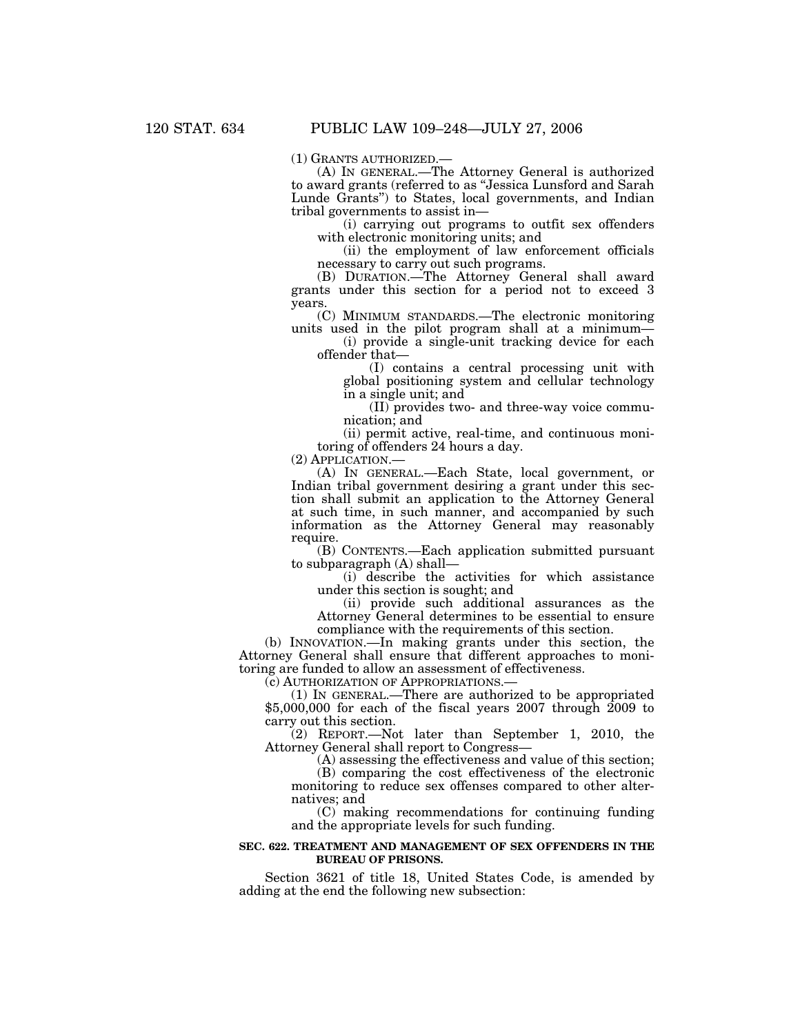(1) GRANTS AUTHORIZED.— (A) IN GENERAL.—The Attorney General is authorized to award grants (referred to as ''Jessica Lunsford and Sarah Lunde Grants'') to States, local governments, and Indian tribal governments to assist in—

(i) carrying out programs to outfit sex offenders with electronic monitoring units; and

(ii) the employment of law enforcement officials necessary to carry out such programs.

(B) DURATION.—The Attorney General shall award grants under this section for a period not to exceed 3 years.

(C) MINIMUM STANDARDS.—The electronic monitoring units used in the pilot program shall at a minimum—

(i) provide a single-unit tracking device for each offender that—

(I) contains a central processing unit with global positioning system and cellular technology in a single unit; and

(II) provides two- and three-way voice communication; and

(ii) permit active, real-time, and continuous monitoring of offenders 24 hours a day.

(2) APPLICATION.—

(A) IN GENERAL.—Each State, local government, or Indian tribal government desiring a grant under this section shall submit an application to the Attorney General at such time, in such manner, and accompanied by such information as the Attorney General may reasonably require.

(B) CONTENTS.—Each application submitted pursuant to subparagraph (A) shall—

(i) describe the activities for which assistance under this section is sought; and

(ii) provide such additional assurances as the Attorney General determines to be essential to ensure compliance with the requirements of this section.

(b) INNOVATION.—In making grants under this section, the Attorney General shall ensure that different approaches to monitoring are funded to allow an assessment of effectiveness.

(c) AUTHORIZATION OF APPROPRIATIONS.—

(1) IN GENERAL.—There are authorized to be appropriated \$5,000,000 for each of the fiscal years 2007 through 2009 to carry out this section.

(2) REPORT.—Not later than September 1, 2010, the Attorney General shall report to Congress—

(A) assessing the effectiveness and value of this section;

(B) comparing the cost effectiveness of the electronic monitoring to reduce sex offenses compared to other alternatives; and

(C) making recommendations for continuing funding and the appropriate levels for such funding.

## **SEC. 622. TREATMENT AND MANAGEMENT OF SEX OFFENDERS IN THE BUREAU OF PRISONS.**

Section 3621 of title 18, United States Code, is amended by adding at the end the following new subsection: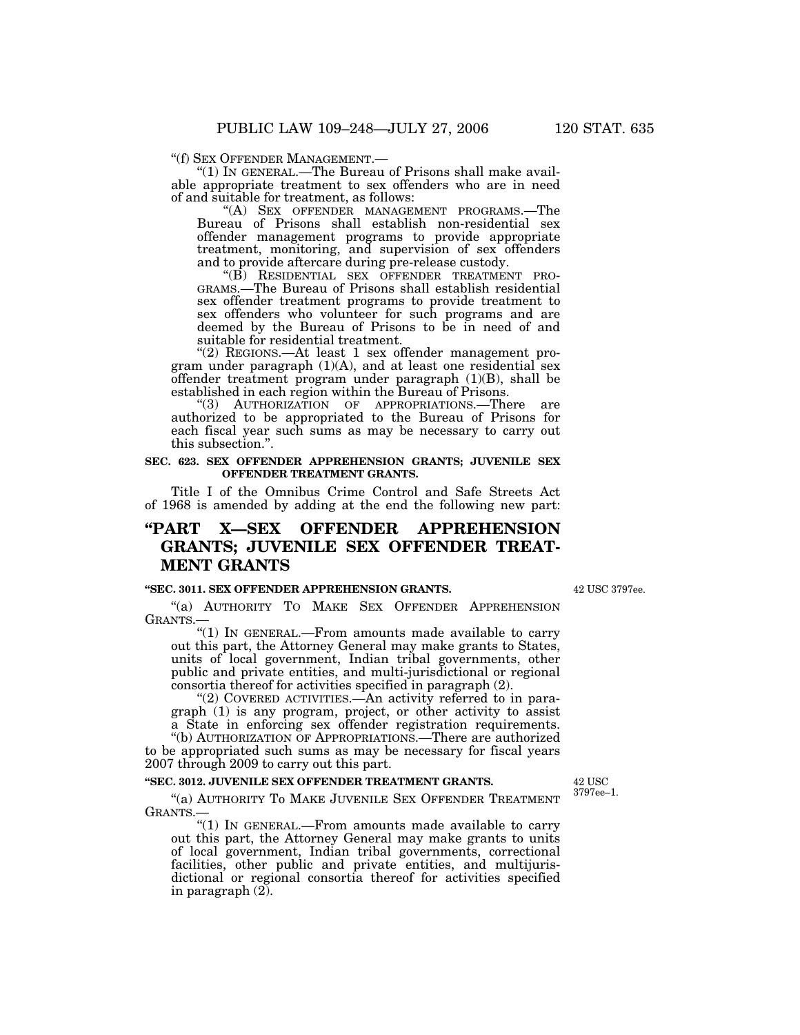''(f) SEX OFFENDER MANAGEMENT.— ''(1) IN GENERAL.—The Bureau of Prisons shall make available appropriate treatment to sex offenders who are in need of and suitable for treatment, as follows:

''(A) SEX OFFENDER MANAGEMENT PROGRAMS.—The Bureau of Prisons shall establish non-residential sex offender management programs to provide appropriate treatment, monitoring, and supervision of sex offenders and to provide aftercare during pre-release custody.<br>"(B) RESIDENTIAL SEX OFFENDER TREATMENT PRO-

GRAMS.—The Bureau of Prisons shall establish residential sex offender treatment programs to provide treatment to sex offenders who volunteer for such programs and are deemed by the Bureau of Prisons to be in need of and suitable for residential treatment.

"(2) REGIONS.—At least 1 sex offender management program under paragraph  $(1)(A)$ , and at least one residential sex offender treatment program under paragraph (1)(B), shall be established in each region within the Bureau of Prisons.

''(3) AUTHORIZATION OF APPROPRIATIONS.—There are authorized to be appropriated to the Bureau of Prisons for each fiscal year such sums as may be necessary to carry out this subsection.''.

### **SEC. 623. SEX OFFENDER APPREHENSION GRANTS; JUVENILE SEX OFFENDER TREATMENT GRANTS.**

Title I of the Omnibus Crime Control and Safe Streets Act of 1968 is amended by adding at the end the following new part:

## **''PART X—SEX OFFENDER APPREHENSION GRANTS; JUVENILE SEX OFFENDER TREAT-MENT GRANTS**

#### **''SEC. 3011. SEX OFFENDER APPREHENSION GRANTS.**

"(a) AUTHORITY TO MAKE SEX OFFENDER APPREHENSION GRANTS.—

''(1) IN GENERAL.—From amounts made available to carry out this part, the Attorney General may make grants to States, units of local government, Indian tribal governments, other public and private entities, and multi-jurisdictional or regional consortia thereof for activities specified in paragraph (2).

"(2) COVERED ACTIVITIES.—An activity referred to in paragraph (1) is any program, project, or other activity to assist a State in enforcing sex offender registration requirements.

''(b) AUTHORIZATION OF APPROPRIATIONS.—There are authorized to be appropriated such sums as may be necessary for fiscal years 2007 through 2009 to carry out this part.

#### **''SEC. 3012. JUVENILE SEX OFFENDER TREATMENT GRANTS.**

"(a) AUTHORITY TO MAKE JUVENILE SEX OFFENDER TREATMENT GRANTS.—

"(1) In GENERAL.—From amounts made available to carry out this part, the Attorney General may make grants to units of local government, Indian tribal governments, correctional facilities, other public and private entities, and multijurisdictional or regional consortia thereof for activities specified in paragraph  $(2)$ .

42 USC 3797ee.

42 USC 3797ee–1.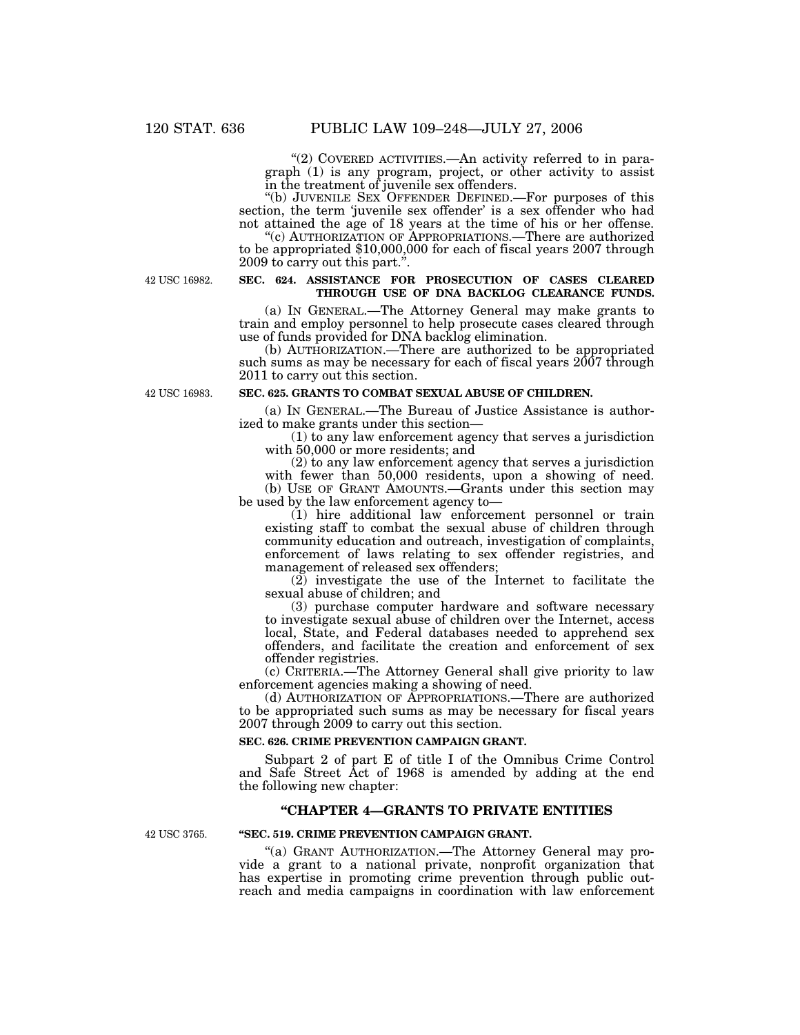"(2) COVERED ACTIVITIES.—An activity referred to in paragraph (1) is any program, project, or other activity to assist in the treatment of juvenile sex offenders.

''(b) JUVENILE SEX OFFENDER DEFINED.—For purposes of this section, the term 'juvenile sex offender' is a sex offender who had not attained the age of 18 years at the time of his or her offense.

''(c) AUTHORIZATION OF APPROPRIATIONS.—There are authorized to be appropriated \$10,000,000 for each of fiscal years 2007 through 2009 to carry out this part.''.

42 USC 16982.

### **SEC. 624. ASSISTANCE FOR PROSECUTION OF CASES CLEARED THROUGH USE OF DNA BACKLOG CLEARANCE FUNDS.**

(a) IN GENERAL.—The Attorney General may make grants to train and employ personnel to help prosecute cases cleared through use of funds provided for DNA backlog elimination.

(b) AUTHORIZATION.—There are authorized to be appropriated such sums as may be necessary for each of fiscal years  $2007$  through 2011 to carry out this section.

### **SEC. 625. GRANTS TO COMBAT SEXUAL ABUSE OF CHILDREN.**

(a) IN GENERAL.—The Bureau of Justice Assistance is authorized to make grants under this section—

(1) to any law enforcement agency that serves a jurisdiction with 50,000 or more residents; and

(2) to any law enforcement agency that serves a jurisdiction with fewer than 50,000 residents, upon a showing of need. (b) USE OF GRANT AMOUNTS.—Grants under this section may be used by the law enforcement agency to—

(1) hire additional law enforcement personnel or train existing staff to combat the sexual abuse of children through community education and outreach, investigation of complaints, enforcement of laws relating to sex offender registries, and management of released sex offenders;

(2) investigate the use of the Internet to facilitate the sexual abuse of children; and

(3) purchase computer hardware and software necessary to investigate sexual abuse of children over the Internet, access local, State, and Federal databases needed to apprehend sex offenders, and facilitate the creation and enforcement of sex offender registries.

(c) CRITERIA.—The Attorney General shall give priority to law enforcement agencies making a showing of need.

(d) AUTHORIZATION OF APPROPRIATIONS.—There are authorized to be appropriated such sums as may be necessary for fiscal years 2007 through 2009 to carry out this section.

## **SEC. 626. CRIME PREVENTION CAMPAIGN GRANT.**

Subpart 2 of part E of title I of the Omnibus Crime Control and Safe Street Act of 1968 is amended by adding at the end the following new chapter:

## **''CHAPTER 4—GRANTS TO PRIVATE ENTITIES**

42 USC 3765.

#### **''SEC. 519. CRIME PREVENTION CAMPAIGN GRANT.**

''(a) GRANT AUTHORIZATION.—The Attorney General may provide a grant to a national private, nonprofit organization that has expertise in promoting crime prevention through public outreach and media campaigns in coordination with law enforcement

42 USC 16983.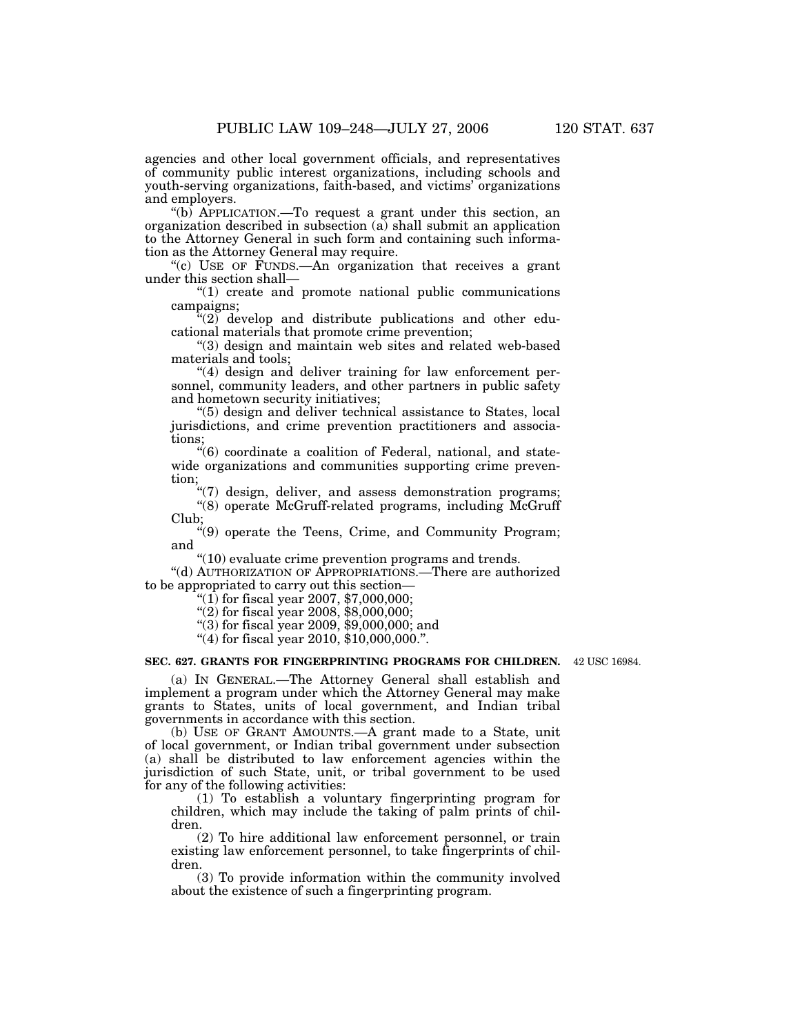agencies and other local government officials, and representatives

of community public interest organizations, including schools and youth-serving organizations, faith-based, and victims' organizations and employers.

''(b) APPLICATION.—To request a grant under this section, an organization described in subsection  $(a)$  shall submit an application to the Attorney General in such form and containing such information as the Attorney General may require.

''(c) USE OF FUNDS.—An organization that receives a grant under this section shall—

''(1) create and promote national public communications campaigns;

 $\sqrt[4]{(2)}$  develop and distribute publications and other educational materials that promote crime prevention;

''(3) design and maintain web sites and related web-based materials and tools;

"(4) design and deliver training for law enforcement personnel, community leaders, and other partners in public safety and hometown security initiatives;

''(5) design and deliver technical assistance to States, local jurisdictions, and crime prevention practitioners and associations;

 $\cdot$ (6) coordinate a coalition of Federal, national, and statewide organizations and communities supporting crime prevention;

''(7) design, deliver, and assess demonstration programs; ''(8) operate McGruff-related programs, including McGruff Club;

''(9) operate the Teens, Crime, and Community Program; and

''(10) evaluate crime prevention programs and trends.

''(d) AUTHORIZATION OF APPROPRIATIONS.—There are authorized to be appropriated to carry out this section—

 $(1)$  for fiscal year 2007, \$7,000,000;

 $'(2)$  for fiscal year 2008, \$8,000,000;

''(3) for fiscal year 2009, \$9,000,000; and

''(4) for fiscal year 2010, \$10,000,000.''.

#### **SEC. 627. GRANTS FOR FINGERPRINTING PROGRAMS FOR CHILDREN.** 42 USC 16984.

(a) IN GENERAL.—The Attorney General shall establish and implement a program under which the Attorney General may make grants to States, units of local government, and Indian tribal governments in accordance with this section.

(b) USE OF GRANT AMOUNTS.—A grant made to a State, unit of local government, or Indian tribal government under subsection (a) shall be distributed to law enforcement agencies within the jurisdiction of such State, unit, or tribal government to be used for any of the following activities:

(1) To establish a voluntary fingerprinting program for children, which may include the taking of palm prints of children.

(2) To hire additional law enforcement personnel, or train existing law enforcement personnel, to take fingerprints of children.

(3) To provide information within the community involved about the existence of such a fingerprinting program.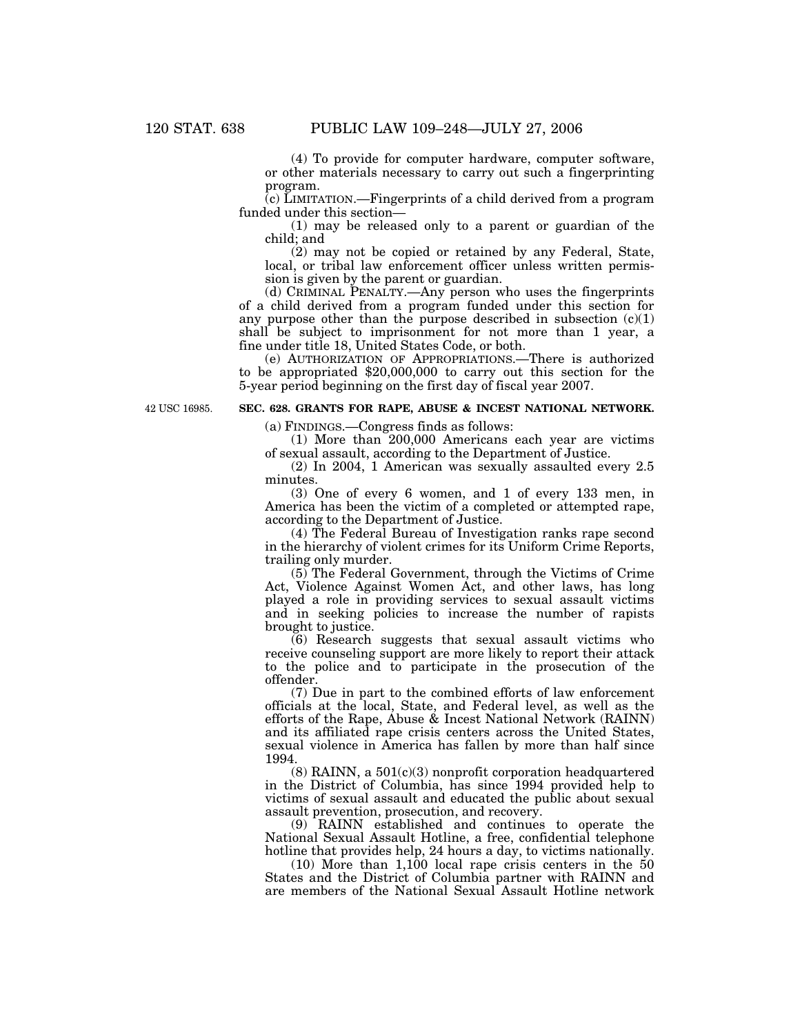(4) To provide for computer hardware, computer software, or other materials necessary to carry out such a fingerprinting program.

(c) LIMITATION.—Fingerprints of a child derived from a program funded under this section—

(1) may be released only to a parent or guardian of the child; and

(2) may not be copied or retained by any Federal, State, local, or tribal law enforcement officer unless written permission is given by the parent or guardian.

(d) CRIMINAL PENALTY.—Any person who uses the fingerprints of a child derived from a program funded under this section for any purpose other than the purpose described in subsection  $(c)(1)$ shall be subject to imprisonment for not more than 1 year, a fine under title 18, United States Code, or both.

(e) AUTHORIZATION OF APPROPRIATIONS.—There is authorized to be appropriated \$20,000,000 to carry out this section for the 5-year period beginning on the first day of fiscal year 2007.

42 USC 16985.

## **SEC. 628. GRANTS FOR RAPE, ABUSE & INCEST NATIONAL NETWORK.**

(a) FINDINGS.—Congress finds as follows:

(1) More than 200,000 Americans each year are victims of sexual assault, according to the Department of Justice.

(2) In 2004, 1 American was sexually assaulted every 2.5 minutes.

(3) One of every 6 women, and 1 of every 133 men, in America has been the victim of a completed or attempted rape, according to the Department of Justice.

(4) The Federal Bureau of Investigation ranks rape second in the hierarchy of violent crimes for its Uniform Crime Reports, trailing only murder.

(5) The Federal Government, through the Victims of Crime Act, Violence Against Women Act, and other laws, has long played a role in providing services to sexual assault victims and in seeking policies to increase the number of rapists brought to justice.

(6) Research suggests that sexual assault victims who receive counseling support are more likely to report their attack to the police and to participate in the prosecution of the offender.

(7) Due in part to the combined efforts of law enforcement officials at the local, State, and Federal level, as well as the efforts of the Rape, Abuse & Incest National Network (RAINN) and its affiliated rape crisis centers across the United States, sexual violence in America has fallen by more than half since 1994.

 $(8)$  RAINN, a  $501(c)(3)$  nonprofit corporation headquartered in the District of Columbia, has since 1994 provided help to victims of sexual assault and educated the public about sexual assault prevention, prosecution, and recovery.

(9) RAINN established and continues to operate the National Sexual Assault Hotline, a free, confidential telephone hotline that provides help, 24 hours a day, to victims nationally.

(10) More than 1,100 local rape crisis centers in the 50 States and the District of Columbia partner with RAINN and are members of the National Sexual Assault Hotline network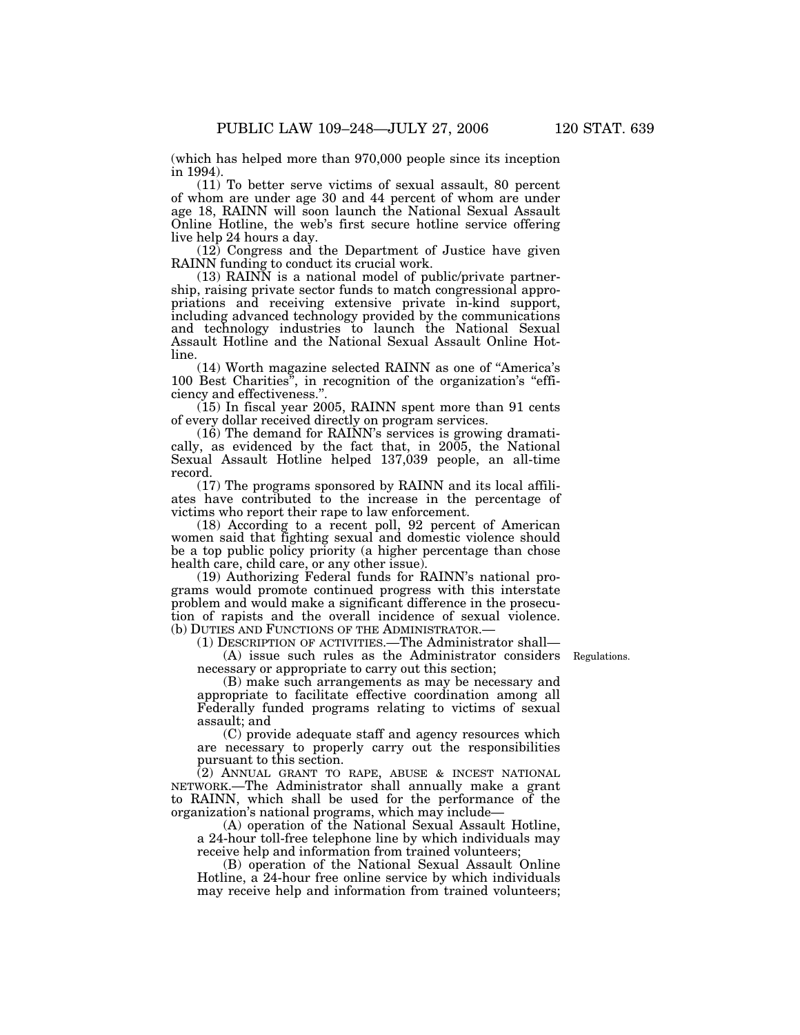(which has helped more than 970,000 people since its inception in 1994).

(11) To better serve victims of sexual assault, 80 percent of whom are under age 30 and 44 percent of whom are under age 18, RAINN will soon launch the National Sexual Assault Online Hotline, the web's first secure hotline service offering live help 24 hours a day.

(12) Congress and the Department of Justice have given RAINN funding to conduct its crucial work.

(13) RAINN is a national model of public/private partnership, raising private sector funds to match congressional appropriations and receiving extensive private in-kind support, including advanced technology provided by the communications and technology industries to launch the National Sexual Assault Hotline and the National Sexual Assault Online Hotline.

(14) Worth magazine selected RAINN as one of ''America's 100 Best Charities", in recognition of the organization's "efficiency and effectiveness.''.

(15) In fiscal year 2005, RAINN spent more than 91 cents of every dollar received directly on program services.

(16) The demand for RAINN's services is growing dramatically, as evidenced by the fact that, in 2005, the National Sexual Assault Hotline helped 137,039 people, an all-time record.

(17) The programs sponsored by RAINN and its local affiliates have contributed to the increase in the percentage of victims who report their rape to law enforcement.

(18) According to a recent poll, 92 percent of American women said that fighting sexual and domestic violence should be a top public policy priority (a higher percentage than chose health care, child care, or any other issue).

(19) Authorizing Federal funds for RAINN's national programs would promote continued progress with this interstate problem and would make a significant difference in the prosecution of rapists and the overall incidence of sexual violence. (b) DUTIES AND FUNCTIONS OF THE ADMINISTRATOR.—

(1) DESCRIPTION OF ACTIVITIES.—The Administrator shall— (A) issue such rules as the Administrator considers

Regulations.

necessary or appropriate to carry out this section; (B) make such arrangements as may be necessary and appropriate to facilitate effective coordination among all Federally funded programs relating to victims of sexual assault; and

(C) provide adequate staff and agency resources which are necessary to properly carry out the responsibilities pursuant to this section.

(2) ANNUAL GRANT TO RAPE, ABUSE & INCEST NATIONAL NETWORK.—The Administrator shall annually make a grant to RAINN, which shall be used for the performance of the organization's national programs, which may include—

(A) operation of the National Sexual Assault Hotline, a 24-hour toll-free telephone line by which individuals may receive help and information from trained volunteers;

(B) operation of the National Sexual Assault Online Hotline, a 24-hour free online service by which individuals may receive help and information from trained volunteers;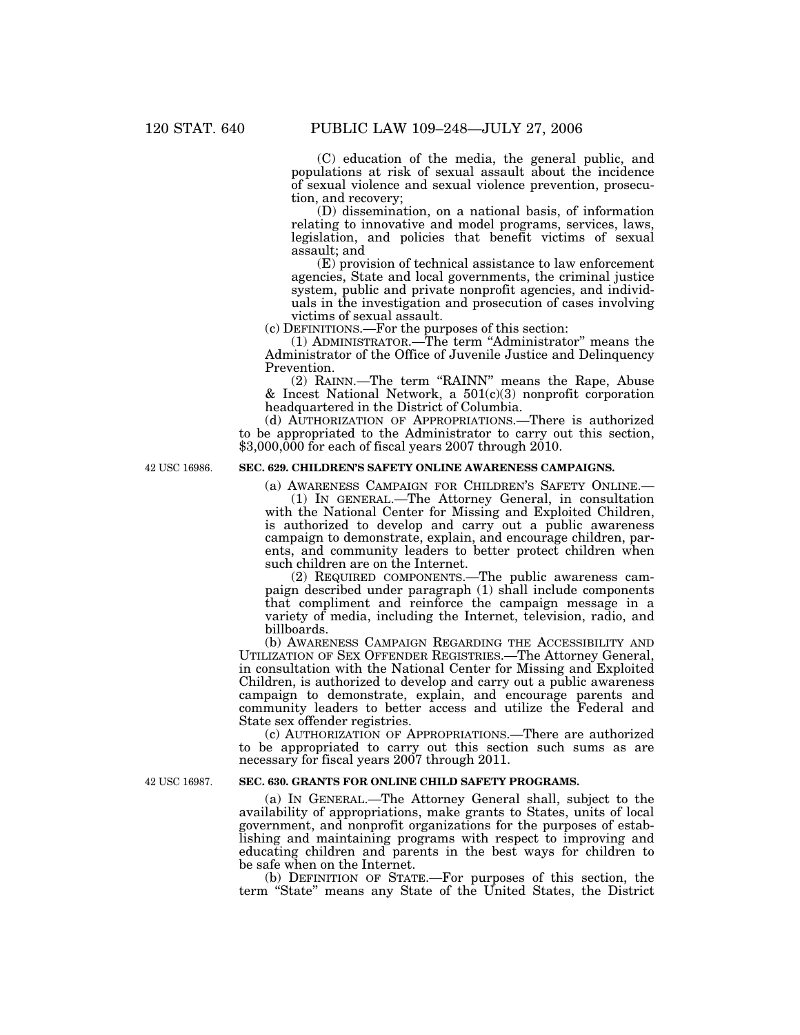(C) education of the media, the general public, and populations at risk of sexual assault about the incidence of sexual violence and sexual violence prevention, prosecution, and recovery;

(D) dissemination, on a national basis, of information relating to innovative and model programs, services, laws, legislation, and policies that benefit victims of sexual assault; and

(E) provision of technical assistance to law enforcement agencies, State and local governments, the criminal justice system, public and private nonprofit agencies, and individuals in the investigation and prosecution of cases involving victims of sexual assault.

(c) DEFINITIONS.—For the purposes of this section:

(1) ADMINISTRATOR.—The term ''Administrator'' means the Administrator of the Office of Juvenile Justice and Delinquency Prevention.

(2) RAINN.—The term ''RAINN'' means the Rape, Abuse & Incest National Network, a 501(c)(3) nonprofit corporation headquartered in the District of Columbia.

(d) AUTHORIZATION OF APPROPRIATIONS.—There is authorized to be appropriated to the Administrator to carry out this section,  $$3,000,\overline{000}$  for each of fiscal years 2007 through 2010.

42 USC 16986.

### **SEC. 629. CHILDREN'S SAFETY ONLINE AWARENESS CAMPAIGNS.**

(a) AWARENESS CAMPAIGN FOR CHILDREN'S SAFETY ONLINE.—

(1) IN GENERAL.—The Attorney General, in consultation with the National Center for Missing and Exploited Children, is authorized to develop and carry out a public awareness campaign to demonstrate, explain, and encourage children, parents, and community leaders to better protect children when such children are on the Internet.

(2) REQUIRED COMPONENTS.—The public awareness campaign described under paragraph (1) shall include components that compliment and reinforce the campaign message in a variety of media, including the Internet, television, radio, and billboards.

(b) AWARENESS CAMPAIGN REGARDING THE ACCESSIBILITY AND UTILIZATION OF SEX OFFENDER REGISTRIES.—The Attorney General, in consultation with the National Center for Missing and Exploited Children, is authorized to develop and carry out a public awareness campaign to demonstrate, explain, and encourage parents and community leaders to better access and utilize the Federal and State sex offender registries.

(c) AUTHORIZATION OF APPROPRIATIONS.—There are authorized to be appropriated to carry out this section such sums as are necessary for fiscal years 2007 through 2011.

#### **SEC. 630. GRANTS FOR ONLINE CHILD SAFETY PROGRAMS.**

(a) IN GENERAL.—The Attorney General shall, subject to the availability of appropriations, make grants to States, units of local government, and nonprofit organizations for the purposes of establishing and maintaining programs with respect to improving and educating children and parents in the best ways for children to be safe when on the Internet.

(b) DEFINITION OF STATE.—For purposes of this section, the term ''State'' means any State of the United States, the District

42 USC 16987.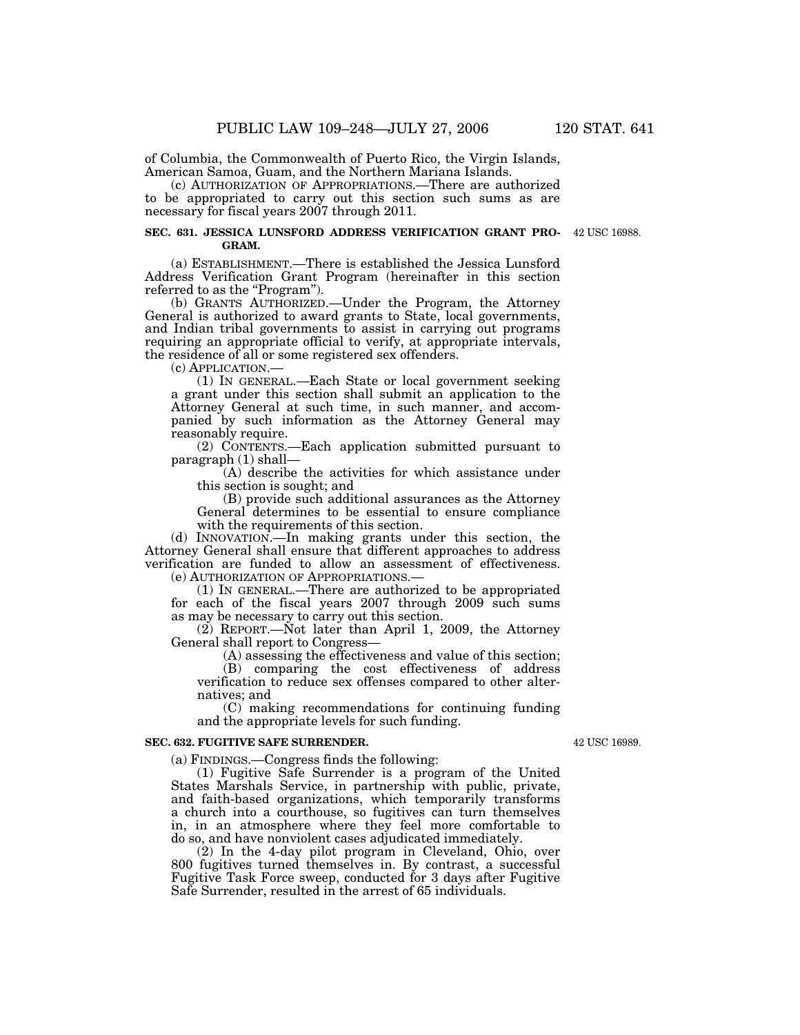of Columbia, the Commonwealth of Puerto Rico, the Virgin Islands, American Samoa, Guam, and the Northern Mariana Islands.

(c) AUTHORIZATION OF APPROPRIATIONS.—There are authorized to be appropriated to carry out this section such sums as are necessary for fiscal years 2007 through 2011.

#### **SEC. 631. JESSICA LUNSFORD ADDRESS VERIFICATION GRANT PRO-**42 USC 16988. **GRAM.**

(a) ESTABLISHMENT.—There is established the Jessica Lunsford Address Verification Grant Program (hereinafter in this section referred to as the "Program").

(b) GRANTS AUTHORIZED.—Under the Program, the Attorney General is authorized to award grants to State, local governments, and Indian tribal governments to assist in carrying out programs requiring an appropriate official to verify, at appropriate intervals, the residence of all or some registered sex offenders.

(c) APPLICATION.—

(1) IN GENERAL.—Each State or local government seeking a grant under this section shall submit an application to the Attorney General at such time, in such manner, and accompanied by such information as the Attorney General may reasonably require.

(2) CONTENTS.—Each application submitted pursuant to paragraph (1) shall—

(A) describe the activities for which assistance under this section is sought; and

(B) provide such additional assurances as the Attorney General determines to be essential to ensure compliance with the requirements of this section.

(d) INNOVATION.—In making grants under this section, the Attorney General shall ensure that different approaches to address verification are funded to allow an assessment of effectiveness. (e) AUTHORIZATION OF APPROPRIATIONS.—

(1) IN GENERAL.—There are authorized to be appropriated for each of the fiscal years 2007 through 2009 such sums as may be necessary to carry out this section.

(2) REPORT.—Not later than April 1, 2009, the Attorney General shall report to Congress—

(A) assessing the effectiveness and value of this section;

(B) comparing the cost effectiveness of address verification to reduce sex offenses compared to other alternatives; and

(C) making recommendations for continuing funding and the appropriate levels for such funding.

### **SEC. 632. FUGITIVE SAFE SURRENDER.**

(a) FINDINGS.—Congress finds the following:

(1) Fugitive Safe Surrender is a program of the United States Marshals Service, in partnership with public, private, and faith-based organizations, which temporarily transforms a church into a courthouse, so fugitives can turn themselves in, in an atmosphere where they feel more comfortable to do so, and have nonviolent cases adjudicated immediately.

(2) In the 4-day pilot program in Cleveland, Ohio, over 800 fugitives turned themselves in. By contrast, a successful Fugitive Task Force sweep, conducted for 3 days after Fugitive Safe Surrender, resulted in the arrest of 65 individuals.

42 USC 16989.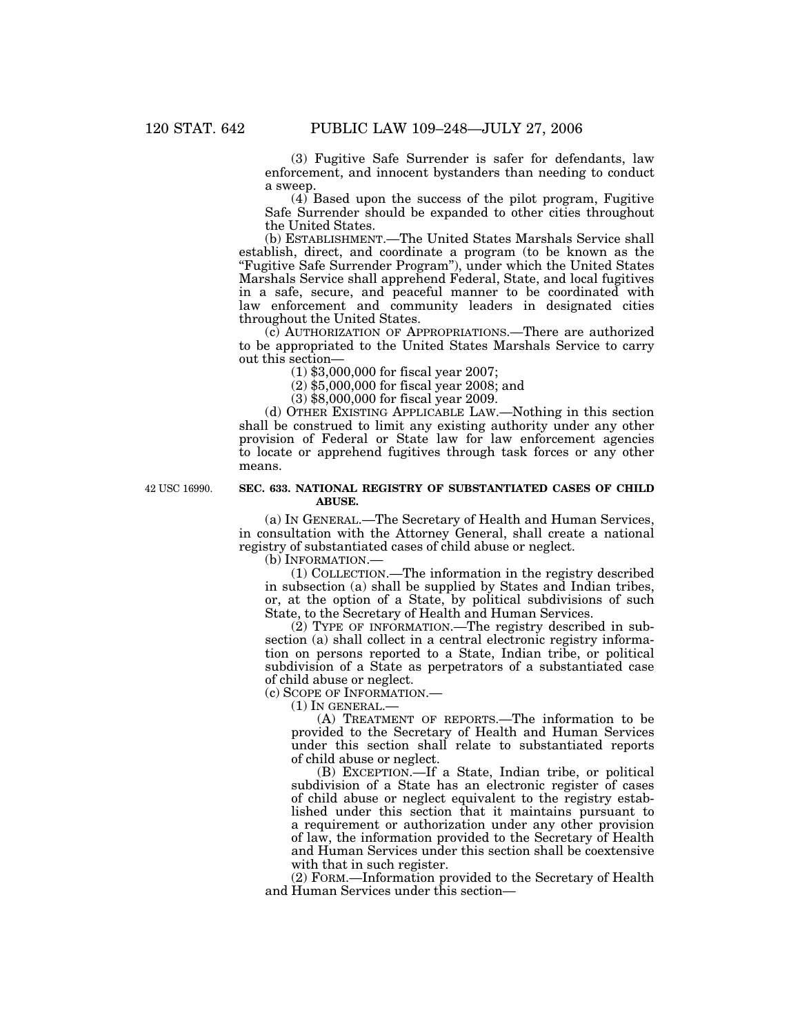(3) Fugitive Safe Surrender is safer for defendants, law enforcement, and innocent bystanders than needing to conduct a sweep.

(4) Based upon the success of the pilot program, Fugitive Safe Surrender should be expanded to other cities throughout the United States.

(b) ESTABLISHMENT.—The United States Marshals Service shall establish, direct, and coordinate a program (to be known as the ''Fugitive Safe Surrender Program''), under which the United States Marshals Service shall apprehend Federal, State, and local fugitives in a safe, secure, and peaceful manner to be coordinated with law enforcement and community leaders in designated cities throughout the United States.

(c) AUTHORIZATION OF APPROPRIATIONS.—There are authorized to be appropriated to the United States Marshals Service to carry out this section—

(1) \$3,000,000 for fiscal year 2007;

(2) \$5,000,000 for fiscal year 2008; and

(3) \$8,000,000 for fiscal year 2009.

(d) OTHER EXISTING APPLICABLE LAW.—Nothing in this section shall be construed to limit any existing authority under any other provision of Federal or State law for law enforcement agencies to locate or apprehend fugitives through task forces or any other means.

42 USC 16990.

## **SEC. 633. NATIONAL REGISTRY OF SUBSTANTIATED CASES OF CHILD ABUSE.**

(a) IN GENERAL.—The Secretary of Health and Human Services, in consultation with the Attorney General, shall create a national registry of substantiated cases of child abuse or neglect.

(b) INFORMATION.—

(1) COLLECTION.—The information in the registry described in subsection (a) shall be supplied by States and Indian tribes, or, at the option of a State, by political subdivisions of such State, to the Secretary of Health and Human Services.

 $(2)$  TYPE OF INFORMATION.—The registry described in subsection (a) shall collect in a central electronic registry information on persons reported to a State, Indian tribe, or political subdivision of a State as perpetrators of a substantiated case of child abuse or neglect.

(c) SCOPE OF INFORMATION.—

(1) IN GENERAL.—

(A) TREATMENT OF REPORTS.—The information to be provided to the Secretary of Health and Human Services under this section shall relate to substantiated reports of child abuse or neglect.

(B) EXCEPTION.—If a State, Indian tribe, or political subdivision of a State has an electronic register of cases of child abuse or neglect equivalent to the registry established under this section that it maintains pursuant to a requirement or authorization under any other provision of law, the information provided to the Secretary of Health and Human Services under this section shall be coextensive with that in such register.

(2) FORM.—Information provided to the Secretary of Health and Human Services under this section—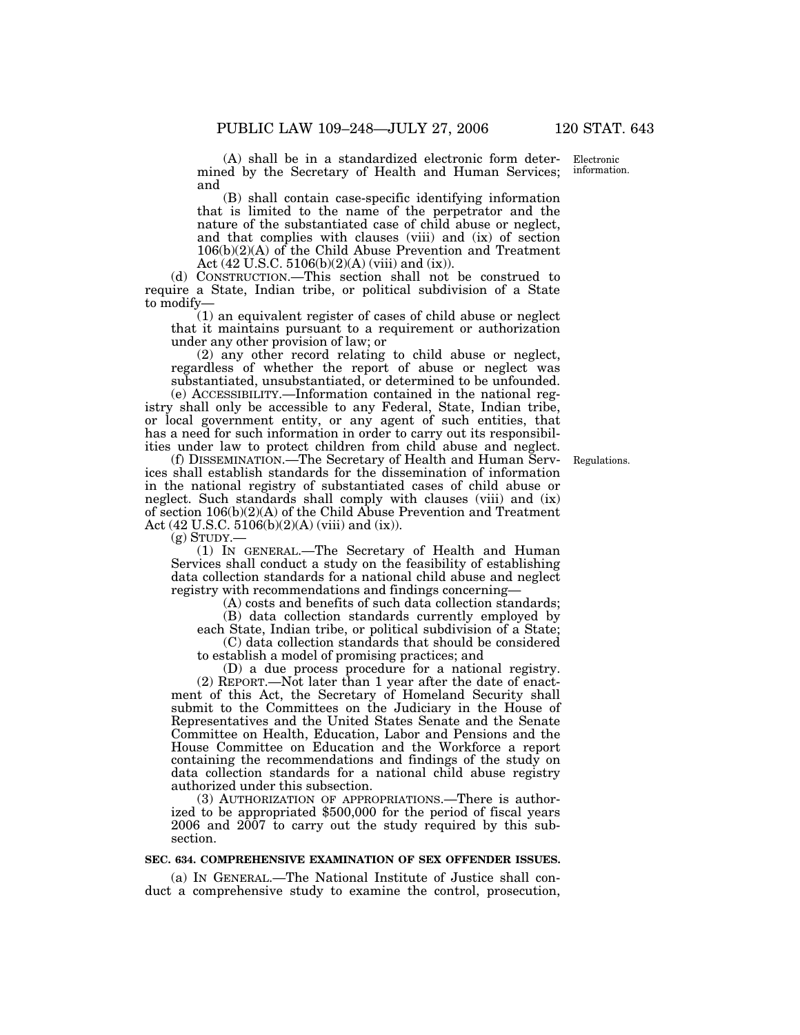(A) shall be in a standardized electronic form determined by the Secretary of Health and Human Services; and Electronic information.

(B) shall contain case-specific identifying information that is limited to the name of the perpetrator and the nature of the substantiated case of child abuse or neglect, and that complies with clauses (viii) and (ix) of section 106(b)(2)(A) of the Child Abuse Prevention and Treatment Act (42 U.S.C. 5106(b)(2)(A) (viii) and (ix)).

(d) CONSTRUCTION.—This section shall not be construed to require a State, Indian tribe, or political subdivision of a State to modify—

(1) an equivalent register of cases of child abuse or neglect that it maintains pursuant to a requirement or authorization under any other provision of law; or

(2) any other record relating to child abuse or neglect, regardless of whether the report of abuse or neglect was substantiated, unsubstantiated, or determined to be unfounded.

(e) ACCESSIBILITY.—Information contained in the national registry shall only be accessible to any Federal, State, Indian tribe, or local government entity, or any agent of such entities, that has a need for such information in order to carry out its responsibilities under law to protect children from child abuse and neglect.

(f) DISSEMINATION.—The Secretary of Health and Human Services shall establish standards for the dissemination of information in the national registry of substantiated cases of child abuse or neglect. Such standards shall comply with clauses (viii) and (ix) of section 106(b)(2)(A) of the Child Abuse Prevention and Treatment Act (42 U.S.C. 5106(b)(2)(A) (viii) and (ix)).

 $(g)$  STUDY. $-$ 

(1) IN GENERAL.—The Secretary of Health and Human Services shall conduct a study on the feasibility of establishing data collection standards for a national child abuse and neglect registry with recommendations and findings concerning—

(A) costs and benefits of such data collection standards;

(B) data collection standards currently employed by each State, Indian tribe, or political subdivision of a State;

(C) data collection standards that should be considered to establish a model of promising practices; and

(D) a due process procedure for a national registry. (2) REPORT.—Not later than 1 year after the date of enactment of this Act, the Secretary of Homeland Security shall submit to the Committees on the Judiciary in the House of Representatives and the United States Senate and the Senate Committee on Health, Education, Labor and Pensions and the House Committee on Education and the Workforce a report containing the recommendations and findings of the study on data collection standards for a national child abuse registry authorized under this subsection.

(3) AUTHORIZATION OF APPROPRIATIONS.—There is authorized to be appropriated \$500,000 for the period of fiscal years 2006 and 2007 to carry out the study required by this subsection.

#### **SEC. 634. COMPREHENSIVE EXAMINATION OF SEX OFFENDER ISSUES.**

(a) IN GENERAL.—The National Institute of Justice shall conduct a comprehensive study to examine the control, prosecution,

Regulations.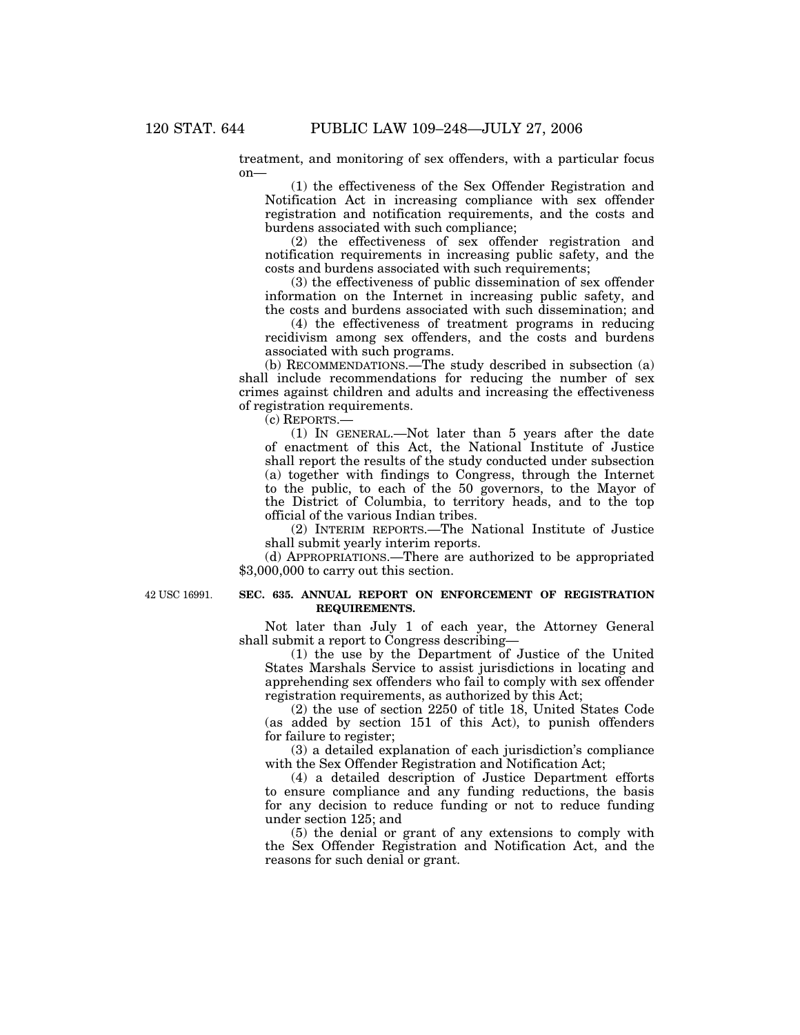treatment, and monitoring of sex offenders, with a particular focus on—

(1) the effectiveness of the Sex Offender Registration and Notification Act in increasing compliance with sex offender registration and notification requirements, and the costs and burdens associated with such compliance;

(2) the effectiveness of sex offender registration and notification requirements in increasing public safety, and the costs and burdens associated with such requirements;

(3) the effectiveness of public dissemination of sex offender information on the Internet in increasing public safety, and the costs and burdens associated with such dissemination; and

(4) the effectiveness of treatment programs in reducing recidivism among sex offenders, and the costs and burdens associated with such programs.

(b) RECOMMENDATIONS.—The study described in subsection (a) shall include recommendations for reducing the number of sex crimes against children and adults and increasing the effectiveness of registration requirements.

(c) REPORTS.—

(1) IN GENERAL.—Not later than 5 years after the date of enactment of this Act, the National Institute of Justice shall report the results of the study conducted under subsection (a) together with findings to Congress, through the Internet to the public, to each of the 50 governors, to the Mayor of the District of Columbia, to territory heads, and to the top official of the various Indian tribes.

(2) INTERIM REPORTS.—The National Institute of Justice shall submit yearly interim reports.

(d) APPROPRIATIONS.—There are authorized to be appropriated \$3,000,000 to carry out this section.

42 USC 16991.

## **SEC. 635. ANNUAL REPORT ON ENFORCEMENT OF REGISTRATION REQUIREMENTS.**

Not later than July 1 of each year, the Attorney General shall submit a report to Congress describing—

(1) the use by the Department of Justice of the United States Marshals Service to assist jurisdictions in locating and apprehending sex offenders who fail to comply with sex offender registration requirements, as authorized by this Act;

(2) the use of section 2250 of title 18, United States Code (as added by section 151 of this Act), to punish offenders for failure to register;

(3) a detailed explanation of each jurisdiction's compliance with the Sex Offender Registration and Notification Act;

(4) a detailed description of Justice Department efforts to ensure compliance and any funding reductions, the basis for any decision to reduce funding or not to reduce funding under section 125; and

(5) the denial or grant of any extensions to comply with the Sex Offender Registration and Notification Act, and the reasons for such denial or grant.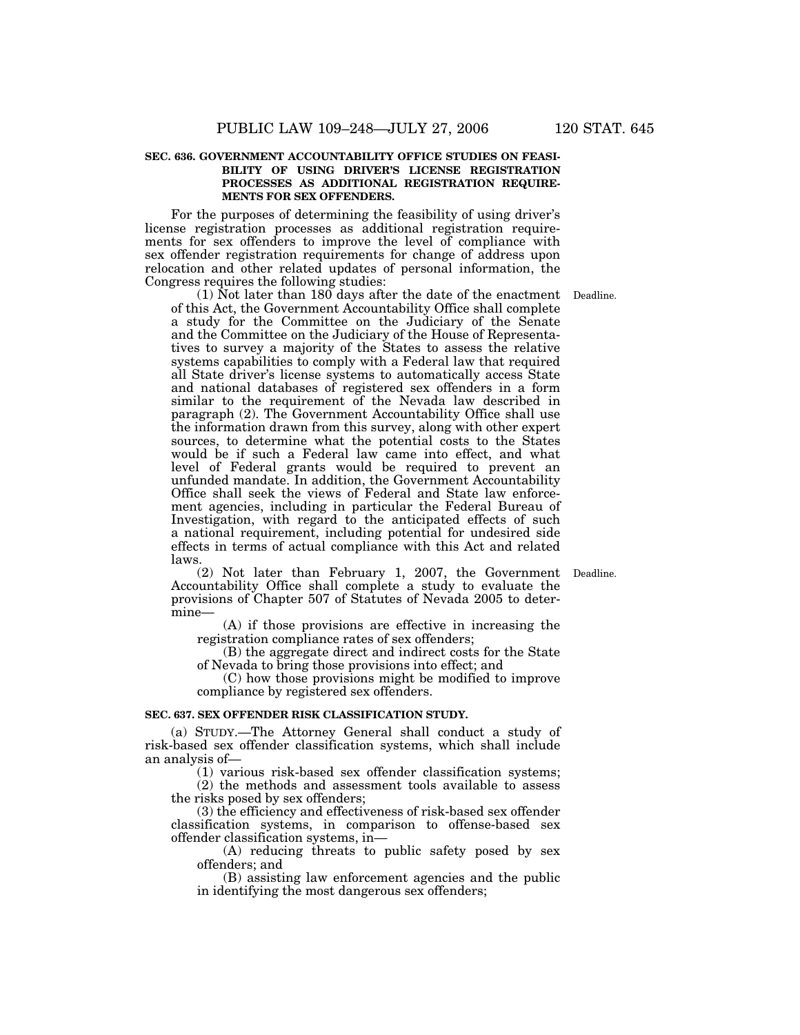#### **SEC. 636. GOVERNMENT ACCOUNTABILITY OFFICE STUDIES ON FEASI-BILITY OF USING DRIVER'S LICENSE REGISTRATION PROCESSES AS ADDITIONAL REGISTRATION REQUIRE-MENTS FOR SEX OFFENDERS.**

For the purposes of determining the feasibility of using driver's license registration processes as additional registration requirements for sex offenders to improve the level of compliance with sex offender registration requirements for change of address upon relocation and other related updates of personal information, the Congress requires the following studies:

(1) Not later than 180 days after the date of the enactment Deadline. of this Act, the Government Accountability Office shall complete a study for the Committee on the Judiciary of the Senate and the Committee on the Judiciary of the House of Representatives to survey a majority of the States to assess the relative systems capabilities to comply with a Federal law that required all State driver's license systems to automatically access State and national databases of registered sex offenders in a form similar to the requirement of the Nevada law described in paragraph (2). The Government Accountability Office shall use the information drawn from this survey, along with other expert sources, to determine what the potential costs to the States would be if such a Federal law came into effect, and what level of Federal grants would be required to prevent an unfunded mandate. In addition, the Government Accountability Office shall seek the views of Federal and State law enforcement agencies, including in particular the Federal Bureau of Investigation, with regard to the anticipated effects of such a national requirement, including potential for undesired side effects in terms of actual compliance with this Act and related laws.

(2) Not later than February 1, 2007, the Government Deadline. Accountability Office shall complete a study to evaluate the provisions of Chapter 507 of Statutes of Nevada 2005 to determine—

(A) if those provisions are effective in increasing the registration compliance rates of sex offenders;

(B) the aggregate direct and indirect costs for the State of Nevada to bring those provisions into effect; and

(C) how those provisions might be modified to improve compliance by registered sex offenders.

#### **SEC. 637. SEX OFFENDER RISK CLASSIFICATION STUDY.**

(a) STUDY.—The Attorney General shall conduct a study of risk-based sex offender classification systems, which shall include an analysis of—

(1) various risk-based sex offender classification systems; (2) the methods and assessment tools available to assess the risks posed by sex offenders;

(3) the efficiency and effectiveness of risk-based sex offender classification systems, in comparison to offense-based sex offender classification systems, in—

(A) reducing threats to public safety posed by sex offenders; and

(B) assisting law enforcement agencies and the public in identifying the most dangerous sex offenders;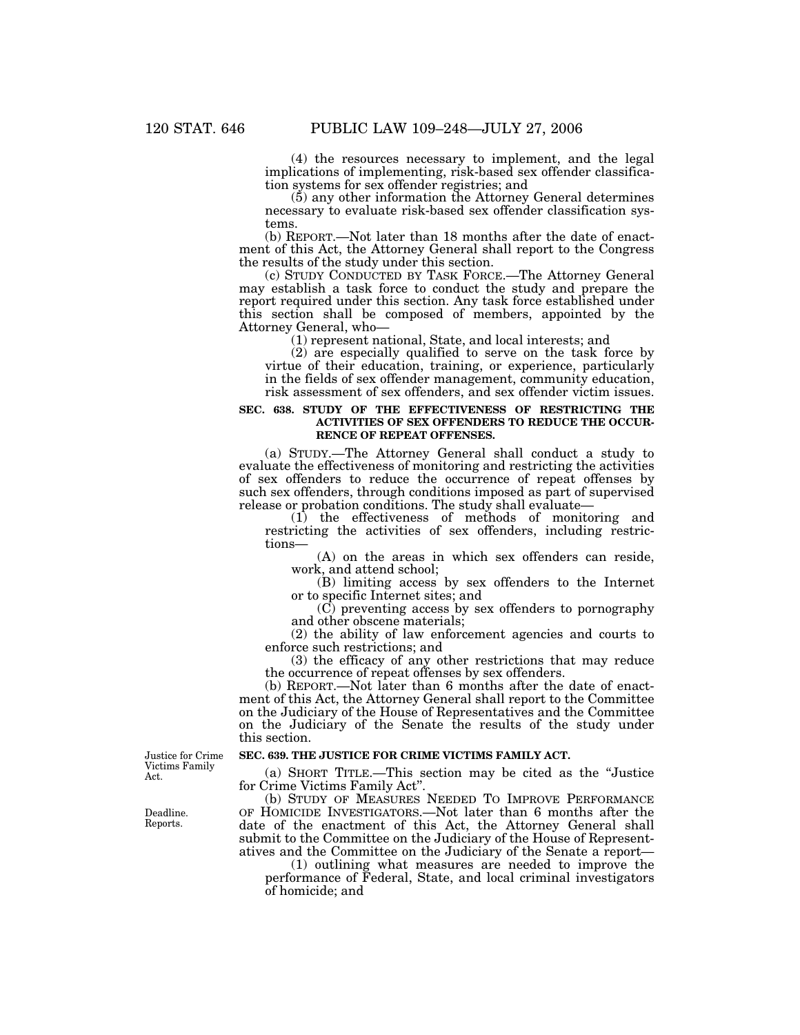(4) the resources necessary to implement, and the legal implications of implementing, risk-based sex offender classification systems for sex offender registries; and

(5) any other information the Attorney General determines necessary to evaluate risk-based sex offender classification systems.

(b) REPORT.—Not later than 18 months after the date of enactment of this Act, the Attorney General shall report to the Congress the results of the study under this section.

(c) STUDY CONDUCTED BY TASK FORCE.—The Attorney General may establish a task force to conduct the study and prepare the report required under this section. Any task force established under this section shall be composed of members, appointed by the Attorney General, who—

(1) represent national, State, and local interests; and

(2) are especially qualified to serve on the task force by virtue of their education, training, or experience, particularly in the fields of sex offender management, community education, risk assessment of sex offenders, and sex offender victim issues.

#### **SEC. 638. STUDY OF THE EFFECTIVENESS OF RESTRICTING THE ACTIVITIES OF SEX OFFENDERS TO REDUCE THE OCCUR-RENCE OF REPEAT OFFENSES.**

(a) STUDY.—The Attorney General shall conduct a study to evaluate the effectiveness of monitoring and restricting the activities of sex offenders to reduce the occurrence of repeat offenses by such sex offenders, through conditions imposed as part of supervised release or probation conditions. The study shall evaluate—

(1) the effectiveness of methods of monitoring and restricting the activities of sex offenders, including restrictions—

(A) on the areas in which sex offenders can reside, work, and attend school;

(B) limiting access by sex offenders to the Internet or to specific Internet sites; and

(C) preventing access by sex offenders to pornography and other obscene materials;

(2) the ability of law enforcement agencies and courts to enforce such restrictions; and

(3) the efficacy of any other restrictions that may reduce the occurrence of repeat offenses by sex offenders.

(b) REPORT.—Not later than 6 months after the date of enactment of this Act, the Attorney General shall report to the Committee on the Judiciary of the House of Representatives and the Committee on the Judiciary of the Senate the results of the study under this section.

### **SEC. 639. THE JUSTICE FOR CRIME VICTIMS FAMILY ACT.**

(a) SHORT TITLE.—This section may be cited as the ''Justice for Crime Victims Family Act''.

(b) STUDY OF MEASURES NEEDED TO IMPROVE PERFORMANCE OF HOMICIDE INVESTIGATORS.—Not later than 6 months after the date of the enactment of this Act, the Attorney General shall submit to the Committee on the Judiciary of the House of Representatives and the Committee on the Judiciary of the Senate a report—

(1) outlining what measures are needed to improve the performance of Federal, State, and local criminal investigators of homicide; and

Justice for Crime Victims Family Act.

Deadline. Reports.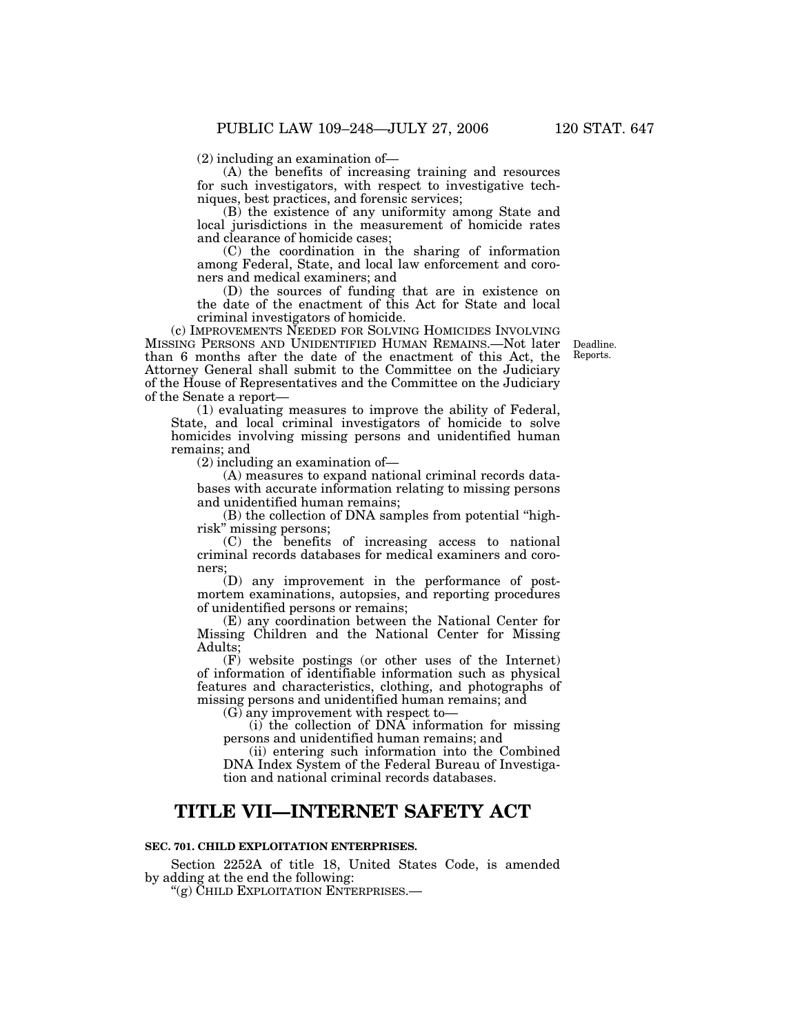(2) including an examination of—

(A) the benefits of increasing training and resources for such investigators, with respect to investigative techniques, best practices, and forensic services;

(B) the existence of any uniformity among State and local jurisdictions in the measurement of homicide rates and clearance of homicide cases;

(C) the coordination in the sharing of information among Federal, State, and local law enforcement and coroners and medical examiners; and

(D) the sources of funding that are in existence on the date of the enactment of this Act for State and local criminal investigators of homicide.

(c) IMPROVEMENTS NEEDED FOR SOLVING HOMICIDES INVOLVING MISSING PERSONS AND UNIDENTIFIED HUMAN REMAINS.—Not later than 6 months after the date of the enactment of this Act, the Attorney General shall submit to the Committee on the Judiciary of the House of Representatives and the Committee on the Judiciary of the Senate a report—

(1) evaluating measures to improve the ability of Federal, State, and local criminal investigators of homicide to solve homicides involving missing persons and unidentified human remains; and

(2) including an examination of—

(A) measures to expand national criminal records databases with accurate information relating to missing persons and unidentified human remains;

(B) the collection of DNA samples from potential ''highrisk'' missing persons;

(C) the benefits of increasing access to national criminal records databases for medical examiners and coroners;

(D) any improvement in the performance of postmortem examinations, autopsies, and reporting procedures of unidentified persons or remains;

(E) any coordination between the National Center for Missing Children and the National Center for Missing Adults;

(F) website postings (or other uses of the Internet) of information of identifiable information such as physical features and characteristics, clothing, and photographs of missing persons and unidentified human remains; and

(G) any improvement with respect to—

(i) the collection of DNA information for missing persons and unidentified human remains; and

(ii) entering such information into the Combined DNA Index System of the Federal Bureau of Investigation and national criminal records databases.

## **TITLE VII—INTERNET SAFETY ACT**

#### **SEC. 701. CHILD EXPLOITATION ENTERPRISES.**

Section 2252A of title 18, United States Code, is amended by adding at the end the following:

''(g) CHILD EXPLOITATION ENTERPRISES.—

Deadline. Reports.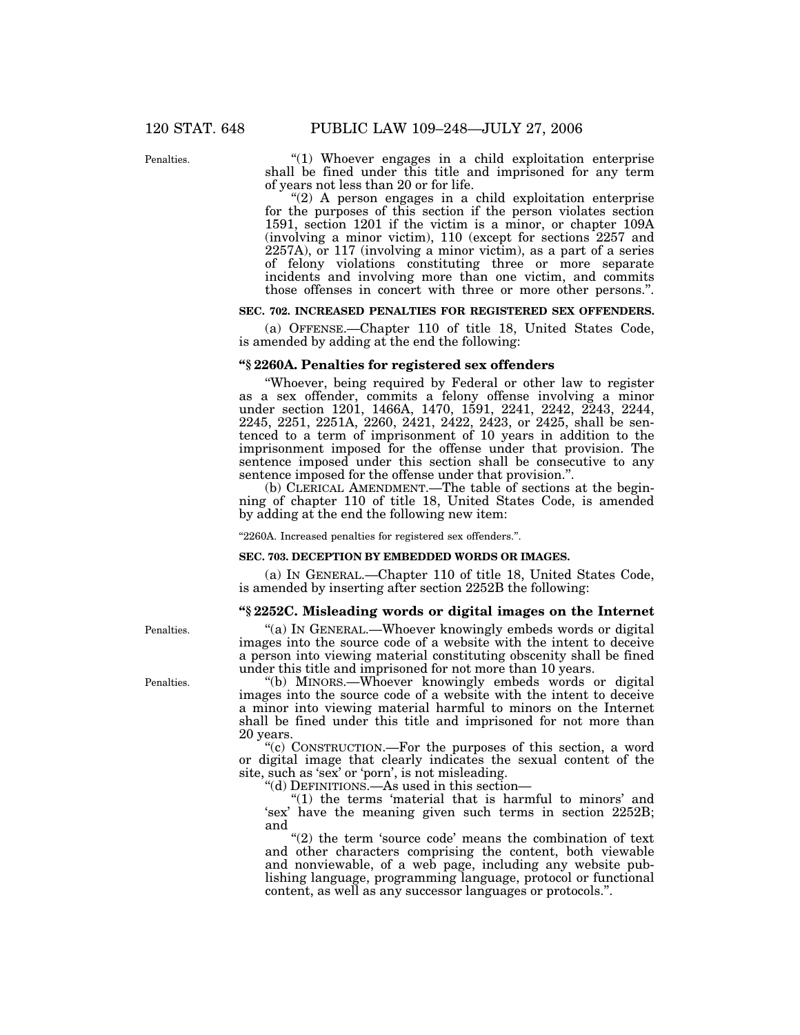Penalties.

"(1) Whoever engages in a child exploitation enterprise shall be fined under this title and imprisoned for any term of years not less than 20 or for life.

 $(2)$  A person engages in a child exploitation enterprise for the purposes of this section if the person violates section 1591, section 1201 if the victim is a minor, or chapter 109A (involving a minor victim), 110 (except for sections 2257 and 2257A), or 117 (involving a minor victim), as a part of a series of felony violations constituting three or more separate incidents and involving more than one victim, and commits those offenses in concert with three or more other persons.''.

## **SEC. 702. INCREASED PENALTIES FOR REGISTERED SEX OFFENDERS.**

(a) OFFENSE.—Chapter 110 of title 18, United States Code, is amended by adding at the end the following:

### **''§ 2260A. Penalties for registered sex offenders**

''Whoever, being required by Federal or other law to register as a sex offender, commits a felony offense involving a minor under section 1201, 1466A, 1470, 1591, 2241, 2242, 2243, 2244, 2245, 2251, 2251A, 2260, 2421, 2422, 2423, or 2425, shall be sentenced to a term of imprisonment of 10 years in addition to the imprisonment imposed for the offense under that provision. The sentence imposed under this section shall be consecutive to any sentence imposed for the offense under that provision."

(b) CLERICAL AMENDMENT.—The table of sections at the beginning of chapter 110 of title 18, United States Code, is amended by adding at the end the following new item:

''2260A. Increased penalties for registered sex offenders.''.

#### **SEC. 703. DECEPTION BY EMBEDDED WORDS OR IMAGES.**

(a) IN GENERAL.—Chapter 110 of title 18, United States Code, is amended by inserting after section 2252B the following:

### **''§ 2252C. Misleading words or digital images on the Internet**

''(a) IN GENERAL.—Whoever knowingly embeds words or digital images into the source code of a website with the intent to deceive a person into viewing material constituting obscenity shall be fined under this title and imprisoned for not more than 10 years.

''(b) MINORS.—Whoever knowingly embeds words or digital images into the source code of a website with the intent to deceive a minor into viewing material harmful to minors on the Internet shall be fined under this title and imprisoned for not more than 20 years.

''(c) CONSTRUCTION.—For the purposes of this section, a word or digital image that clearly indicates the sexual content of the site, such as 'sex' or 'porn', is not misleading.

"(d) DEFINITIONS.—As used in this section—

 $f(1)$  the terms 'material that is harmful to minors' and 'sex' have the meaning given such terms in section 2252B; and

"(2) the term 'source code' means the combination of text and other characters comprising the content, both viewable and nonviewable, of a web page, including any website publishing language, programming language, protocol or functional content, as well as any successor languages or protocols.''.

Penalties.

Penalties.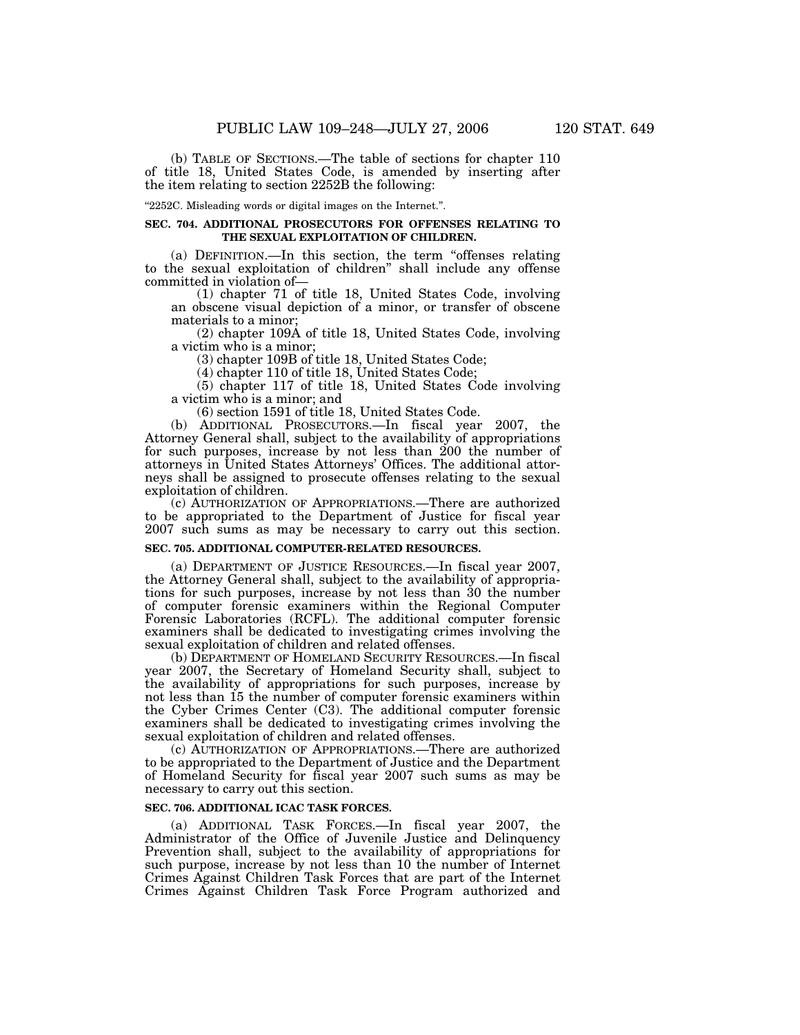(b) TABLE OF SECTIONS.—The table of sections for chapter 110 of title 18, United States Code, is amended by inserting after the item relating to section 2252B the following:

''2252C. Misleading words or digital images on the Internet.''.

### **SEC. 704. ADDITIONAL PROSECUTORS FOR OFFENSES RELATING TO THE SEXUAL EXPLOITATION OF CHILDREN.**

(a) DEFINITION.—In this section, the term ''offenses relating to the sexual exploitation of children'' shall include any offense committed in violation of—

(1) chapter 71 of title 18, United States Code, involving an obscene visual depiction of a minor, or transfer of obscene materials to a minor;

(2) chapter 109A of title 18, United States Code, involving a victim who is a minor;

(3) chapter 109B of title 18, United States Code;

(4) chapter 110 of title 18, United States Code;

(5) chapter 117 of title 18, United States Code involving a victim who is a minor; and

(6) section 1591 of title 18, United States Code.

(b) ADDITIONAL PROSECUTORS.—In fiscal year 2007, the Attorney General shall, subject to the availability of appropriations for such purposes, increase by not less than 200 the number of attorneys in United States Attorneys' Offices. The additional attorneys shall be assigned to prosecute offenses relating to the sexual exploitation of children.

(c) AUTHORIZATION OF APPROPRIATIONS.—There are authorized to be appropriated to the Department of Justice for fiscal year 2007 such sums as may be necessary to carry out this section.

## **SEC. 705. ADDITIONAL COMPUTER-RELATED RESOURCES.**

(a) DEPARTMENT OF JUSTICE RESOURCES.—In fiscal year 2007, the Attorney General shall, subject to the availability of appropriations for such purposes, increase by not less than 30 the number of computer forensic examiners within the Regional Computer Forensic Laboratories (RCFL). The additional computer forensic examiners shall be dedicated to investigating crimes involving the sexual exploitation of children and related offenses.

(b) DEPARTMENT OF HOMELAND SECURITY RESOURCES.—In fiscal year 2007, the Secretary of Homeland Security shall, subject to the availability of appropriations for such purposes, increase by not less than 15 the number of computer forensic examiners within the Cyber Crimes Center (C3). The additional computer forensic examiners shall be dedicated to investigating crimes involving the sexual exploitation of children and related offenses.

(c) AUTHORIZATION OF APPROPRIATIONS.—There are authorized to be appropriated to the Department of Justice and the Department of Homeland Security for fiscal year 2007 such sums as may be necessary to carry out this section.

#### **SEC. 706. ADDITIONAL ICAC TASK FORCES.**

(a) ADDITIONAL TASK FORCES.—In fiscal year 2007, the Administrator of the Office of Juvenile Justice and Delinquency Prevention shall, subject to the availability of appropriations for such purpose, increase by not less than 10 the number of Internet Crimes Against Children Task Forces that are part of the Internet Crimes Against Children Task Force Program authorized and